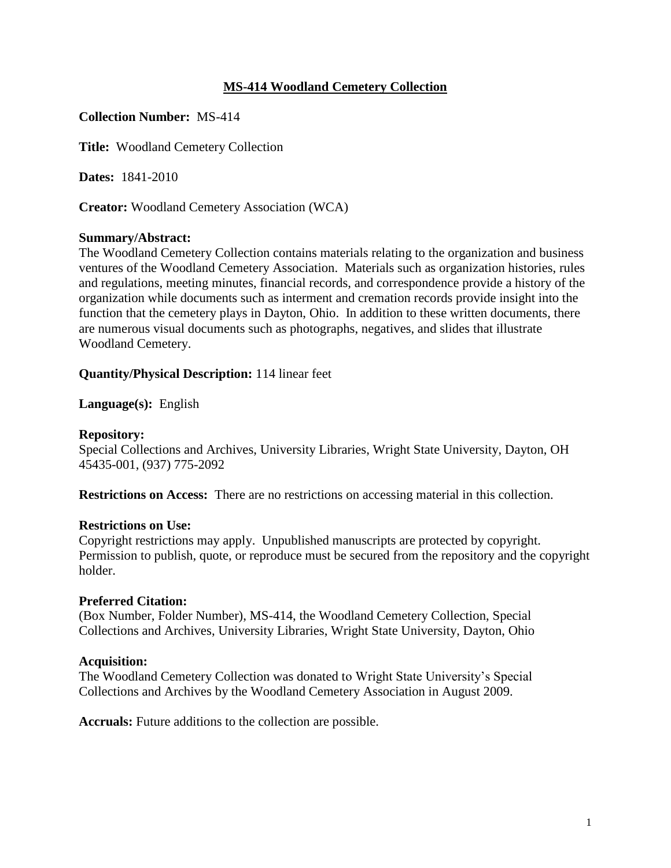# **MS-414 Woodland Cemetery Collection**

## **Collection Number:** MS-414

**Title:** Woodland Cemetery Collection

**Dates:** 1841-2010

**Creator:** Woodland Cemetery Association (WCA)

## **Summary/Abstract:**

The Woodland Cemetery Collection contains materials relating to the organization and business ventures of the Woodland Cemetery Association. Materials such as organization histories, rules and regulations, meeting minutes, financial records, and correspondence provide a history of the organization while documents such as interment and cremation records provide insight into the function that the cemetery plays in Dayton, Ohio. In addition to these written documents, there are numerous visual documents such as photographs, negatives, and slides that illustrate Woodland Cemetery.

**Quantity/Physical Description:** 114 linear feet

**Language(s):** English

## **Repository:**

Special Collections and Archives, University Libraries, Wright State University, Dayton, OH 45435-001, (937) 775-2092

**Restrictions on Access:** There are no restrictions on accessing material in this collection.

## **Restrictions on Use:**

Copyright restrictions may apply. Unpublished manuscripts are protected by copyright. Permission to publish, quote, or reproduce must be secured from the repository and the copyright holder.

## **Preferred Citation:**

(Box Number, Folder Number), MS-414, the Woodland Cemetery Collection, Special Collections and Archives, University Libraries, Wright State University, Dayton, Ohio

## **Acquisition:**

The Woodland Cemetery Collection was donated to Wright State University's Special Collections and Archives by the Woodland Cemetery Association in August 2009.

**Accruals:** Future additions to the collection are possible.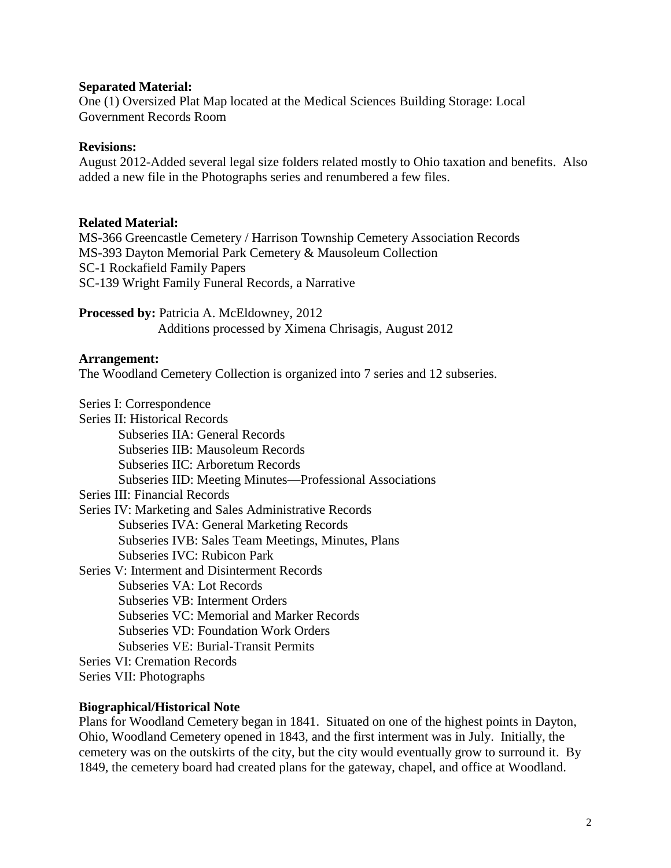### **Separated Material:**

One (1) Oversized Plat Map located at the Medical Sciences Building Storage: Local Government Records Room

### **Revisions:**

August 2012-Added several legal size folders related mostly to Ohio taxation and benefits. Also added a new file in the Photographs series and renumbered a few files.

### **Related Material:**

MS-366 Greencastle Cemetery / Harrison Township Cemetery Association Records MS-393 Dayton Memorial Park Cemetery & Mausoleum Collection SC-1 Rockafield Family Papers SC-139 Wright Family Funeral Records, a Narrative

Processed by: Patricia A. McEldowney, 2012 Additions processed by Ximena Chrisagis, August 2012

#### **Arrangement:**

The Woodland Cemetery Collection is organized into 7 series and 12 subseries.

Series I: Correspondence

| Series II: Historical Records                            |
|----------------------------------------------------------|
| Subseries IIA: General Records                           |
| <b>Subseries IIB: Mausoleum Records</b>                  |
| Subseries IIC: Arboretum Records                         |
| Subseries IID: Meeting Minutes—Professional Associations |
| Series III: Financial Records                            |
| Series IV: Marketing and Sales Administrative Records    |
| <b>Subseries IVA: General Marketing Records</b>          |
| Subseries IVB: Sales Team Meetings, Minutes, Plans       |
| Subseries IVC: Rubicon Park                              |
| Series V: Interment and Disinterment Records             |
| Subseries VA: Lot Records                                |
| Subseries VB: Interment Orders                           |
| <b>Subseries VC: Memorial and Marker Records</b>         |
| <b>Subseries VD: Foundation Work Orders</b>              |
| <b>Subseries VE: Burial-Transit Permits</b>              |
| <b>Series VI: Cremation Records</b>                      |
| Series VII: Photographs                                  |
|                                                          |

#### **Biographical/Historical Note**

Plans for Woodland Cemetery began in 1841. Situated on one of the highest points in Dayton, Ohio, Woodland Cemetery opened in 1843, and the first interment was in July. Initially, the cemetery was on the outskirts of the city, but the city would eventually grow to surround it. By 1849, the cemetery board had created plans for the gateway, chapel, and office at Woodland.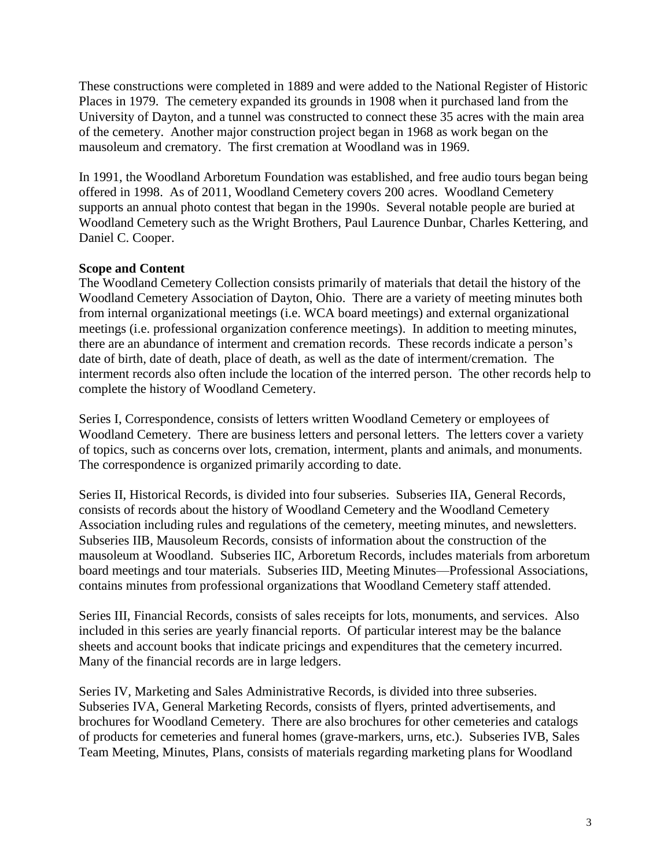These constructions were completed in 1889 and were added to the National Register of Historic Places in 1979. The cemetery expanded its grounds in 1908 when it purchased land from the University of Dayton, and a tunnel was constructed to connect these 35 acres with the main area of the cemetery. Another major construction project began in 1968 as work began on the mausoleum and crematory. The first cremation at Woodland was in 1969.

In 1991, the Woodland Arboretum Foundation was established, and free audio tours began being offered in 1998. As of 2011, Woodland Cemetery covers 200 acres. Woodland Cemetery supports an annual photo contest that began in the 1990s. Several notable people are buried at Woodland Cemetery such as the Wright Brothers, Paul Laurence Dunbar, Charles Kettering, and Daniel C. Cooper.

## **Scope and Content**

The Woodland Cemetery Collection consists primarily of materials that detail the history of the Woodland Cemetery Association of Dayton, Ohio. There are a variety of meeting minutes both from internal organizational meetings (i.e. WCA board meetings) and external organizational meetings (i.e. professional organization conference meetings). In addition to meeting minutes, there are an abundance of interment and cremation records. These records indicate a person's date of birth, date of death, place of death, as well as the date of interment/cremation. The interment records also often include the location of the interred person. The other records help to complete the history of Woodland Cemetery.

Series I, Correspondence, consists of letters written Woodland Cemetery or employees of Woodland Cemetery. There are business letters and personal letters. The letters cover a variety of topics, such as concerns over lots, cremation, interment, plants and animals, and monuments. The correspondence is organized primarily according to date.

Series II, Historical Records, is divided into four subseries. Subseries IIA, General Records, consists of records about the history of Woodland Cemetery and the Woodland Cemetery Association including rules and regulations of the cemetery, meeting minutes, and newsletters. Subseries IIB, Mausoleum Records, consists of information about the construction of the mausoleum at Woodland. Subseries IIC, Arboretum Records, includes materials from arboretum board meetings and tour materials. Subseries IID, Meeting Minutes—Professional Associations, contains minutes from professional organizations that Woodland Cemetery staff attended.

Series III, Financial Records, consists of sales receipts for lots, monuments, and services. Also included in this series are yearly financial reports. Of particular interest may be the balance sheets and account books that indicate pricings and expenditures that the cemetery incurred. Many of the financial records are in large ledgers.

Series IV, Marketing and Sales Administrative Records, is divided into three subseries. Subseries IVA, General Marketing Records, consists of flyers, printed advertisements, and brochures for Woodland Cemetery. There are also brochures for other cemeteries and catalogs of products for cemeteries and funeral homes (grave-markers, urns, etc.). Subseries IVB, Sales Team Meeting, Minutes, Plans, consists of materials regarding marketing plans for Woodland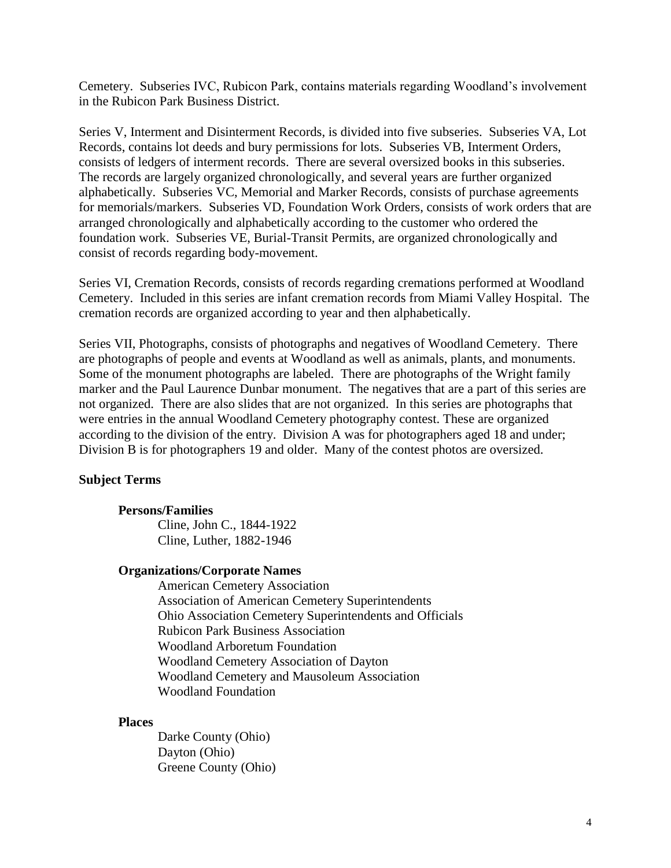Cemetery. Subseries IVC, Rubicon Park, contains materials regarding Woodland's involvement in the Rubicon Park Business District.

Series V, Interment and Disinterment Records, is divided into five subseries. Subseries VA, Lot Records, contains lot deeds and bury permissions for lots. Subseries VB, Interment Orders, consists of ledgers of interment records. There are several oversized books in this subseries. The records are largely organized chronologically, and several years are further organized alphabetically. Subseries VC, Memorial and Marker Records, consists of purchase agreements for memorials/markers. Subseries VD, Foundation Work Orders, consists of work orders that are arranged chronologically and alphabetically according to the customer who ordered the foundation work. Subseries VE, Burial-Transit Permits, are organized chronologically and consist of records regarding body-movement.

Series VI, Cremation Records, consists of records regarding cremations performed at Woodland Cemetery. Included in this series are infant cremation records from Miami Valley Hospital. The cremation records are organized according to year and then alphabetically.

Series VII, Photographs, consists of photographs and negatives of Woodland Cemetery. There are photographs of people and events at Woodland as well as animals, plants, and monuments. Some of the monument photographs are labeled. There are photographs of the Wright family marker and the Paul Laurence Dunbar monument. The negatives that are a part of this series are not organized. There are also slides that are not organized. In this series are photographs that were entries in the annual Woodland Cemetery photography contest. These are organized according to the division of the entry. Division A was for photographers aged 18 and under; Division B is for photographers 19 and older. Many of the contest photos are oversized.

## **Subject Terms**

## **Persons/Families**

Cline, John C., 1844-1922 Cline, Luther, 1882-1946

#### **Organizations/Corporate Names**

American Cemetery Association Association of American Cemetery Superintendents Ohio Association Cemetery Superintendents and Officials Rubicon Park Business Association Woodland Arboretum Foundation Woodland Cemetery Association of Dayton Woodland Cemetery and Mausoleum Association Woodland Foundation

#### **Places**

Darke County (Ohio) Dayton (Ohio) Greene County (Ohio)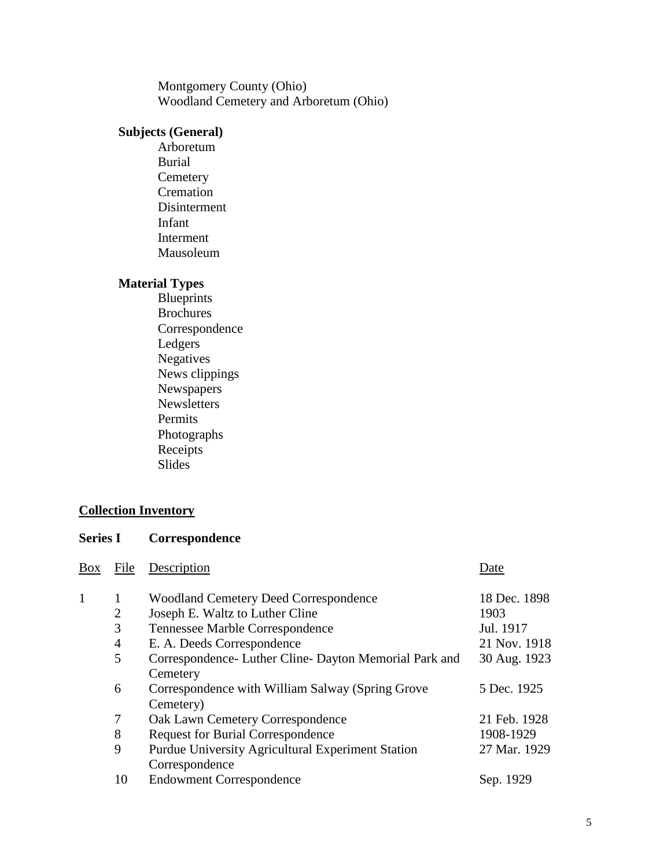Montgomery County (Ohio) Woodland Cemetery and Arboretum (Ohio)

# **Subjects (General)**

Arboretum Burial **Cemetery** Cremation Disinterment Infant Interment Mausoleum

## **Material Types**

Blueprints Brochures Correspondence Ledgers Negatives News clippings Newspapers<sup>11</sup> Newsletters Permits Photographs **Receipts** Slides

## **Collection Inventory**

**Series I Correspondence**

| Box | File           | Description                                              | Date         |
|-----|----------------|----------------------------------------------------------|--------------|
|     |                |                                                          |              |
| 1   | 1              | <b>Woodland Cemetery Deed Correspondence</b>             | 18 Dec. 1898 |
|     | $\overline{2}$ | Joseph E. Waltz to Luther Cline                          | 1903         |
|     | 3              | Tennessee Marble Correspondence                          | Jul. 1917    |
|     | $\overline{4}$ | E. A. Deeds Correspondence                               | 21 Nov. 1918 |
|     | 5              | Correspondence - Luther Cline - Dayton Memorial Park and | 30 Aug. 1923 |
|     |                | Cemetery                                                 |              |
|     | 6              | Correspondence with William Salway (Spring Grove         | 5 Dec. 1925  |
|     |                | Cemetery)                                                |              |
|     | 7              | <b>Oak Lawn Cemetery Correspondence</b>                  | 21 Feb. 1928 |
|     | 8              | <b>Request for Burial Correspondence</b>                 | 1908-1929    |
|     | 9              | Purdue University Agricultural Experiment Station        | 27 Mar. 1929 |
|     |                | Correspondence                                           |              |
|     | 10             | <b>Endowment Correspondence</b>                          | Sep. 1929    |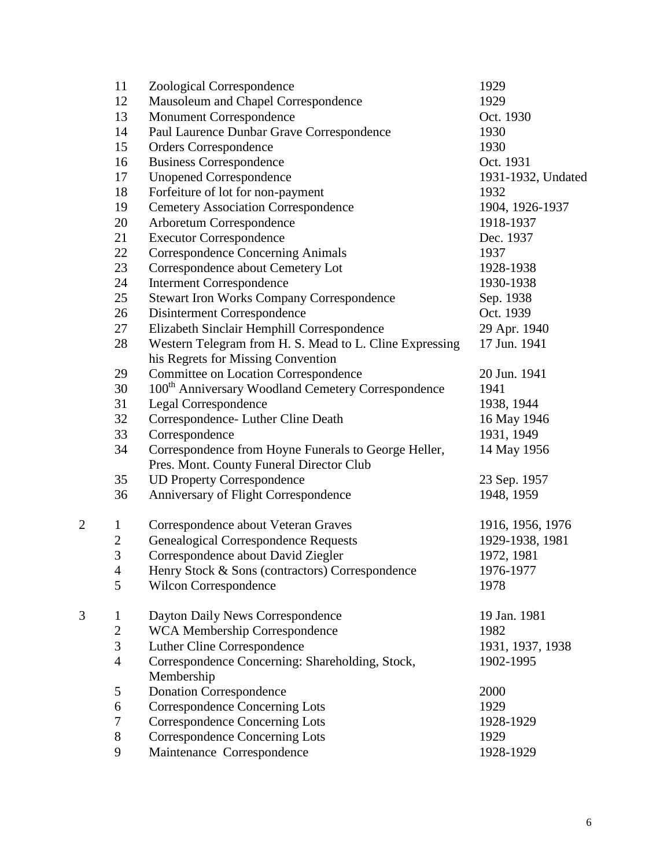|                | 11               | Zoological Correspondence                                      | 1929               |
|----------------|------------------|----------------------------------------------------------------|--------------------|
|                | 12               | Mausoleum and Chapel Correspondence                            | 1929               |
|                | 13               | <b>Monument Correspondence</b>                                 | Oct. 1930          |
|                | 14               | Paul Laurence Dunbar Grave Correspondence                      | 1930               |
|                | 15               | <b>Orders Correspondence</b>                                   | 1930               |
|                | 16               | <b>Business Correspondence</b>                                 | Oct. 1931          |
|                | 17               | <b>Unopened Correspondence</b>                                 | 1931-1932, Undated |
|                | 18               | Forfeiture of lot for non-payment                              | 1932               |
|                | 19               | <b>Cemetery Association Correspondence</b>                     | 1904, 1926-1937    |
|                | 20               | Arboretum Correspondence                                       | 1918-1937          |
|                | 21               | <b>Executor Correspondence</b>                                 | Dec. 1937          |
|                | 22               | <b>Correspondence Concerning Animals</b>                       | 1937               |
|                | 23               | Correspondence about Cemetery Lot                              | 1928-1938          |
|                | 24               | <b>Interment Correspondence</b>                                | 1930-1938          |
|                | 25               | <b>Stewart Iron Works Company Correspondence</b>               | Sep. 1938          |
|                | 26               | Disinterment Correspondence                                    | Oct. 1939          |
|                | 27               | Elizabeth Sinclair Hemphill Correspondence                     | 29 Apr. 1940       |
|                | 28               | Western Telegram from H. S. Mead to L. Cline Expressing        | 17 Jun. 1941       |
|                |                  | his Regrets for Missing Convention                             |                    |
|                | 29               | <b>Committee on Location Correspondence</b>                    | 20 Jun. 1941       |
|                | 30               | 100 <sup>th</sup> Anniversary Woodland Cemetery Correspondence | 1941               |
|                | 31               | Legal Correspondence                                           | 1938, 1944         |
|                | 32               | Correspondence- Luther Cline Death                             | 16 May 1946        |
|                | 33               | Correspondence                                                 | 1931, 1949         |
|                | 34               | Correspondence from Hoyne Funerals to George Heller,           | 14 May 1956        |
|                |                  | Pres. Mont. County Funeral Director Club                       |                    |
|                | 35               | <b>UD Property Correspondence</b>                              | 23 Sep. 1957       |
|                | 36               | Anniversary of Flight Correspondence                           | 1948, 1959         |
| $\overline{2}$ | $\mathbf{1}$     | Correspondence about Veteran Graves                            | 1916, 1956, 1976   |
|                | $\sqrt{2}$       | <b>Genealogical Correspondence Requests</b>                    | 1929-1938, 1981    |
|                | $\overline{3}$   | Correspondence about David Ziegler                             | 1972, 1981         |
|                | $\overline{4}$   | Henry Stock & Sons (contractors) Correspondence                | 1976-1977          |
|                | 5                | Wilcon Correspondence                                          | 1978               |
| 3              | $\mathbf{1}$     | Dayton Daily News Correspondence                               | 19 Jan. 1981       |
|                | $\mathbf{2}$     | <b>WCA Membership Correspondence</b>                           | 1982               |
|                | $\overline{3}$   | Luther Cline Correspondence                                    | 1931, 1937, 1938   |
|                | $\overline{4}$   | Correspondence Concerning: Shareholding, Stock,<br>Membership  | 1902-1995          |
|                | 5                | <b>Donation Correspondence</b>                                 | 2000               |
|                | 6                | <b>Correspondence Concerning Lots</b>                          | 1929               |
|                | $\boldsymbol{7}$ | <b>Correspondence Concerning Lots</b>                          | 1928-1929          |
|                | $8\,$            | <b>Correspondence Concerning Lots</b>                          | 1929               |
|                | 9                | Maintenance Correspondence                                     | 1928-1929          |
|                |                  |                                                                |                    |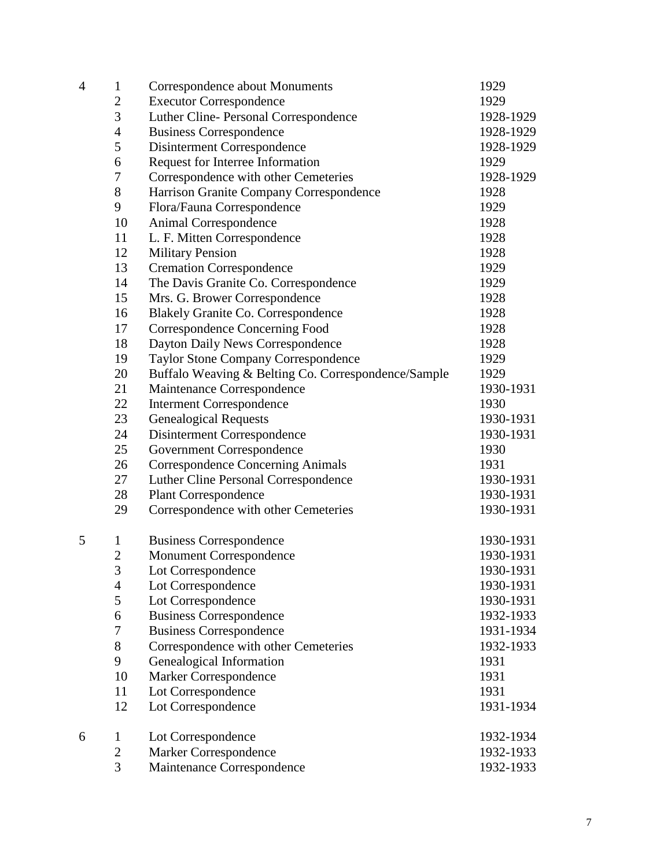| 4 | $\mathbf{1}$     | Correspondence about Monuments                      | 1929      |
|---|------------------|-----------------------------------------------------|-----------|
|   | $\overline{c}$   | <b>Executor Correspondence</b>                      | 1929      |
|   | 3                | Luther Cline- Personal Correspondence               | 1928-1929 |
|   | 4                | <b>Business Correspondence</b>                      | 1928-1929 |
|   | 5                | Disinterment Correspondence                         | 1928-1929 |
|   | 6                | Request for Interree Information                    | 1929      |
|   | $\boldsymbol{7}$ | Correspondence with other Cemeteries                | 1928-1929 |
|   | 8                | Harrison Granite Company Correspondence             | 1928      |
|   | 9                | Flora/Fauna Correspondence                          | 1929      |
|   | 10               | Animal Correspondence                               | 1928      |
|   | 11               | L. F. Mitten Correspondence                         | 1928      |
|   | 12               | <b>Military Pension</b>                             | 1928      |
|   | 13               | <b>Cremation Correspondence</b>                     | 1929      |
|   | 14               | The Davis Granite Co. Correspondence                | 1929      |
|   | 15               | Mrs. G. Brower Correspondence                       | 1928      |
|   | 16               | <b>Blakely Granite Co. Correspondence</b>           | 1928      |
|   | 17               | Correspondence Concerning Food                      | 1928      |
|   | 18               | Dayton Daily News Correspondence                    | 1928      |
|   | 19               | <b>Taylor Stone Company Correspondence</b>          | 1929      |
|   | 20               | Buffalo Weaving & Belting Co. Correspondence/Sample | 1929      |
|   | 21               | Maintenance Correspondence                          | 1930-1931 |
|   | 22               | <b>Interment Correspondence</b>                     | 1930      |
|   | 23               | <b>Genealogical Requests</b>                        | 1930-1931 |
|   | 24               | Disinterment Correspondence                         | 1930-1931 |
|   | 25               | <b>Government Correspondence</b>                    | 1930      |
|   | 26               | <b>Correspondence Concerning Animals</b>            | 1931      |
|   | 27               | Luther Cline Personal Correspondence                | 1930-1931 |
|   | 28               | <b>Plant Correspondence</b>                         | 1930-1931 |
|   | 29               | Correspondence with other Cemeteries                | 1930-1931 |
| 5 | $\mathbf{1}$     | <b>Business Correspondence</b>                      | 1930-1931 |
|   | $\overline{2}$   | <b>Monument Correspondence</b>                      | 1930-1931 |
|   | 3                | Lot Correspondence                                  | 1930-1931 |
|   | $\overline{4}$   | Lot Correspondence                                  | 1930-1931 |
|   | 5                | Lot Correspondence                                  | 1930-1931 |
|   | 6                | <b>Business Correspondence</b>                      | 1932-1933 |
|   | $\boldsymbol{7}$ | <b>Business Correspondence</b>                      | 1931-1934 |
|   | 8                | Correspondence with other Cemeteries                | 1932-1933 |
|   | 9                | Genealogical Information                            | 1931      |
|   | 10               | <b>Marker Correspondence</b>                        | 1931      |
|   | 11               | Lot Correspondence                                  | 1931      |
|   | 12               | Lot Correspondence                                  | 1931-1934 |
| 6 | $\mathbf{1}$     | Lot Correspondence                                  | 1932-1934 |
|   | $\overline{2}$   | <b>Marker Correspondence</b>                        | 1932-1933 |
|   | $\overline{3}$   | Maintenance Correspondence                          | 1932-1933 |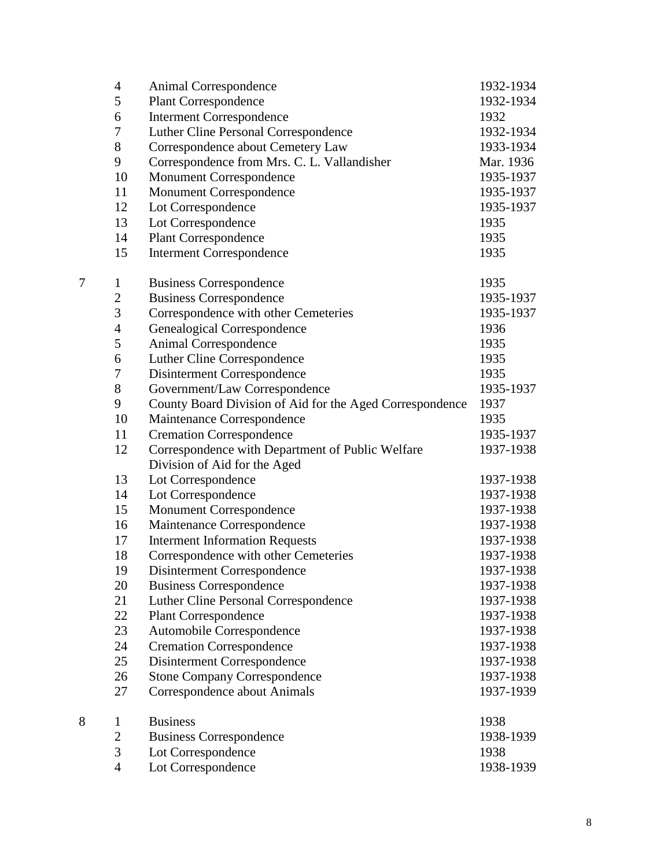|   | 4                | Animal Correspondence                                    | 1932-1934 |
|---|------------------|----------------------------------------------------------|-----------|
|   | 5                | <b>Plant Correspondence</b>                              | 1932-1934 |
|   | 6                | <b>Interment Correspondence</b>                          | 1932      |
|   | 7                | Luther Cline Personal Correspondence                     | 1932-1934 |
|   | $8\,$            | Correspondence about Cemetery Law                        | 1933-1934 |
|   | 9                | Correspondence from Mrs. C. L. Vallandisher              | Mar. 1936 |
|   | 10               | <b>Monument Correspondence</b>                           | 1935-1937 |
|   | 11               | Monument Correspondence                                  | 1935-1937 |
|   | 12               | Lot Correspondence                                       | 1935-1937 |
|   | 13               | Lot Correspondence                                       | 1935      |
|   | 14               | <b>Plant Correspondence</b>                              | 1935      |
|   | 15               | <b>Interment Correspondence</b>                          | 1935      |
| 7 | $\mathbf{1}$     | <b>Business Correspondence</b>                           | 1935      |
|   | $\boldsymbol{2}$ | <b>Business Correspondence</b>                           | 1935-1937 |
|   | 3                | Correspondence with other Cemeteries                     | 1935-1937 |
|   | $\overline{4}$   | Genealogical Correspondence                              | 1936      |
|   | 5                | Animal Correspondence                                    | 1935      |
|   | 6                | Luther Cline Correspondence                              | 1935      |
|   | 7                | Disinterment Correspondence                              | 1935      |
|   | $8\,$            | Government/Law Correspondence                            | 1935-1937 |
|   | 9                | County Board Division of Aid for the Aged Correspondence | 1937      |
|   | 10               | Maintenance Correspondence                               | 1935      |
|   | 11               | <b>Cremation Correspondence</b>                          | 1935-1937 |
|   | 12               | Correspondence with Department of Public Welfare         | 1937-1938 |
|   |                  | Division of Aid for the Aged                             |           |
|   | 13               | Lot Correspondence                                       | 1937-1938 |
|   | 14               | Lot Correspondence                                       | 1937-1938 |
|   | 15               | <b>Monument Correspondence</b>                           | 1937-1938 |
|   | 16               | Maintenance Correspondence                               | 1937-1938 |
|   | 17               | <b>Interment Information Requests</b>                    | 1937-1938 |
|   | 18               | Correspondence with other Cemeteries                     | 1937-1938 |
|   | 19               | Disinterment Correspondence                              | 1937-1938 |
|   | 20               | <b>Business Correspondence</b>                           | 1937-1938 |
|   | 21               | Luther Cline Personal Correspondence                     | 1937-1938 |
|   | 22               | <b>Plant Correspondence</b>                              | 1937-1938 |
|   | 23               | Automobile Correspondence                                | 1937-1938 |
|   | 24               | <b>Cremation Correspondence</b>                          | 1937-1938 |
|   | 25               | Disinterment Correspondence                              | 1937-1938 |
|   | 26               | <b>Stone Company Correspondence</b>                      | 1937-1938 |
|   | 27               | Correspondence about Animals                             | 1937-1939 |
| 8 | $\mathbf{1}$     | <b>Business</b>                                          | 1938      |
|   | $\mathbf{2}$     | <b>Business Correspondence</b>                           | 1938-1939 |
|   | 3                | Lot Correspondence                                       | 1938      |
|   | $\overline{4}$   | Lot Correspondence                                       | 1938-1939 |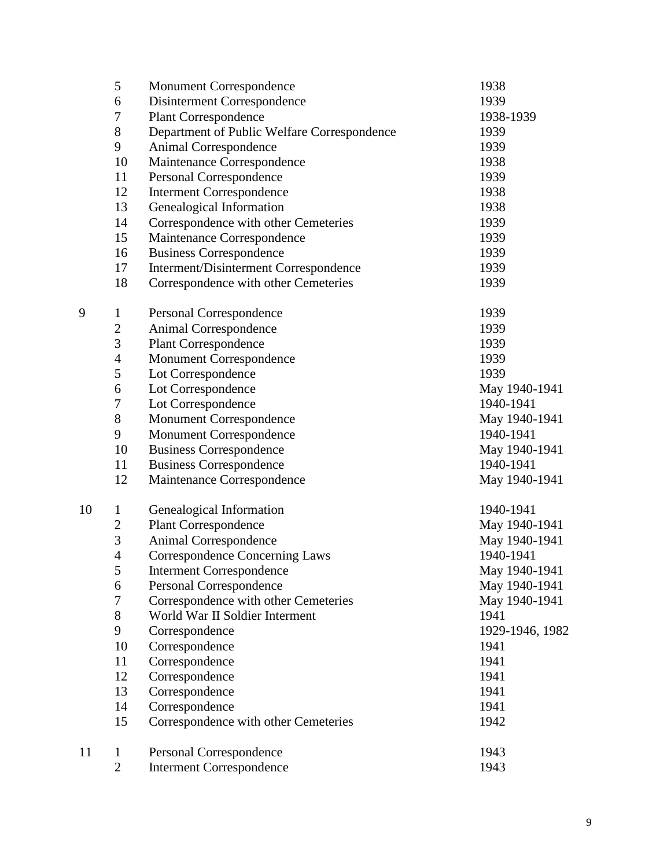|    | 5                | <b>Monument Correspondence</b>              | 1938            |
|----|------------------|---------------------------------------------|-----------------|
|    | 6                | Disinterment Correspondence                 | 1939            |
|    | 7                | <b>Plant Correspondence</b>                 | 1938-1939       |
|    | 8                | Department of Public Welfare Correspondence | 1939            |
|    | 9                | <b>Animal Correspondence</b>                | 1939            |
|    | 10               | Maintenance Correspondence                  | 1938            |
|    | 11               | Personal Correspondence                     | 1939            |
|    | 12               | <b>Interment Correspondence</b>             | 1938            |
|    | 13               | Genealogical Information                    | 1938            |
|    | 14               | Correspondence with other Cemeteries        | 1939            |
|    | 15               | Maintenance Correspondence                  | 1939            |
|    | 16               | <b>Business Correspondence</b>              | 1939            |
|    | 17               | Interment/Disinterment Correspondence       | 1939            |
|    | 18               | Correspondence with other Cemeteries        | 1939            |
| 9  | $\mathbf{1}$     | Personal Correspondence                     | 1939            |
|    | $\boldsymbol{2}$ | Animal Correspondence                       | 1939            |
|    | $\overline{3}$   | Plant Correspondence                        | 1939            |
|    | $\overline{4}$   | <b>Monument Correspondence</b>              | 1939            |
|    | 5                | Lot Correspondence                          | 1939            |
|    | 6                | Lot Correspondence                          | May 1940-1941   |
|    | 7                | Lot Correspondence                          | 1940-1941       |
|    | $8\,$            | <b>Monument Correspondence</b>              | May 1940-1941   |
|    | 9                | <b>Monument Correspondence</b>              | 1940-1941       |
|    | 10               | <b>Business Correspondence</b>              | May 1940-1941   |
|    | 11               | <b>Business Correspondence</b>              | 1940-1941       |
|    | 12               | Maintenance Correspondence                  | May 1940-1941   |
| 10 | $\mathbf{1}$     | Genealogical Information                    | 1940-1941       |
|    | $\overline{c}$   | <b>Plant Correspondence</b>                 | May 1940-1941   |
|    | $\overline{3}$   | Animal Correspondence                       | May 1940-1941   |
|    | $\overline{4}$   | <b>Correspondence Concerning Laws</b>       | 1940-1941       |
|    | 5                | <b>Interment Correspondence</b>             | May 1940-1941   |
|    | 6                | Personal Correspondence                     | May 1940-1941   |
|    | 7                | Correspondence with other Cemeteries        | May 1940-1941   |
|    | $8\,$            | World War II Soldier Interment              | 1941            |
|    | 9                | Correspondence                              | 1929-1946, 1982 |
|    | 10               | Correspondence                              | 1941            |
|    | 11               | Correspondence                              | 1941            |
|    | 12               | Correspondence                              | 1941            |
|    | 13               | Correspondence                              | 1941            |
|    | 14               | Correspondence                              | 1941            |
|    | 15               | Correspondence with other Cemeteries        | 1942            |
| 11 | 1                | Personal Correspondence                     | 1943            |
|    | $\overline{2}$   | <b>Interment Correspondence</b>             | 1943            |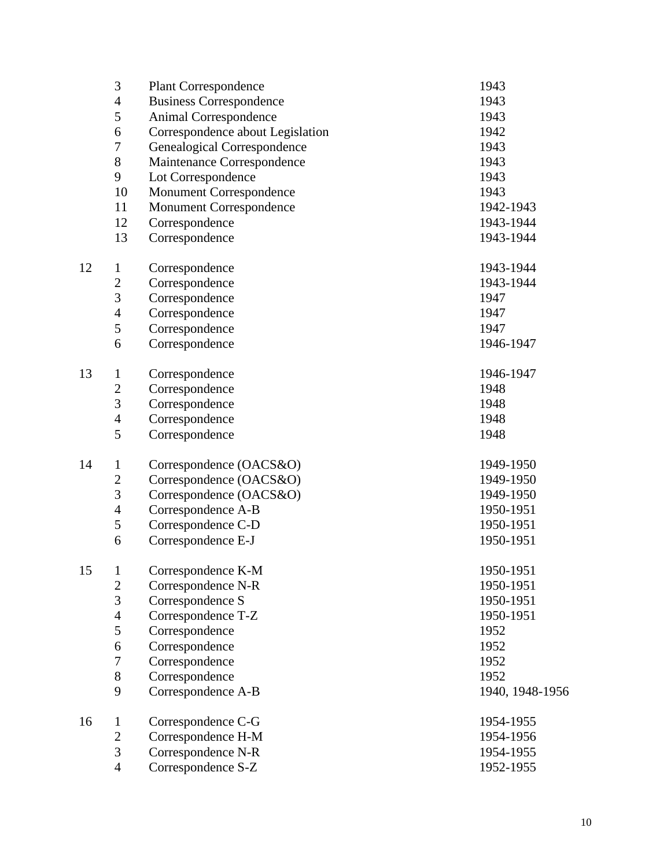|    | 3                | <b>Plant Correspondence</b>      | 1943            |
|----|------------------|----------------------------------|-----------------|
|    | $\overline{4}$   | <b>Business Correspondence</b>   | 1943            |
|    | 5                | Animal Correspondence            | 1943            |
|    | 6                | Correspondence about Legislation | 1942            |
|    | $\boldsymbol{7}$ | Genealogical Correspondence      | 1943            |
|    | $8\,$            | Maintenance Correspondence       | 1943            |
|    | 9                | Lot Correspondence               | 1943            |
|    | 10               | Monument Correspondence          | 1943            |
|    | 11               | <b>Monument Correspondence</b>   | 1942-1943       |
|    | 12               | Correspondence                   | 1943-1944       |
|    | 13               | Correspondence                   | 1943-1944       |
| 12 | $\mathbf{1}$     | Correspondence                   | 1943-1944       |
|    | $\boldsymbol{2}$ | Correspondence                   | 1943-1944       |
|    | 3                | Correspondence                   | 1947            |
|    | $\overline{4}$   | Correspondence                   | 1947            |
|    | 5                | Correspondence                   | 1947            |
|    | 6                | Correspondence                   | 1946-1947       |
| 13 | $\mathbf{1}$     | Correspondence                   | 1946-1947       |
|    | $\boldsymbol{2}$ | Correspondence                   | 1948            |
|    | $\overline{3}$   | Correspondence                   | 1948            |
|    | $\overline{4}$   | Correspondence                   | 1948            |
|    | 5                | Correspondence                   | 1948            |
| 14 | $\mathbf{1}$     | Correspondence (OACS&O)          | 1949-1950       |
|    | $\boldsymbol{2}$ | Correspondence (OACS&O)          | 1949-1950       |
|    | 3                | Correspondence (OACS&O)          | 1949-1950       |
|    | $\overline{4}$   | Correspondence A-B               | 1950-1951       |
|    | 5                | Correspondence C-D               | 1950-1951       |
|    | 6                | Correspondence E-J               | 1950-1951       |
| 15 | $\mathbf{1}$     | Correspondence K-M               | 1950-1951       |
|    | $\mathbf{2}$     | Correspondence N-R               | 1950-1951       |
|    | 3                | Correspondence S                 | 1950-1951       |
|    | $\overline{4}$   | Correspondence T-Z               | 1950-1951       |
|    | 5                | Correspondence                   | 1952            |
|    | 6                | Correspondence                   | 1952            |
|    | $\boldsymbol{7}$ | Correspondence                   | 1952            |
|    | $8\,$            | Correspondence                   | 1952            |
|    | 9                | Correspondence A-B               | 1940, 1948-1956 |
| 16 | $\mathbf{1}$     | Correspondence C-G               | 1954-1955       |
|    | $\mathbf{2}$     | Correspondence H-M               | 1954-1956       |
|    | 3                | Correspondence N-R               | 1954-1955       |
|    | $\overline{4}$   | Correspondence S-Z               | 1952-1955       |
|    |                  |                                  |                 |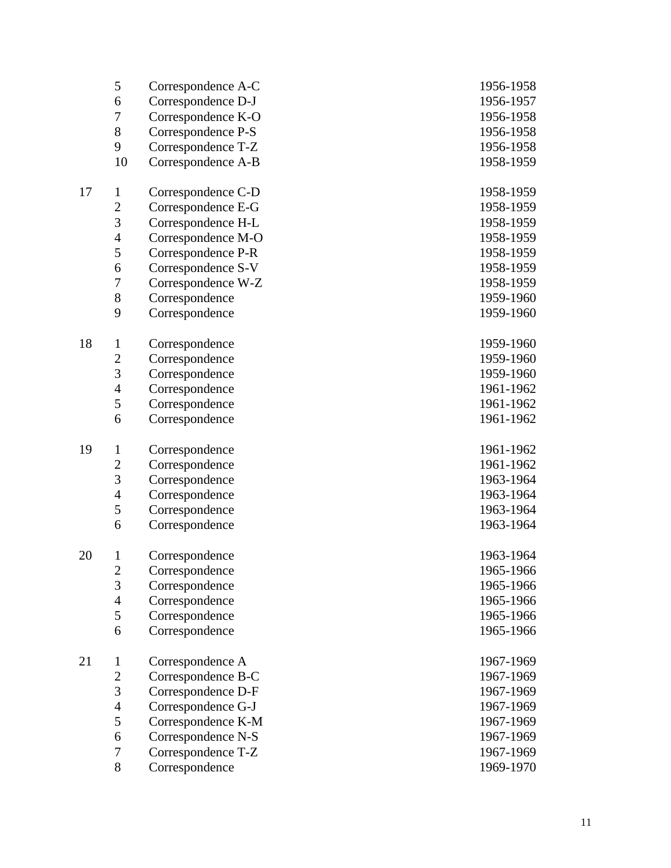|    | 5                       | Correspondence A-C | 1956-1958 |
|----|-------------------------|--------------------|-----------|
|    | 6                       | Correspondence D-J | 1956-1957 |
|    | $\boldsymbol{7}$        | Correspondence K-O | 1956-1958 |
|    | $8\,$                   | Correspondence P-S | 1956-1958 |
|    | 9                       | Correspondence T-Z | 1956-1958 |
|    | 10                      | Correspondence A-B | 1958-1959 |
|    |                         |                    |           |
| 17 | $\mathbf{1}$            | Correspondence C-D | 1958-1959 |
|    | $\sqrt{2}$              | Correspondence E-G | 1958-1959 |
|    | 3                       | Correspondence H-L | 1958-1959 |
|    | $\overline{4}$          | Correspondence M-O | 1958-1959 |
|    | $\mathfrak s$           | Correspondence P-R | 1958-1959 |
|    | 6                       | Correspondence S-V | 1958-1959 |
|    | $\boldsymbol{7}$        | Correspondence W-Z | 1958-1959 |
|    | 8                       | Correspondence     | 1959-1960 |
|    | 9                       | Correspondence     | 1959-1960 |
|    |                         |                    |           |
| 18 | $\mathbf{1}$            | Correspondence     | 1959-1960 |
|    | $\overline{c}$          | Correspondence     | 1959-1960 |
|    | $\overline{3}$          | Correspondence     | 1959-1960 |
|    | $\overline{4}$          | Correspondence     | 1961-1962 |
|    | $\mathfrak s$           | Correspondence     | 1961-1962 |
|    | 6                       | Correspondence     | 1961-1962 |
| 19 | $\mathbf{1}$            | Correspondence     | 1961-1962 |
|    | $\overline{\mathbf{c}}$ | Correspondence     | 1961-1962 |
|    | $\overline{3}$          | Correspondence     | 1963-1964 |
|    | $\overline{4}$          | Correspondence     | 1963-1964 |
|    | 5                       | Correspondence     | 1963-1964 |
|    | 6                       | Correspondence     | 1963-1964 |
|    |                         |                    |           |
| 20 | $\mathbf{1}$            | Correspondence     | 1963-1964 |
|    | $\sqrt{2}$              | Correspondence     | 1965-1966 |
|    | 3                       | Correspondence     | 1965-1966 |
|    | $\overline{4}$          | Correspondence     | 1965-1966 |
|    | 5                       | Correspondence     | 1965-1966 |
|    | 6                       | Correspondence     | 1965-1966 |
|    |                         |                    |           |
| 21 | $\mathbf{1}$            | Correspondence A   | 1967-1969 |
|    | $\boldsymbol{2}$        | Correspondence B-C | 1967-1969 |
|    | 3                       | Correspondence D-F | 1967-1969 |
|    | $\overline{4}$          | Correspondence G-J | 1967-1969 |
|    | 5                       | Correspondence K-M | 1967-1969 |
|    | 6                       | Correspondence N-S | 1967-1969 |
|    | $\boldsymbol{7}$        | Correspondence T-Z | 1967-1969 |
|    | 8                       | Correspondence     | 1969-1970 |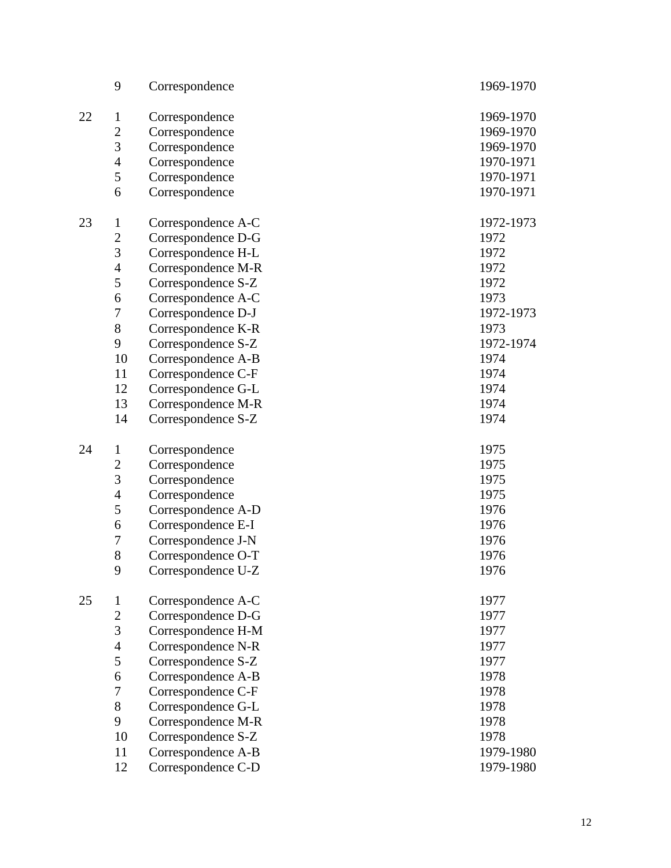|    | 9                | Correspondence     | 1969-1970 |
|----|------------------|--------------------|-----------|
| 22 | $\mathbf{1}$     | Correspondence     | 1969-1970 |
|    | $\boldsymbol{2}$ | Correspondence     | 1969-1970 |
|    | 3                | Correspondence     | 1969-1970 |
|    | $\overline{4}$   | Correspondence     | 1970-1971 |
|    | $\mathfrak s$    | Correspondence     | 1970-1971 |
|    | 6                |                    | 1970-1971 |
|    |                  | Correspondence     |           |
| 23 | $\mathbf{1}$     | Correspondence A-C | 1972-1973 |
|    | $\boldsymbol{2}$ | Correspondence D-G | 1972      |
|    | 3                | Correspondence H-L | 1972      |
|    | $\overline{4}$   | Correspondence M-R | 1972      |
|    | 5                | Correspondence S-Z | 1972      |
|    | 6                | Correspondence A-C | 1973      |
|    | $\boldsymbol{7}$ | Correspondence D-J | 1972-1973 |
|    | $8\,$            | Correspondence K-R | 1973      |
|    | 9                | Correspondence S-Z | 1972-1974 |
|    | 10               | Correspondence A-B | 1974      |
|    | 11               | Correspondence C-F | 1974      |
|    | 12               | Correspondence G-L | 1974      |
|    | 13               | Correspondence M-R | 1974      |
|    | 14               | Correspondence S-Z | 1974      |
|    |                  |                    |           |
| 24 | $\mathbf{1}$     | Correspondence     | 1975      |
|    | $\overline{c}$   | Correspondence     | 1975      |
|    | 3                | Correspondence     | 1975      |
|    | $\overline{4}$   | Correspondence     | 1975      |
|    | 5                | Correspondence A-D | 1976      |
|    | 6                | Correspondence E-I | 1976      |
|    | $\overline{7}$   | Correspondence J-N | 1976      |
|    | 8                | Correspondence O-T | 1976      |
|    | 9                | Correspondence U-Z | 1976      |
|    |                  |                    |           |
| 25 | $\mathbf{1}$     | Correspondence A-C | 1977      |
|    | $\boldsymbol{2}$ | Correspondence D-G | 1977      |
|    | 3                | Correspondence H-M | 1977      |
|    | $\overline{4}$   | Correspondence N-R | 1977      |
|    | 5                | Correspondence S-Z | 1977      |
|    | 6                | Correspondence A-B | 1978      |
|    | $\tau$           | Correspondence C-F | 1978      |
|    | $8\,$            | Correspondence G-L | 1978      |
|    | 9                | Correspondence M-R | 1978      |
|    | 10               | Correspondence S-Z | 1978      |
|    | 11               | Correspondence A-B | 1979-1980 |
|    | 12               | Correspondence C-D | 1979-1980 |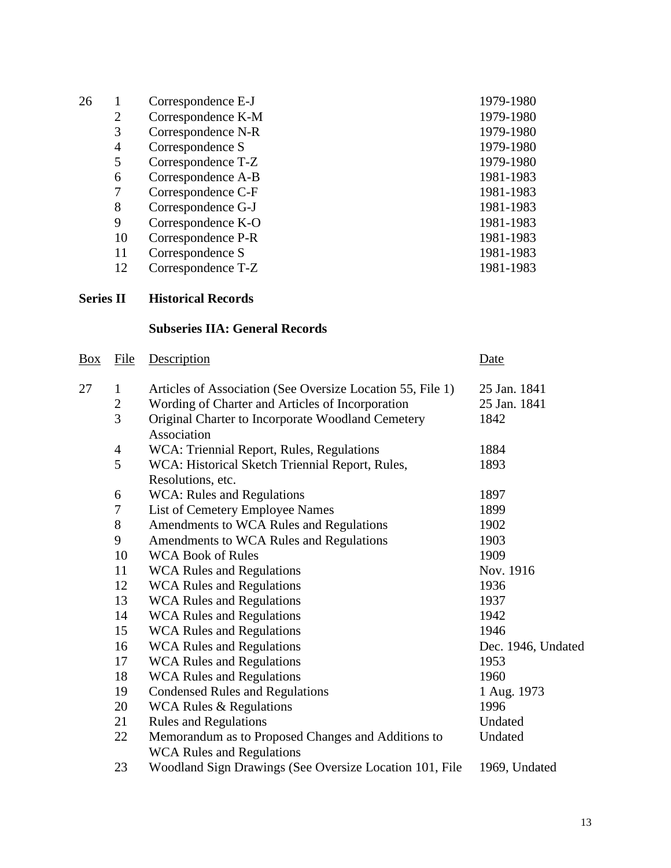| 26 |    | Correspondence E-J | 1979-1980 |
|----|----|--------------------|-----------|
|    | 2  | Correspondence K-M | 1979-1980 |
|    | 3  | Correspondence N-R | 1979-1980 |
|    | 4  | Correspondence S   | 1979-1980 |
|    | 5  | Correspondence T-Z | 1979-1980 |
|    | 6  | Correspondence A-B | 1981-1983 |
|    |    | Correspondence C-F | 1981-1983 |
|    | 8  | Correspondence G-J | 1981-1983 |
|    | 9  | Correspondence K-O | 1981-1983 |
|    | 10 | Correspondence P-R | 1981-1983 |
|    | 11 | Correspondence S   | 1981-1983 |
|    | 12 | Correspondence T-Z | 1981-1983 |

# **Series II Historical Records**

# **Subseries IIA: General Records**

| <u>Box</u> | File           | Description                                                | Date               |
|------------|----------------|------------------------------------------------------------|--------------------|
| 27         | $\mathbf{1}$   | Articles of Association (See Oversize Location 55, File 1) | 25 Jan. 1841       |
|            | $\overline{c}$ | Wording of Charter and Articles of Incorporation           | 25 Jan. 1841       |
|            | $\overline{3}$ | Original Charter to Incorporate Woodland Cemetery          | 1842               |
|            |                | Association                                                |                    |
|            | $\overline{4}$ | WCA: Triennial Report, Rules, Regulations                  | 1884               |
|            | 5              | WCA: Historical Sketch Triennial Report, Rules,            | 1893               |
|            |                | Resolutions, etc.                                          |                    |
|            | 6              | <b>WCA: Rules and Regulations</b>                          | 1897               |
|            | $\sqrt{ }$     | List of Cemetery Employee Names                            | 1899               |
|            | 8              | Amendments to WCA Rules and Regulations                    | 1902               |
|            | 9              | Amendments to WCA Rules and Regulations                    | 1903               |
|            | 10             | <b>WCA Book of Rules</b>                                   | 1909               |
|            | 11             | <b>WCA Rules and Regulations</b>                           | Nov. 1916          |
|            | 12             | <b>WCA Rules and Regulations</b>                           | 1936               |
|            | 13             | <b>WCA Rules and Regulations</b>                           | 1937               |
|            | 14             | <b>WCA Rules and Regulations</b>                           | 1942               |
|            | 15             | <b>WCA Rules and Regulations</b>                           | 1946               |
|            | 16             | <b>WCA Rules and Regulations</b>                           | Dec. 1946, Undated |
|            | 17             | <b>WCA Rules and Regulations</b>                           | 1953               |
|            | 18             | <b>WCA Rules and Regulations</b>                           | 1960               |
|            | 19             | <b>Condensed Rules and Regulations</b>                     | 1 Aug. 1973        |
|            | 20             | <b>WCA Rules &amp; Regulations</b>                         | 1996               |
|            | 21             | <b>Rules and Regulations</b>                               | Undated            |
|            | 22             | Memorandum as to Proposed Changes and Additions to         | Undated            |
|            |                | <b>WCA Rules and Regulations</b>                           |                    |
|            | 23             | Woodland Sign Drawings (See Oversize Location 101, File    | 1969, Undated      |
|            |                |                                                            |                    |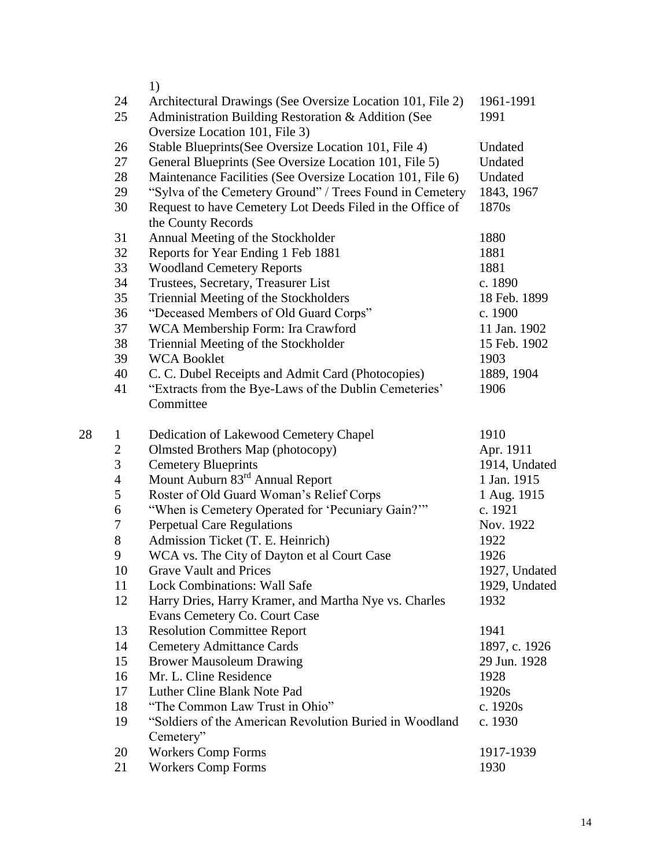1)

|    | 24             | Architectural Drawings (See Oversize Location 101, File 2)                            | 1961-1991     |
|----|----------------|---------------------------------------------------------------------------------------|---------------|
|    | 25             | Administration Building Restoration & Addition (See<br>Oversize Location 101, File 3) | 1991          |
|    | 26             | Stable Blueprints (See Oversize Location 101, File 4)                                 | Undated       |
|    | 27             | General Blueprints (See Oversize Location 101, File 5)                                | Undated       |
|    | 28             | Maintenance Facilities (See Oversize Location 101, File 6)                            | Undated       |
|    | 29             | "Sylva of the Cemetery Ground" / Trees Found in Cemetery                              | 1843, 1967    |
|    | 30             | Request to have Cemetery Lot Deeds Filed in the Office of                             | 1870s         |
|    |                | the County Records                                                                    |               |
|    | 31             | Annual Meeting of the Stockholder                                                     | 1880          |
|    | 32             | Reports for Year Ending 1 Feb 1881                                                    | 1881          |
|    | 33             | <b>Woodland Cemetery Reports</b>                                                      | 1881          |
|    | 34             | Trustees, Secretary, Treasurer List                                                   | c. 1890       |
|    | 35             | Triennial Meeting of the Stockholders                                                 | 18 Feb. 1899  |
|    | 36             | "Deceased Members of Old Guard Corps"                                                 | c. 1900       |
|    | 37             | WCA Membership Form: Ira Crawford                                                     | 11 Jan. 1902  |
|    | 38             | Triennial Meeting of the Stockholder                                                  | 15 Feb. 1902  |
|    | 39             | <b>WCA Booklet</b>                                                                    | 1903          |
|    | 40             | C. C. Dubel Receipts and Admit Card (Photocopies)                                     | 1889, 1904    |
|    | 41             | "Extracts from the Bye-Laws of the Dublin Cemeteries"                                 | 1906          |
|    |                | Committee                                                                             |               |
| 28 | $\mathbf{1}$   | Dedication of Lakewood Cemetery Chapel                                                | 1910          |
|    | $\mathbf{2}$   | <b>Olmsted Brothers Map (photocopy)</b>                                               | Apr. 1911     |
|    | 3              | <b>Cemetery Blueprints</b>                                                            | 1914, Undated |
|    | $\overline{4}$ | Mount Auburn 83 <sup>rd</sup> Annual Report                                           | 1 Jan. 1915   |
|    | $\mathfrak s$  | Roster of Old Guard Woman's Relief Corps                                              | 1 Aug. 1915   |
|    | 6              | "When is Cemetery Operated for 'Pecuniary Gain?""                                     | c. 1921       |
|    | 7              | <b>Perpetual Care Regulations</b>                                                     | Nov. 1922     |
|    | $8\,$          | Admission Ticket (T. E. Heinrich)                                                     | 1922          |
|    | 9              | WCA vs. The City of Dayton et al Court Case                                           | 1926          |
|    | 10             | <b>Grave Vault and Prices</b>                                                         | 1927, Undated |
|    | 11             | <b>Lock Combinations: Wall Safe</b>                                                   | 1929, Undated |
|    | 12             | Harry Dries, Harry Kramer, and Martha Nye vs. Charles                                 | 1932          |
|    |                | Evans Cemetery Co. Court Case                                                         |               |
|    | 13             | <b>Resolution Committee Report</b>                                                    | 1941          |
|    | 14             | <b>Cemetery Admittance Cards</b>                                                      | 1897, c. 1926 |
|    | 15             | <b>Brower Mausoleum Drawing</b>                                                       | 29 Jun. 1928  |
|    | 16             | Mr. L. Cline Residence                                                                | 1928          |
|    | 17             | Luther Cline Blank Note Pad                                                           | 1920s         |
|    | 18             | "The Common Law Trust in Ohio"                                                        | c. 1920s      |
|    | 19             | "Soldiers of the American Revolution Buried in Woodland<br>Cemetery"                  | c. 1930       |
|    | 20             | <b>Workers Comp Forms</b>                                                             | 1917-1939     |
|    | 21             | <b>Workers Comp Forms</b>                                                             | 1930          |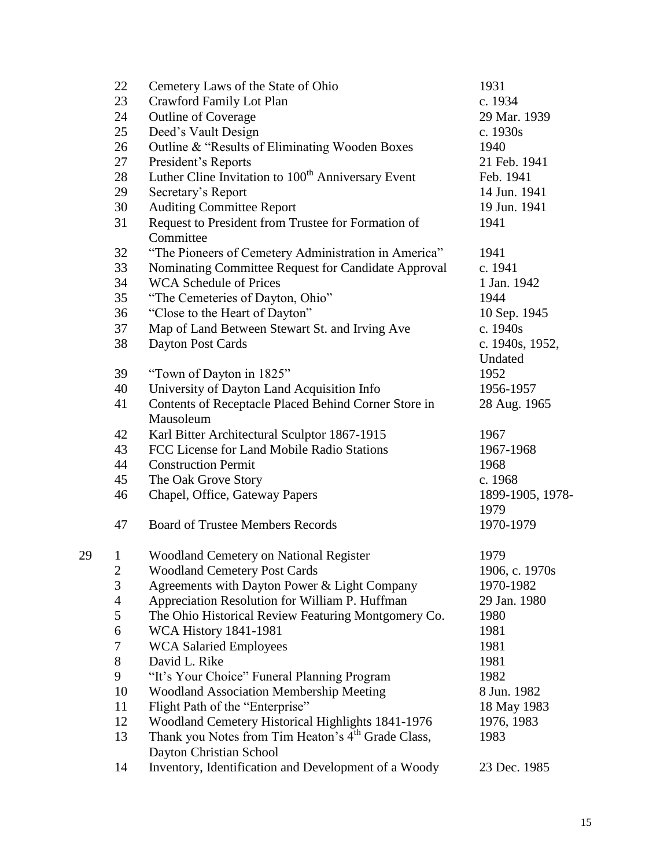|    | 22                       | Cemetery Laws of the State of Ohio                                                   | 1931             |
|----|--------------------------|--------------------------------------------------------------------------------------|------------------|
|    | 23                       | Crawford Family Lot Plan                                                             | c. 1934          |
|    | 24                       | <b>Outline of Coverage</b>                                                           | 29 Mar. 1939     |
|    | 25                       | Deed's Vault Design                                                                  | c. 1930s         |
|    | 26                       | Outline & "Results of Eliminating Wooden Boxes                                       | 1940             |
|    | 27                       | President's Reports                                                                  | 21 Feb. 1941     |
|    | 28                       | Luther Cline Invitation to 100 <sup>th</sup> Anniversary Event                       | Feb. 1941        |
|    | 29                       | Secretary's Report                                                                   | 14 Jun. 1941     |
|    | 30                       | <b>Auditing Committee Report</b>                                                     | 19 Jun. 1941     |
|    | 31                       | Request to President from Trustee for Formation of                                   | 1941             |
|    |                          | Committee                                                                            |                  |
|    | 32                       | "The Pioneers of Cemetery Administration in America"                                 | 1941             |
|    | 33                       | Nominating Committee Request for Candidate Approval                                  | c. 1941          |
|    | 34                       | <b>WCA Schedule of Prices</b>                                                        | 1 Jan. 1942      |
|    | 35                       | "The Cemeteries of Dayton, Ohio"                                                     | 1944             |
|    | 36                       | "Close to the Heart of Dayton"                                                       | 10 Sep. 1945     |
|    | 37                       | Map of Land Between Stewart St. and Irving Ave                                       | c. 1940s         |
|    | 38                       | Dayton Post Cards                                                                    | c. 1940s, 1952,  |
|    |                          |                                                                                      | Undated          |
|    | 39                       | "Town of Dayton in 1825"                                                             | 1952             |
|    | 40                       | University of Dayton Land Acquisition Info                                           | 1956-1957        |
|    | 41                       | Contents of Receptacle Placed Behind Corner Store in                                 | 28 Aug. 1965     |
|    |                          | Mausoleum                                                                            |                  |
|    | 42                       | Karl Bitter Architectural Sculptor 1867-1915                                         | 1967             |
|    | 43                       | FCC License for Land Mobile Radio Stations                                           | 1967-1968        |
|    | 44                       | <b>Construction Permit</b>                                                           | 1968             |
|    | 45                       | The Oak Grove Story                                                                  | c. 1968          |
|    | 46                       | Chapel, Office, Gateway Papers                                                       | 1899-1905, 1978- |
|    |                          |                                                                                      | 1979             |
|    | 47                       | <b>Board of Trustee Members Records</b>                                              | 1970-1979        |
| 29 | $\mathbf{1}$             |                                                                                      | 1979             |
|    | $\overline{\mathbf{c}}$  | <b>Woodland Cemetery on National Register</b><br><b>Woodland Cemetery Post Cards</b> | 1906, c. 1970s   |
|    | 3                        | Agreements with Dayton Power & Light Company                                         | 1970-1982        |
|    | $\overline{\mathcal{A}}$ | Appreciation Resolution for William P. Huffman                                       | 29 Jan. 1980     |
|    | 5                        | The Ohio Historical Review Featuring Montgomery Co.                                  | 1980             |
|    | 6                        | <b>WCA History 1841-1981</b>                                                         | 1981             |
|    | 7                        | <b>WCA Salaried Employees</b>                                                        | 1981             |
|    | $8\,$                    | David L. Rike                                                                        | 1981             |
|    | 9                        | "It's Your Choice" Funeral Planning Program                                          | 1982             |
|    | 10                       | <b>Woodland Association Membership Meeting</b>                                       | 8 Jun. 1982      |
|    | 11                       | Flight Path of the "Enterprise"                                                      | 18 May 1983      |
|    | 12                       | Woodland Cemetery Historical Highlights 1841-1976                                    | 1976, 1983       |
|    | 13                       | Thank you Notes from Tim Heaton's 4 <sup>th</sup> Grade Class,                       | 1983             |
|    |                          | Dayton Christian School                                                              |                  |
|    | 14                       | Inventory, Identification and Development of a Woody                                 | 23 Dec. 1985     |
|    |                          |                                                                                      |                  |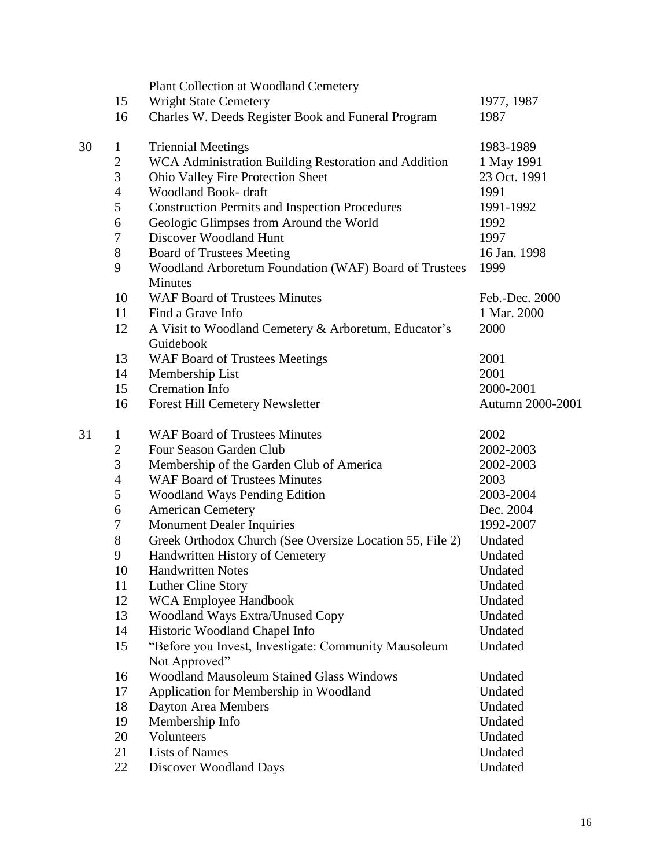|    |                  | Plant Collection at Woodland Cemetery                                 |                  |
|----|------------------|-----------------------------------------------------------------------|------------------|
|    | 15               | <b>Wright State Cemetery</b>                                          | 1977, 1987       |
|    | 16               | Charles W. Deeds Register Book and Funeral Program                    | 1987             |
| 30 | $\mathbf{1}$     | <b>Triennial Meetings</b>                                             | 1983-1989        |
|    | $\boldsymbol{2}$ | WCA Administration Building Restoration and Addition                  | 1 May 1991       |
|    | $\overline{3}$   | Ohio Valley Fire Protection Sheet                                     | 23 Oct. 1991     |
|    | $\overline{4}$   | Woodland Book- draft                                                  | 1991             |
|    | 5                | <b>Construction Permits and Inspection Procedures</b>                 | 1991-1992        |
|    | 6                | Geologic Glimpses from Around the World                               | 1992             |
|    | 7                | Discover Woodland Hunt                                                | 1997             |
|    | $8\,$            | <b>Board of Trustees Meeting</b>                                      | 16 Jan. 1998     |
|    | 9                | Woodland Arboretum Foundation (WAF) Board of Trustees<br>Minutes      | 1999             |
|    | 10               | <b>WAF Board of Trustees Minutes</b>                                  | Feb.-Dec. 2000   |
|    | 11               | Find a Grave Info                                                     | 1 Mar. 2000      |
|    | 12               | A Visit to Woodland Cemetery & Arboretum, Educator's<br>Guidebook     | 2000             |
|    | 13               | <b>WAF Board of Trustees Meetings</b>                                 | 2001             |
|    | 14               | Membership List                                                       | 2001             |
|    | 15               | <b>Cremation Info</b>                                                 | 2000-2001        |
|    | 16               | <b>Forest Hill Cemetery Newsletter</b>                                | Autumn 2000-2001 |
| 31 | $\mathbf{1}$     | <b>WAF Board of Trustees Minutes</b>                                  | 2002             |
|    | $\mathbf{2}$     | Four Season Garden Club                                               | 2002-2003        |
|    | 3                | Membership of the Garden Club of America                              | 2002-2003        |
|    | $\overline{4}$   | <b>WAF Board of Trustees Minutes</b>                                  | 2003             |
|    | $\mathfrak s$    | Woodland Ways Pending Edition                                         | 2003-2004        |
|    | 6                | <b>American Cemetery</b>                                              | Dec. 2004        |
|    | $\boldsymbol{7}$ | <b>Monument Dealer Inquiries</b>                                      | 1992-2007        |
|    | $8\,$            | Greek Orthodox Church (See Oversize Location 55, File 2)              | Undated          |
|    | 9                | Handwritten History of Cemetery                                       | Undated          |
|    | 10               | <b>Handwritten Notes</b>                                              | Undated          |
|    | 11               | Luther Cline Story                                                    | Undated          |
|    | 12               | <b>WCA Employee Handbook</b>                                          | Undated          |
|    | 13               | <b>Woodland Ways Extra/Unused Copy</b>                                | Undated          |
|    | 14               | Historic Woodland Chapel Info                                         | Undated          |
|    | 15               | "Before you Invest, Investigate: Community Mausoleum<br>Not Approved" | Undated          |
|    | 16               | <b>Woodland Mausoleum Stained Glass Windows</b>                       | Undated          |
|    | 17               | Application for Membership in Woodland                                | Undated          |
|    | 18               | Dayton Area Members                                                   | Undated          |
|    | 19               | Membership Info                                                       | Undated          |
|    | 20               | Volunteers                                                            | Undated          |
|    | 21               | <b>Lists of Names</b>                                                 | Undated          |
|    | 22               | <b>Discover Woodland Days</b>                                         | Undated          |
|    |                  |                                                                       |                  |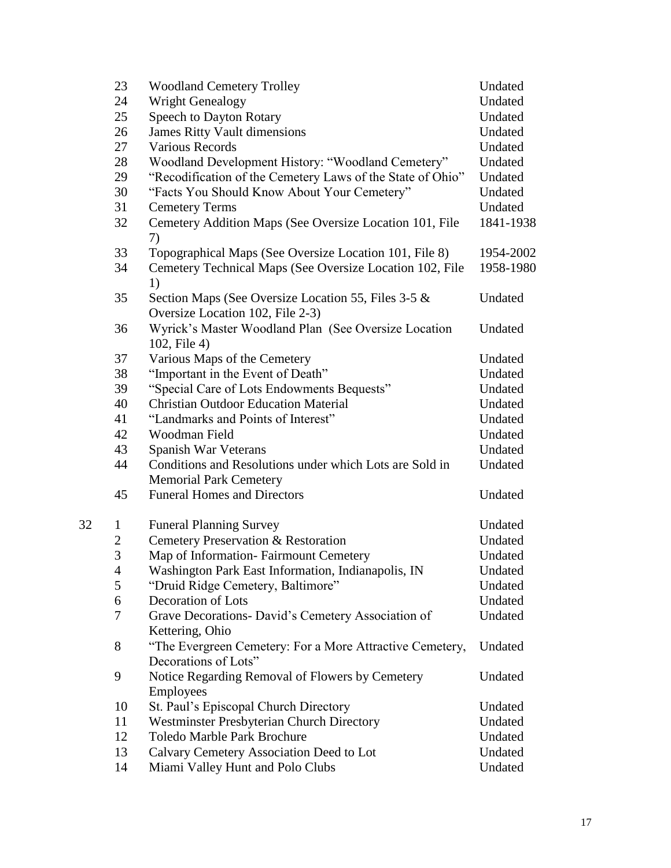|    | 23             | <b>Woodland Cemetery Trolley</b>                                                 | Undated            |
|----|----------------|----------------------------------------------------------------------------------|--------------------|
|    | 24             | <b>Wright Genealogy</b>                                                          | Undated            |
|    | 25             | <b>Speech to Dayton Rotary</b>                                                   | Undated            |
|    | 26             | <b>James Ritty Vault dimensions</b>                                              | Undated            |
|    | 27             | <b>Various Records</b>                                                           | Undated            |
|    | 28             | Woodland Development History: "Woodland Cemetery"                                | Undated            |
|    | 29             | "Recodification of the Cemetery Laws of the State of Ohio"                       | Undated            |
|    | 30             | "Facts You Should Know About Your Cemetery"                                      | Undated            |
|    | 31             | <b>Cemetery Terms</b>                                                            | Undated            |
|    | 32             | Cemetery Addition Maps (See Oversize Location 101, File                          | 1841-1938          |
|    |                | 7)                                                                               |                    |
|    | 33             | Topographical Maps (See Oversize Location 101, File 8)                           | 1954-2002          |
|    | 34             | Cemetery Technical Maps (See Oversize Location 102, File                         | 1958-1980          |
|    |                | 1)                                                                               |                    |
|    | 35             | Section Maps (See Oversize Location 55, Files 3-5 &                              | Undated            |
|    |                | Oversize Location 102, File 2-3)                                                 |                    |
|    | 36             | Wyrick's Master Woodland Plan (See Oversize Location                             | Undated            |
|    |                | 102, File 4)                                                                     |                    |
|    | 37             | Various Maps of the Cemetery                                                     | Undated            |
|    | 38             | "Important in the Event of Death"                                                | Undated            |
|    | 39             | "Special Care of Lots Endowments Bequests"                                       | Undated            |
|    | 40             | <b>Christian Outdoor Education Material</b>                                      | Undated            |
|    | 41             | "Landmarks and Points of Interest"                                               | Undated            |
|    | 42             | Woodman Field                                                                    | Undated            |
|    | 43             | Spanish War Veterans                                                             | Undated            |
|    | 44             | Conditions and Resolutions under which Lots are Sold in                          | Undated            |
|    |                | <b>Memorial Park Cemetery</b>                                                    |                    |
|    | 45             | <b>Funeral Homes and Directors</b>                                               | Undated            |
|    |                |                                                                                  |                    |
| 32 | $\mathbf{1}$   | <b>Funeral Planning Survey</b>                                                   | Undated            |
|    | $\overline{c}$ | Cemetery Preservation & Restoration                                              | Undated            |
|    | 3              | Map of Information-Fairmount Cemetery                                            | Undated            |
|    | 4              | Washington Park East Information, Indianapolis, IN                               | Undated            |
|    | 5              | "Druid Ridge Cemetery, Baltimore"                                                | Undated            |
|    | 6              | Decoration of Lots                                                               | Undated            |
|    | 7              | Grave Decorations- David's Cemetery Association of                               | Undated            |
|    | 8              | Kettering, Ohio                                                                  |                    |
|    |                | "The Evergreen Cemetery: For a More Attractive Cemetery,<br>Decorations of Lots" | Undated            |
|    | 9              | Notice Regarding Removal of Flowers by Cemetery                                  | Undated            |
|    |                |                                                                                  |                    |
|    |                | <b>Employees</b>                                                                 |                    |
|    | 10             | St. Paul's Episcopal Church Directory                                            | Undated            |
|    | 11<br>12       | Westminster Presbyterian Church Directory<br><b>Toledo Marble Park Brochure</b>  | Undated<br>Undated |
|    |                |                                                                                  |                    |
|    | 13             | Calvary Cemetery Association Deed to Lot                                         | Undated            |
|    | 14             | Miami Valley Hunt and Polo Clubs                                                 | Undated            |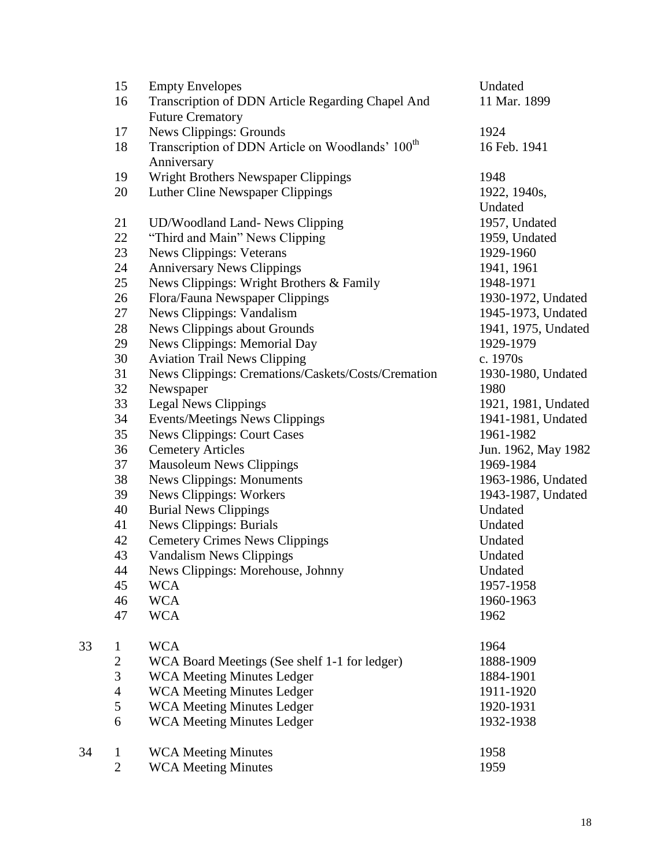|    | 15             | <b>Empty Envelopes</b>                                       | Undated             |
|----|----------------|--------------------------------------------------------------|---------------------|
|    | 16             | Transcription of DDN Article Regarding Chapel And            | 11 Mar. 1899        |
|    |                | <b>Future Crematory</b>                                      |                     |
|    | 17             | <b>News Clippings: Grounds</b>                               | 1924                |
|    | 18             | Transcription of DDN Article on Woodlands' 100 <sup>th</sup> | 16 Feb. 1941        |
|    |                | Anniversary                                                  |                     |
|    | 19             | Wright Brothers Newspaper Clippings                          | 1948                |
|    | 20             | Luther Cline Newspaper Clippings                             | 1922, 1940s,        |
|    |                |                                                              | Undated             |
|    | 21             | <b>UD/Woodland Land- News Clipping</b>                       | 1957, Undated       |
|    | 22             | "Third and Main" News Clipping                               | 1959, Undated       |
|    | 23             | <b>News Clippings: Veterans</b>                              | 1929-1960           |
|    | 24             | <b>Anniversary News Clippings</b>                            | 1941, 1961          |
|    | 25             | News Clippings: Wright Brothers & Family                     | 1948-1971           |
|    | 26             | Flora/Fauna Newspaper Clippings                              | 1930-1972, Undated  |
|    | 27             | News Clippings: Vandalism                                    | 1945-1973, Undated  |
|    | 28             | News Clippings about Grounds                                 | 1941, 1975, Undated |
|    | 29             | News Clippings: Memorial Day                                 | 1929-1979           |
|    | 30             | <b>Aviation Trail News Clipping</b>                          | c. 1970s            |
|    | 31             | News Clippings: Cremations/Caskets/Costs/Cremation           | 1930-1980, Undated  |
|    | 32             | Newspaper                                                    | 1980                |
|    | 33             | <b>Legal News Clippings</b>                                  | 1921, 1981, Undated |
|    | 34             | Events/Meetings News Clippings                               | 1941-1981, Undated  |
|    | 35             | <b>News Clippings: Court Cases</b>                           | 1961-1982           |
|    | 36             | <b>Cemetery Articles</b>                                     | Jun. 1962, May 1982 |
|    | 37             | <b>Mausoleum News Clippings</b>                              | 1969-1984           |
|    | 38             | <b>News Clippings: Monuments</b>                             | 1963-1986, Undated  |
|    | 39             | <b>News Clippings: Workers</b>                               | 1943-1987, Undated  |
|    | 40             | <b>Burial News Clippings</b>                                 | Undated             |
|    | 41             | <b>News Clippings: Burials</b>                               | Undated             |
|    | 42             | <b>Cemetery Crimes News Clippings</b>                        | Undated             |
|    | 43             | <b>Vandalism News Clippings</b>                              | Undated             |
|    | 44             | News Clippings: Morehouse, Johnny                            | Undated             |
|    | 45             | <b>WCA</b>                                                   | 1957-1958           |
|    | 46             | <b>WCA</b>                                                   | 1960-1963           |
|    | 47             | <b>WCA</b>                                                   | 1962                |
| 33 | $\mathbf{1}$   | <b>WCA</b>                                                   | 1964                |
|    | $\overline{c}$ | WCA Board Meetings (See shelf 1-1 for ledger)                | 1888-1909           |
|    | 3              | <b>WCA Meeting Minutes Ledger</b>                            | 1884-1901           |
|    | $\overline{4}$ | <b>WCA Meeting Minutes Ledger</b>                            | 1911-1920           |
|    | 5              | <b>WCA Meeting Minutes Ledger</b>                            | 1920-1931           |
|    | 6              | <b>WCA Meeting Minutes Ledger</b>                            | 1932-1938           |
|    |                |                                                              |                     |
| 34 | $\mathbf 1$    | <b>WCA Meeting Minutes</b>                                   | 1958                |
|    | $\overline{2}$ | <b>WCA Meeting Minutes</b>                                   | 1959                |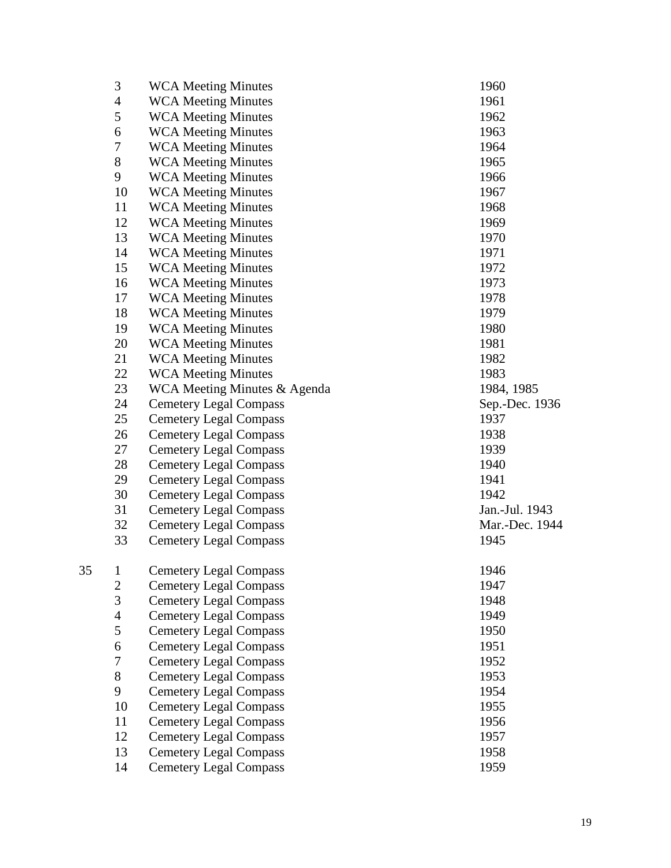| 3                              | <b>WCA Meeting Minutes</b>                                     | 1960           |
|--------------------------------|----------------------------------------------------------------|----------------|
| $\overline{4}$                 | <b>WCA Meeting Minutes</b>                                     | 1961           |
| 5                              | <b>WCA Meeting Minutes</b>                                     | 1962           |
| 6                              | <b>WCA Meeting Minutes</b>                                     | 1963           |
| 7                              | <b>WCA Meeting Minutes</b>                                     | 1964           |
| 8                              | <b>WCA Meeting Minutes</b>                                     | 1965           |
| 9                              | <b>WCA Meeting Minutes</b>                                     | 1966           |
| 10                             | <b>WCA Meeting Minutes</b>                                     | 1967           |
| 11                             | <b>WCA Meeting Minutes</b>                                     | 1968           |
| 12                             | <b>WCA Meeting Minutes</b>                                     | 1969           |
| 13                             | <b>WCA Meeting Minutes</b>                                     | 1970           |
| 14                             | <b>WCA Meeting Minutes</b>                                     | 1971           |
| 15                             | <b>WCA Meeting Minutes</b>                                     | 1972           |
| 16                             | <b>WCA Meeting Minutes</b>                                     | 1973           |
| 17                             | <b>WCA Meeting Minutes</b>                                     | 1978           |
| 18                             | <b>WCA Meeting Minutes</b>                                     | 1979           |
| 19                             | <b>WCA Meeting Minutes</b>                                     | 1980           |
| 20                             | <b>WCA Meeting Minutes</b>                                     | 1981           |
| 21                             | <b>WCA Meeting Minutes</b>                                     | 1982           |
| 22                             | <b>WCA Meeting Minutes</b>                                     | 1983           |
| 23                             | WCA Meeting Minutes & Agenda                                   | 1984, 1985     |
| 24                             | <b>Cemetery Legal Compass</b>                                  | Sep.-Dec. 1936 |
| 25                             | <b>Cemetery Legal Compass</b>                                  | 1937           |
| 26                             | <b>Cemetery Legal Compass</b>                                  | 1938           |
| 27                             | <b>Cemetery Legal Compass</b>                                  | 1939           |
| 28                             | <b>Cemetery Legal Compass</b>                                  | 1940           |
| 29                             | <b>Cemetery Legal Compass</b>                                  | 1941           |
| 30                             | <b>Cemetery Legal Compass</b>                                  | 1942           |
| 31                             | <b>Cemetery Legal Compass</b>                                  | Jan.-Jul. 1943 |
| 32                             | <b>Cemetery Legal Compass</b>                                  | Mar.-Dec. 1944 |
| 33                             | <b>Cemetery Legal Compass</b>                                  | 1945           |
|                                |                                                                |                |
| $\mathbf{1}$<br>$\overline{2}$ | <b>Cemetery Legal Compass</b>                                  | 1946<br>1947   |
| 3                              | <b>Cemetery Legal Compass</b><br><b>Cemetery Legal Compass</b> | 1948           |
| $\overline{4}$                 |                                                                | 1949           |
| 5                              | <b>Cemetery Legal Compass</b><br><b>Cemetery Legal Compass</b> | 1950           |
| 6                              | <b>Cemetery Legal Compass</b>                                  | 1951           |
| $\tau$                         | <b>Cemetery Legal Compass</b>                                  | 1952           |
| 8                              | <b>Cemetery Legal Compass</b>                                  | 1953           |
| 9                              |                                                                | 1954           |
| 10                             | <b>Cemetery Legal Compass</b>                                  | 1955           |
| 11                             | <b>Cemetery Legal Compass</b>                                  | 1956           |
| 12                             | <b>Cemetery Legal Compass</b><br><b>Cemetery Legal Compass</b> | 1957           |
| 13                             |                                                                | 1958           |
|                                | <b>Cemetery Legal Compass</b>                                  |                |
| 14                             | <b>Cemetery Legal Compass</b>                                  | 1959           |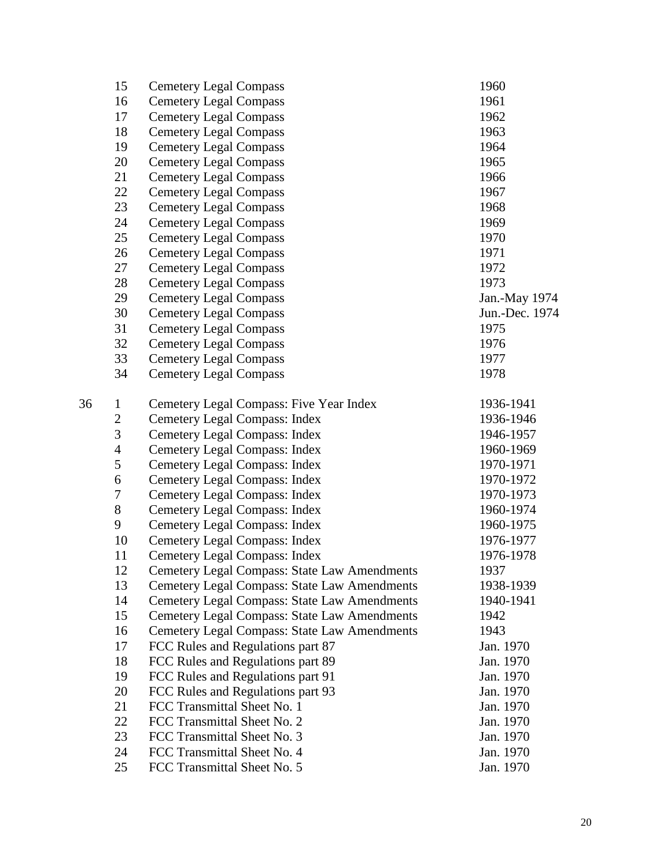|    | 15             | <b>Cemetery Legal Compass</b>                       | 1960           |
|----|----------------|-----------------------------------------------------|----------------|
|    | 16             | <b>Cemetery Legal Compass</b>                       | 1961           |
|    | 17             | <b>Cemetery Legal Compass</b>                       | 1962           |
|    | 18             | <b>Cemetery Legal Compass</b>                       | 1963           |
|    | 19             | <b>Cemetery Legal Compass</b>                       | 1964           |
|    | 20             | <b>Cemetery Legal Compass</b>                       | 1965           |
|    | 21             | <b>Cemetery Legal Compass</b>                       | 1966           |
|    | 22             | <b>Cemetery Legal Compass</b>                       | 1967           |
|    | 23             | <b>Cemetery Legal Compass</b>                       | 1968           |
|    | 24             | <b>Cemetery Legal Compass</b>                       | 1969           |
|    | 25             | <b>Cemetery Legal Compass</b>                       | 1970           |
|    | 26             | <b>Cemetery Legal Compass</b>                       | 1971           |
|    | 27             | <b>Cemetery Legal Compass</b>                       | 1972           |
|    | 28             | <b>Cemetery Legal Compass</b>                       | 1973           |
|    | 29             | <b>Cemetery Legal Compass</b>                       | Jan.-May 1974  |
|    | 30             | <b>Cemetery Legal Compass</b>                       | Jun.-Dec. 1974 |
|    | 31             | <b>Cemetery Legal Compass</b>                       | 1975           |
|    | 32             | <b>Cemetery Legal Compass</b>                       | 1976           |
|    | 33             | <b>Cemetery Legal Compass</b>                       | 1977           |
|    | 34             | <b>Cemetery Legal Compass</b>                       | 1978           |
| 36 | $\mathbf{1}$   | Cemetery Legal Compass: Five Year Index             | 1936-1941      |
|    | $\mathbf{2}$   | Cemetery Legal Compass: Index                       | 1936-1946      |
|    | 3              | <b>Cemetery Legal Compass: Index</b>                | 1946-1957      |
|    | $\overline{4}$ | <b>Cemetery Legal Compass: Index</b>                | 1960-1969      |
|    | $\mathfrak{S}$ | <b>Cemetery Legal Compass: Index</b>                | 1970-1971      |
|    | 6              | <b>Cemetery Legal Compass: Index</b>                | 1970-1972      |
|    | $\tau$         | <b>Cemetery Legal Compass: Index</b>                | 1970-1973      |
|    | 8              | <b>Cemetery Legal Compass: Index</b>                | 1960-1974      |
|    | 9              | <b>Cemetery Legal Compass: Index</b>                | 1960-1975      |
|    | 10             | <b>Cemetery Legal Compass: Index</b>                | 1976-1977      |
|    | 11             | <b>Cemetery Legal Compass: Index</b>                | 1976-1978      |
|    | 12             | Cemetery Legal Compass: State Law Amendments        | 1937           |
|    | 13             | <b>Cemetery Legal Compass: State Law Amendments</b> | 1938-1939      |
|    | 14             | <b>Cemetery Legal Compass: State Law Amendments</b> | 1940-1941      |
|    | 15             | <b>Cemetery Legal Compass: State Law Amendments</b> | 1942           |
|    | 16             | Cemetery Legal Compass: State Law Amendments        | 1943           |
|    | 17             | FCC Rules and Regulations part 87                   | Jan. 1970      |
|    | 18             | FCC Rules and Regulations part 89                   | Jan. 1970      |
|    | 19             | FCC Rules and Regulations part 91                   | Jan. 1970      |
|    | 20             | FCC Rules and Regulations part 93                   | Jan. 1970      |
|    | 21             | FCC Transmittal Sheet No. 1                         | Jan. 1970      |
|    | 22             | FCC Transmittal Sheet No. 2                         | Jan. 1970      |
|    | 23             | FCC Transmittal Sheet No. 3                         | Jan. 1970      |
|    | 24             | FCC Transmittal Sheet No. 4                         | Jan. 1970      |
|    | 25             | FCC Transmittal Sheet No. 5                         | Jan. 1970      |
|    |                |                                                     |                |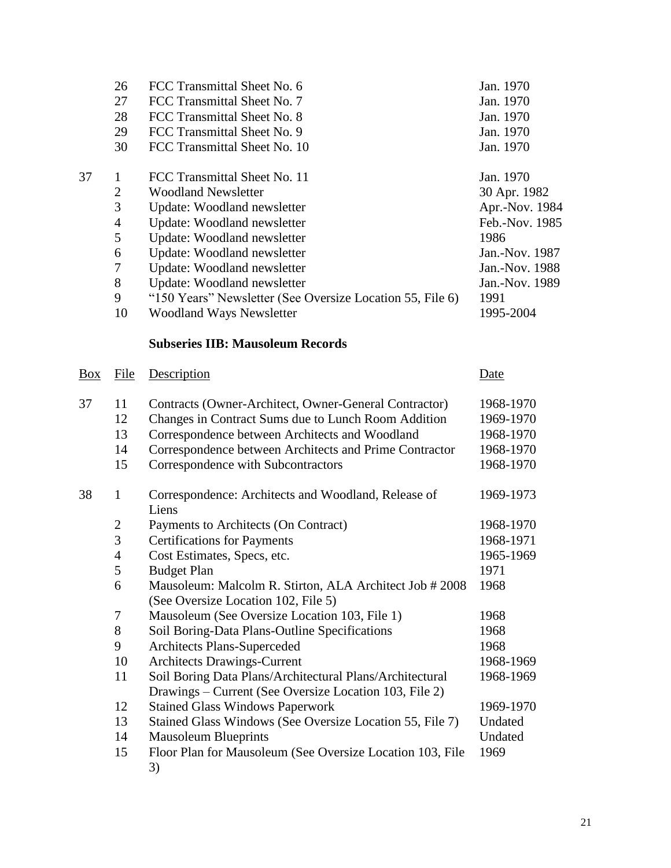|            | 26<br>27<br>28<br>29<br>30                                                               | FCC Transmittal Sheet No. 6<br>FCC Transmittal Sheet No. 7<br>FCC Transmittal Sheet No. 8<br>FCC Transmittal Sheet No. 9<br>FCC Transmittal Sheet No. 10                                                                                                                                                                                             | Jan. 1970<br>Jan. 1970<br>Jan. 1970<br>Jan. 1970<br>Jan. 1970                                                                                    |
|------------|------------------------------------------------------------------------------------------|------------------------------------------------------------------------------------------------------------------------------------------------------------------------------------------------------------------------------------------------------------------------------------------------------------------------------------------------------|--------------------------------------------------------------------------------------------------------------------------------------------------|
| 37         | $\mathbf{1}$<br>$\overline{2}$<br>3<br>$\overline{4}$<br>5<br>6<br>7<br>$8\,$<br>9<br>10 | FCC Transmittal Sheet No. 11<br><b>Woodland Newsletter</b><br>Update: Woodland newsletter<br>Update: Woodland newsletter<br>Update: Woodland newsletter<br>Update: Woodland newsletter<br>Update: Woodland newsletter<br>Update: Woodland newsletter<br>"150 Years" Newsletter (See Oversize Location 55, File 6)<br><b>Woodland Ways Newsletter</b> | Jan. 1970<br>30 Apr. 1982<br>Apr.-Nov. 1984<br>Feb.-Nov. 1985<br>1986<br>Jan.-Nov. 1987<br>Jan.-Nov. 1988<br>Jan.-Nov. 1989<br>1991<br>1995-2004 |
|            |                                                                                          | <b>Subseries IIB: Mausoleum Records</b>                                                                                                                                                                                                                                                                                                              |                                                                                                                                                  |
| <b>Box</b> | File                                                                                     | Description                                                                                                                                                                                                                                                                                                                                          | Date                                                                                                                                             |
| 37         | 11<br>12<br>13<br>14<br>15                                                               | Contracts (Owner-Architect, Owner-General Contractor)<br>Changes in Contract Sums due to Lunch Room Addition<br>Correspondence between Architects and Woodland<br>Correspondence between Architects and Prime Contractor<br>Correspondence with Subcontractors                                                                                       | 1968-1970<br>1969-1970<br>1968-1970<br>1968-1970<br>1968-1970                                                                                    |
| 38         | $\mathbf{1}$<br>$\mathbf{2}$<br>3                                                        | Correspondence: Architects and Woodland, Release of<br>Liens<br>Payments to Architects (On Contract)<br><b>Certifications for Payments</b>                                                                                                                                                                                                           | 1969-1973<br>1968-1970<br>1968-1971                                                                                                              |
|            | $\overline{4}$<br>5<br>6                                                                 | Cost Estimates, Specs, etc.<br><b>Budget Plan</b><br>Mausoleum: Malcolm R. Stirton, ALA Architect Job # 2008<br>(See Oversize Location 102, File 5)                                                                                                                                                                                                  | 1965-1969<br>1971<br>1968                                                                                                                        |

| 7             | Mausoleum (See Oversize Location 103, File 1)             | 1968      |
|---------------|-----------------------------------------------------------|-----------|
| 8             | Soil Boring-Data Plans-Outline Specifications             | 1968      |
| 9             | <b>Architects Plans-Superceded</b>                        | 1968      |
| <b>10</b>     | <b>Architects Drawings-Current</b>                        | 1968-1969 |
| <sup>11</sup> | Soil Boring Data Plans/Architectural Plans/Architectural  | 1968-1969 |
|               | Drawings – Current (See Oversize Location 103, File 2)    |           |
| 12            | <b>Stained Glass Windows Paperwork</b>                    | 1969-1970 |
| 13            | Stained Glass Windows (See Oversize Location 55, File 7)  | Undated   |
| 14            | <b>Mausoleum Blueprints</b>                               | Undated   |
| 15            | Floor Plan for Mausoleum (See Oversize Location 103, File | 1969      |
|               | 3)                                                        |           |
|               |                                                           |           |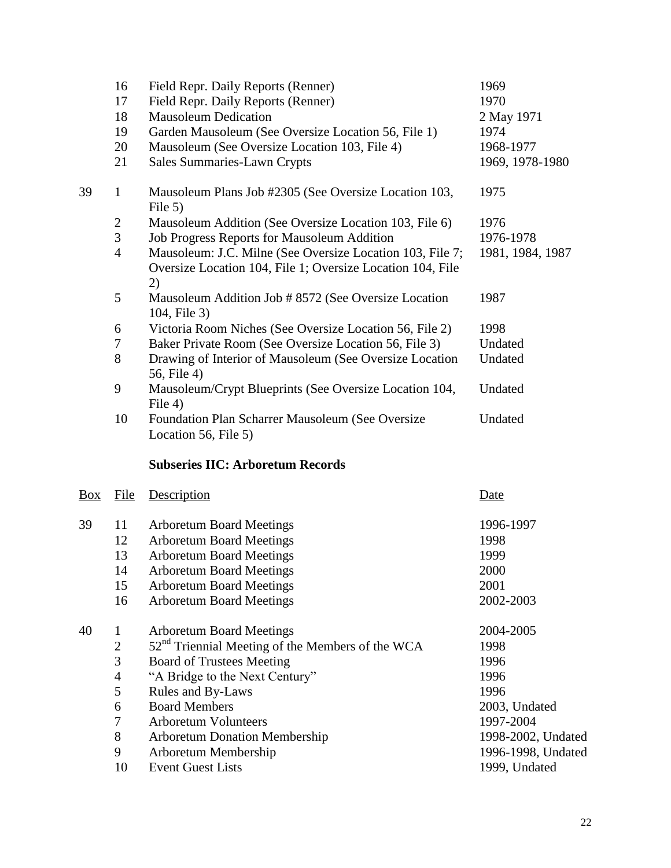|    | 16             | Field Repr. Daily Reports (Renner)                                   | 1969             |
|----|----------------|----------------------------------------------------------------------|------------------|
|    | 17             | Field Repr. Daily Reports (Renner)                                   | 1970             |
|    | 18             | <b>Mausoleum Dedication</b>                                          | 2 May 1971       |
|    | 19             | Garden Mausoleum (See Oversize Location 56, File 1)                  | 1974             |
|    | 20             | Mausoleum (See Oversize Location 103, File 4)                        | 1968-1977        |
|    | 21             | <b>Sales Summaries-Lawn Crypts</b>                                   | 1969, 1978-1980  |
| 39 | $\mathbf{1}$   | Mausoleum Plans Job #2305 (See Oversize Location 103,<br>File 5)     | 1975             |
|    | $\overline{2}$ | Mausoleum Addition (See Oversize Location 103, File 6)               | 1976             |
|    | 3              | <b>Job Progress Reports for Mausoleum Addition</b>                   | 1976-1978        |
|    | $\overline{4}$ | Mausoleum: J.C. Milne (See Oversize Location 103, File 7;            | 1981, 1984, 1987 |
|    |                | Oversize Location 104, File 1; Oversize Location 104, File           |                  |
|    |                | 2)                                                                   |                  |
|    | 5              | Mausoleum Addition Job # 8572 (See Oversize Location<br>104, File 3) | 1987             |
|    | 6              | Victoria Room Niches (See Oversize Location 56, File 2)              | 1998             |
|    | 7              | Baker Private Room (See Oversize Location 56, File 3)                | Undated          |
|    | 8              | Drawing of Interior of Mausoleum (See Oversize Location              | Undated          |
|    |                | 56, File 4)                                                          |                  |
|    | 9              | Mausoleum/Crypt Blueprints (See Oversize Location 104,               | Undated          |
|    |                | File 4)                                                              |                  |
|    | 10             | Foundation Plan Scharrer Mausoleum (See Oversize                     | Undated          |
|    |                | Location 56, File 5)                                                 |                  |
|    |                |                                                                      |                  |

# **Subseries IIC: Arboretum Records**

| Box | File           | Description                                        | Date               |
|-----|----------------|----------------------------------------------------|--------------------|
| 39  | 11             | <b>Arboretum Board Meetings</b>                    | 1996-1997          |
|     | 12             | <b>Arboretum Board Meetings</b>                    | 1998               |
|     | 13             | <b>Arboretum Board Meetings</b>                    | 1999               |
|     | 14             | <b>Arboretum Board Meetings</b>                    | 2000               |
|     | 15             | <b>Arboretum Board Meetings</b>                    | 2001               |
|     | 16             | <b>Arboretum Board Meetings</b>                    | 2002-2003          |
| 40  |                | <b>Arboretum Board Meetings</b>                    | 2004-2005          |
|     | $\mathbf{2}$   | $52nd$ Triennial Meeting of the Members of the WCA | 1998               |
|     | 3              | <b>Board of Trustees Meeting</b>                   | 1996               |
|     | $\overline{4}$ | "A Bridge to the Next Century"                     | 1996               |
|     | 5              | Rules and By-Laws                                  | 1996               |
|     | 6              | <b>Board Members</b>                               | 2003, Undated      |
|     | 7              | <b>Arboretum Volunteers</b>                        | 1997-2004          |
|     | 8              | <b>Arboretum Donation Membership</b>               | 1998-2002, Undated |
|     | 9              | Arboretum Membership                               | 1996-1998, Undated |
|     | 10             | <b>Event Guest Lists</b>                           | 1999, Undated      |
|     |                |                                                    |                    |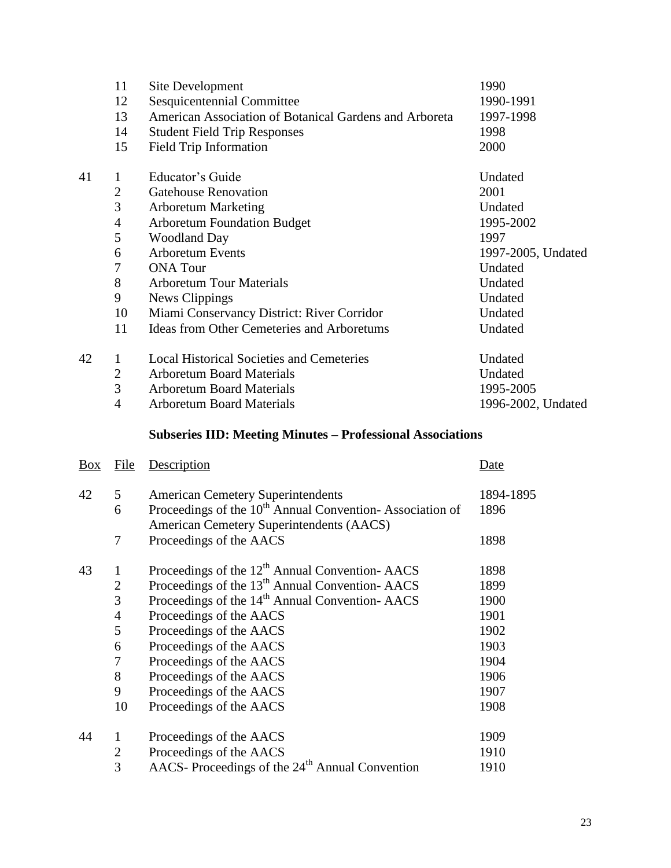|    | 11             | Site Development                                       | 1990               |
|----|----------------|--------------------------------------------------------|--------------------|
|    | 12             | Sesquicentennial Committee                             | 1990-1991          |
|    | 13             | American Association of Botanical Gardens and Arboreta | 1997-1998          |
|    | 14             | <b>Student Field Trip Responses</b>                    | 1998               |
|    | 15             | <b>Field Trip Information</b>                          | 2000               |
| 41 | $\mathbf{1}$   | Educator's Guide                                       | Undated            |
|    | $\overline{2}$ | <b>Gatehouse Renovation</b>                            | 2001               |
|    | 3              | <b>Arboretum Marketing</b>                             | Undated            |
|    | 4              | <b>Arboretum Foundation Budget</b>                     | 1995-2002          |
|    | 5              | <b>Woodland Day</b>                                    | 1997               |
|    | 6              | <b>Arboretum Events</b>                                | 1997-2005, Undated |
|    | 7              | <b>ONA</b> Tour                                        | Undated            |
|    | 8              | <b>Arboretum Tour Materials</b>                        | Undated            |
|    | 9              | News Clippings                                         | Undated            |
|    | 10             | Miami Conservancy District: River Corridor             | Undated            |
|    | 11             | <b>Ideas from Other Cemeteries and Arboretums</b>      | Undated            |
| 42 | 1              | <b>Local Historical Societies and Cemeteries</b>       | Undated            |
|    | $\overline{2}$ | <b>Arboretum Board Materials</b>                       | Undated            |
|    | 3              | <b>Arboretum Board Materials</b>                       | 1995-2005          |
|    | $\overline{4}$ | <b>Arboretum Board Materials</b>                       | 1996-2002, Undated |

# **Subseries IID: Meeting Minutes – Professional Associations**

| Box | File           | Description                                                                                                      | Date      |
|-----|----------------|------------------------------------------------------------------------------------------------------------------|-----------|
| 42  | 5              | <b>American Cemetery Superintendents</b>                                                                         | 1894-1895 |
|     | 6              | Proceedings of the 10 <sup>th</sup> Annual Convention-Association of<br>American Cemetery Superintendents (AACS) | 1896      |
|     | 7              | Proceedings of the AACS                                                                                          | 1898      |
| 43  | $\mathbf{1}$   | Proceedings of the $12th$ Annual Convention-AACS                                                                 | 1898      |
|     | $\overline{2}$ | Proceedings of the 13 <sup>th</sup> Annual Convention-AACS                                                       | 1899      |
|     | 3              | Proceedings of the 14 <sup>th</sup> Annual Convention-AACS                                                       | 1900      |
|     | $\overline{4}$ | Proceedings of the AACS                                                                                          | 1901      |
|     | 5              | Proceedings of the AACS                                                                                          | 1902      |
|     | 6              | Proceedings of the AACS                                                                                          | 1903      |
|     | 7              | Proceedings of the AACS                                                                                          | 1904      |
|     | 8              | Proceedings of the AACS                                                                                          | 1906      |
|     | 9              | Proceedings of the AACS                                                                                          | 1907      |
|     | 10             | Proceedings of the AACS                                                                                          | 1908      |
| 44  | 1              | Proceedings of the AACS                                                                                          | 1909      |
|     | $\overline{2}$ | Proceedings of the AACS                                                                                          | 1910      |
|     | 3              | AACS- Proceedings of the 24 <sup>th</sup> Annual Convention                                                      | 1910      |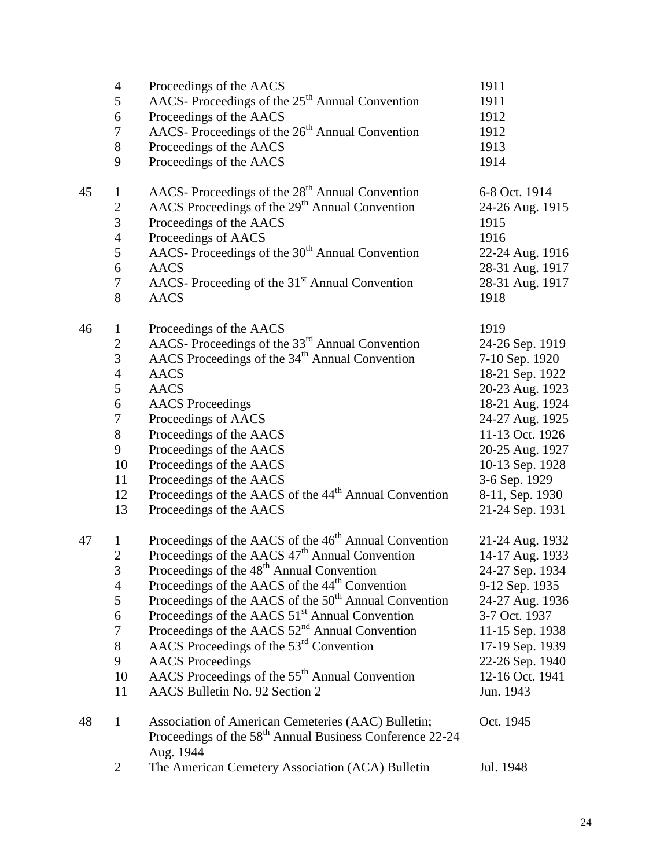|    | $\overline{4}$   | Proceedings of the AACS                                                                                                                 | 1911            |
|----|------------------|-----------------------------------------------------------------------------------------------------------------------------------------|-----------------|
|    | 5                | AACS-Proceedings of the 25 <sup>th</sup> Annual Convention                                                                              | 1911            |
|    | 6                | Proceedings of the AACS                                                                                                                 | 1912            |
|    | 7                | AACS-Proceedings of the 26 <sup>th</sup> Annual Convention                                                                              | 1912            |
|    | $8\,$            | Proceedings of the AACS                                                                                                                 | 1913            |
|    | 9                | Proceedings of the AACS                                                                                                                 | 1914            |
| 45 | $\mathbf{1}$     | AACS-Proceedings of the 28 <sup>th</sup> Annual Convention                                                                              | 6-8 Oct. 1914   |
|    | $\overline{c}$   | AACS Proceedings of the 29 <sup>th</sup> Annual Convention                                                                              | 24-26 Aug. 1915 |
|    | 3                | Proceedings of the AACS                                                                                                                 | 1915            |
|    | $\overline{4}$   | Proceedings of AACS                                                                                                                     | 1916            |
|    | 5                | AACS- Proceedings of the 30 <sup>th</sup> Annual Convention                                                                             | 22-24 Aug. 1916 |
|    | 6                | <b>AACS</b>                                                                                                                             | 28-31 Aug. 1917 |
|    | $\tau$           | AACS- Proceeding of the 31 <sup>st</sup> Annual Convention                                                                              | 28-31 Aug. 1917 |
|    | 8                | AACS                                                                                                                                    | 1918            |
| 46 | $\mathbf{1}$     | Proceedings of the AACS                                                                                                                 | 1919            |
|    | $\sqrt{2}$       | AACS- Proceedings of the 33 <sup>rd</sup> Annual Convention                                                                             | 24-26 Sep. 1919 |
|    | 3                | AACS Proceedings of the 34 <sup>th</sup> Annual Convention                                                                              | 7-10 Sep. 1920  |
|    | $\overline{4}$   | <b>AACS</b>                                                                                                                             | 18-21 Sep. 1922 |
|    | 5                | <b>AACS</b>                                                                                                                             | 20-23 Aug. 1923 |
|    | $\boldsymbol{6}$ | <b>AACS</b> Proceedings                                                                                                                 | 18-21 Aug. 1924 |
|    | $\boldsymbol{7}$ | Proceedings of AACS                                                                                                                     | 24-27 Aug. 1925 |
|    | $8\,$            | Proceedings of the AACS                                                                                                                 | 11-13 Oct. 1926 |
|    | 9                | Proceedings of the AACS                                                                                                                 | 20-25 Aug. 1927 |
|    | 10               | Proceedings of the AACS                                                                                                                 | 10-13 Sep. 1928 |
|    | 11               | Proceedings of the AACS                                                                                                                 | 3-6 Sep. 1929   |
|    | 12               | Proceedings of the AACS of the 44 <sup>th</sup> Annual Convention                                                                       | 8-11, Sep. 1930 |
|    | 13               | Proceedings of the AACS                                                                                                                 | 21-24 Sep. 1931 |
| 47 | $\mathbf{1}$     | Proceedings of the AACS of the 46 <sup>th</sup> Annual Convention                                                                       | 21-24 Aug. 1932 |
|    | $\overline{2}$   | Proceedings of the AACS 47 <sup>th</sup> Annual Convention                                                                              | 14-17 Aug. 1933 |
|    | 3                | Proceedings of the 48 <sup>th</sup> Annual Convention                                                                                   | 24-27 Sep. 1934 |
|    | $\overline{4}$   | Proceedings of the AACS of the 44 <sup>th</sup> Convention                                                                              | 9-12 Sep. 1935  |
|    | $\mathfrak s$    | Proceedings of the AACS of the 50 <sup>th</sup> Annual Convention                                                                       | 24-27 Aug. 1936 |
|    | 6                | Proceedings of the AACS 51 <sup>st</sup> Annual Convention                                                                              | 3-7 Oct. 1937   |
|    | $\tau$           | Proceedings of the AACS $52nd$ Annual Convention                                                                                        | 11-15 Sep. 1938 |
|    | 8                | AACS Proceedings of the 53 <sup>rd</sup> Convention                                                                                     | 17-19 Sep. 1939 |
|    | 9                | <b>AACS</b> Proceedings                                                                                                                 | 22-26 Sep. 1940 |
|    | 10               | AACS Proceedings of the 55 <sup>th</sup> Annual Convention                                                                              | 12-16 Oct. 1941 |
|    | 11               | AACS Bulletin No. 92 Section 2                                                                                                          | Jun. 1943       |
| 48 | $\mathbf{1}$     | Association of American Cemeteries (AAC) Bulletin;<br>Proceedings of the 58 <sup>th</sup> Annual Business Conference 22-24<br>Aug. 1944 | Oct. 1945       |
|    | 2                | The American Cemetery Association (ACA) Bulletin                                                                                        | Jul. 1948       |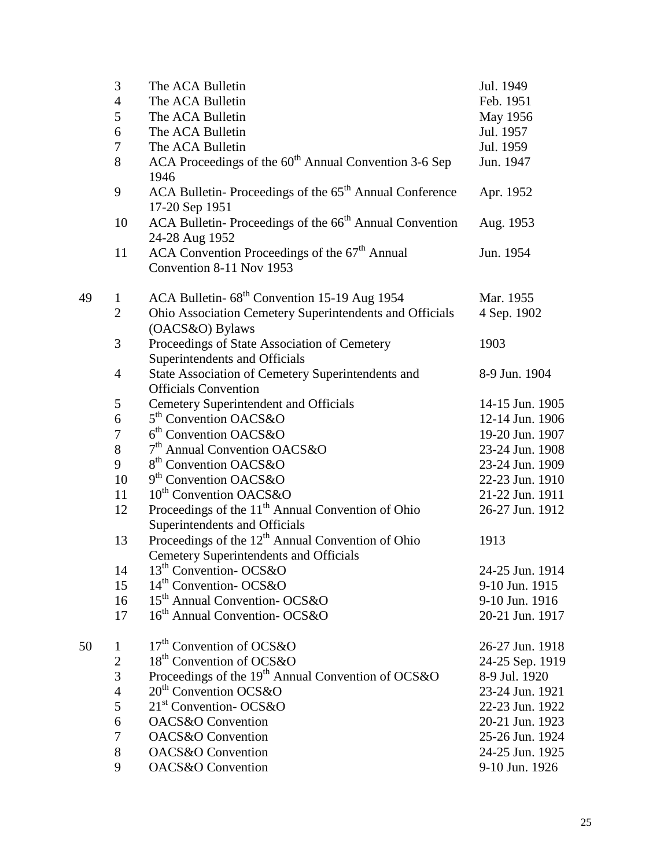|    | 3              | The ACA Bulletin                                                                     | Jul. 1949       |
|----|----------------|--------------------------------------------------------------------------------------|-----------------|
|    | $\overline{4}$ | The ACA Bulletin                                                                     | Feb. 1951       |
|    | 5              | The ACA Bulletin                                                                     | May 1956        |
|    | 6              | The ACA Bulletin                                                                     | Jul. 1957       |
|    | 7              | The ACA Bulletin                                                                     | Jul. 1959       |
|    | 8              | ACA Proceedings of the 60 <sup>th</sup> Annual Convention 3-6 Sep                    | Jun. 1947       |
|    |                | 1946                                                                                 |                 |
|    | 9              | ACA Bulletin-Proceedings of the 65 <sup>th</sup> Annual Conference<br>17-20 Sep 1951 | Apr. 1952       |
|    | 10             | ACA Bulletin-Proceedings of the 66 <sup>th</sup> Annual Convention<br>24-28 Aug 1952 | Aug. 1953       |
|    | 11             | ACA Convention Proceedings of the 67 <sup>th</sup> Annual                            | Jun. 1954       |
|    |                | Convention 8-11 Nov 1953                                                             |                 |
| 49 | $\mathbf{1}$   | ACA Bulletin- 68 <sup>th</sup> Convention 15-19 Aug 1954                             | Mar. 1955       |
|    | $\overline{2}$ | Ohio Association Cemetery Superintendents and Officials                              | 4 Sep. 1902     |
|    |                | (OACS&O) Bylaws                                                                      |                 |
|    | 3              | Proceedings of State Association of Cemetery                                         | 1903            |
|    |                | Superintendents and Officials                                                        |                 |
|    | $\overline{4}$ | State Association of Cemetery Superintendents and                                    | 8-9 Jun. 1904   |
|    |                | <b>Officials Convention</b>                                                          |                 |
|    | 5              | <b>Cemetery Superintendent and Officials</b>                                         | 14-15 Jun. 1905 |
|    | 6              | 5 <sup>th</sup> Convention OACS&O                                                    | 12-14 Jun. 1906 |
|    | 7              | $6th$ Convention OACS&O                                                              | 19-20 Jun. 1907 |
|    | 8              | 7 <sup>th</sup> Annual Convention OACS&O                                             | 23-24 Jun. 1908 |
|    | 9              | 8 <sup>th</sup> Convention OACS&O                                                    | 23-24 Jun. 1909 |
|    | 10             | 9 <sup>th</sup> Convention OACS&O                                                    | 22-23 Jun. 1910 |
|    | 11             | 10 <sup>th</sup> Convention OACS&O                                                   | 21-22 Jun. 1911 |
|    | 12             | Proceedings of the 11 <sup>th</sup> Annual Convention of Ohio                        | 26-27 Jun. 1912 |
|    |                | Superintendents and Officials                                                        |                 |
|    | 13             | Proceedings of the $12th$ Annual Convention of Ohio                                  | 1913            |
|    |                | <b>Cemetery Superintendents and Officials</b>                                        |                 |
|    | 14             | 13 <sup>th</sup> Convention-OCS&O                                                    | 24-25 Jun. 1914 |
|    | 15             | 14 <sup>th</sup> Convention-OCS&O                                                    | 9-10 Jun. 1915  |
|    | 16             | 15 <sup>th</sup> Annual Convention-OCS&O                                             | 9-10 Jun. 1916  |
|    | 17             | 16 <sup>th</sup> Annual Convention-OCS&O                                             | 20-21 Jun. 1917 |
| 50 | 1              | 17 <sup>th</sup> Convention of OCS&O                                                 | 26-27 Jun. 1918 |
|    | $\mathbf{2}$   | 18 <sup>th</sup> Convention of OCS&O                                                 | 24-25 Sep. 1919 |
|    | 3              | Proceedings of the 19 <sup>th</sup> Annual Convention of OCS&O                       | 8-9 Jul. 1920   |
|    | $\overline{4}$ | 20 <sup>th</sup> Convention OCS&O                                                    | 23-24 Jun. 1921 |
|    | 5              | 21 <sup>st</sup> Convention-OCS&O                                                    | 22-23 Jun. 1922 |
|    | 6              | <b>OACS&amp;O</b> Convention                                                         | 20-21 Jun. 1923 |
|    | 7              | OACS&O Convention                                                                    | 25-26 Jun. 1924 |
|    | 8              | <b>OACS&amp;O</b> Convention                                                         | 24-25 Jun. 1925 |
|    | 9              | <b>OACS&amp;O</b> Convention                                                         | 9-10 Jun. 1926  |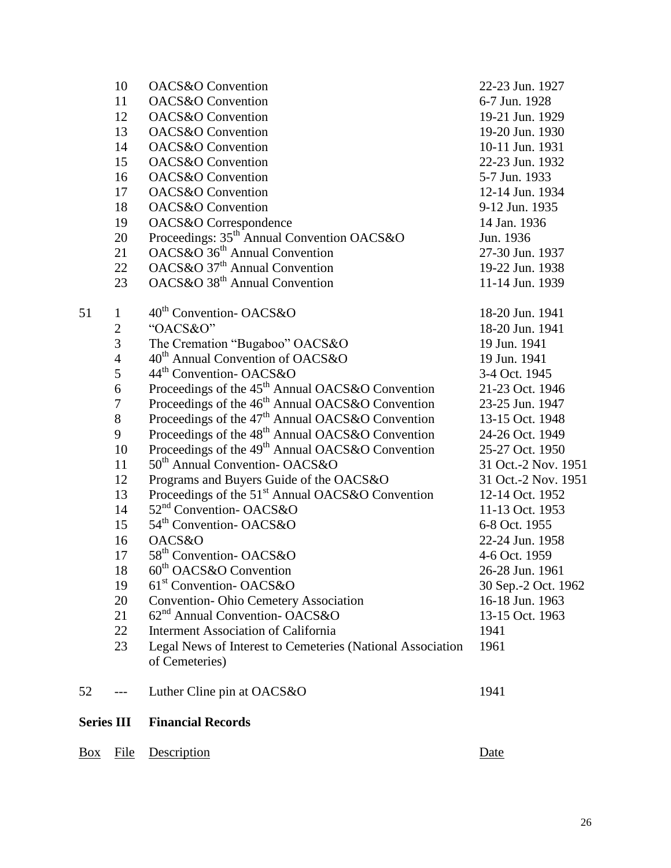| <u>Box</u>        | File           | Description                                                  | Date                |
|-------------------|----------------|--------------------------------------------------------------|---------------------|
| <b>Series III</b> |                | <b>Financial Records</b>                                     |                     |
| 52                | $---$          | Luther Cline pin at OACS&O                                   | 1941                |
|                   |                | of Cemeteries)                                               |                     |
|                   | 23             | Legal News of Interest to Cemeteries (National Association   | 1961                |
|                   | 22             | <b>Interment Association of California</b>                   | 1941                |
|                   | 21             | 62 <sup>nd</sup> Annual Convention-OACS&O                    | 13-15 Oct. 1963     |
|                   | 20             | <b>Convention-Ohio Cemetery Association</b>                  | 16-18 Jun. 1963     |
|                   | 19             | 61 <sup>st</sup> Convention-OACS&O                           | 30 Sep.-2 Oct. 1962 |
|                   | 18             | 60 <sup>th</sup> OACS&O Convention                           | 26-28 Jun. 1961     |
|                   | 17             | 58 <sup>th</sup> Convention-OACS&O                           | 4-6 Oct. 1959       |
|                   | 16             | OACS&O                                                       | 22-24 Jun. 1958     |
|                   |                |                                                              |                     |
|                   | 15             | 54 <sup>th</sup> Convention-OACS&O                           | 6-8 Oct. 1955       |
|                   | 14             | 52 <sup>nd</sup> Convention-OACS&O                           | 11-13 Oct. 1953     |
|                   | 13             | Proceedings of the 51 <sup>st</sup> Annual OACS&O Convention | 12-14 Oct. 1952     |
|                   | 12             | Programs and Buyers Guide of the OACS&O                      | 31 Oct.-2 Nov. 1951 |
|                   | 11             | 50 <sup>th</sup> Annual Convention-OACS&O                    | 31 Oct.-2 Nov. 1951 |
|                   | 10             | Proceedings of the 49 <sup>th</sup> Annual OACS&O Convention | 25-27 Oct. 1950     |
|                   | 9              | Proceedings of the 48 <sup>th</sup> Annual OACS&O Convention | 24-26 Oct. 1949     |
|                   | $8\,$          | Proceedings of the 47 <sup>th</sup> Annual OACS&O Convention | 13-15 Oct. 1948     |
|                   | $\overline{7}$ | Proceedings of the 46 <sup>th</sup> Annual OACS&O Convention | 23-25 Jun. 1947     |
|                   | 6              | Proceedings of the 45 <sup>th</sup> Annual OACS&O Convention | 21-23 Oct. 1946     |
|                   | 5              | 44 <sup>th</sup> Convention-OACS&O                           | 3-4 Oct. 1945       |
|                   | $\overline{4}$ | 40 <sup>th</sup> Annual Convention of OACS&O                 | 19 Jun. 1941        |
|                   | 3              | The Cremation "Bugaboo" OACS&O                               | 19 Jun. 1941        |
|                   | $\overline{2}$ | "OACS&O"                                                     | 18-20 Jun. 1941     |
| 51                | $\mathbf{1}$   | 40 <sup>th</sup> Convention-OACS&O                           | 18-20 Jun. 1941     |
|                   |                |                                                              |                     |
|                   | 23             | OACS&O 38 <sup>th</sup> Annual Convention                    | 11-14 Jun. 1939     |
|                   | 22             | OACS&O 37 <sup>th</sup> Annual Convention                    | 19-22 Jun. 1938     |
|                   | 21             | OACS&O 36 <sup>th</sup> Annual Convention                    | 27-30 Jun. 1937     |
|                   | 20             | Proceedings: 35 <sup>th</sup> Annual Convention OACS&O       | Jun. 1936           |
|                   | 19             | OACS&O Correspondence                                        | 14 Jan. 1936        |
|                   | 18             | <b>OACS&amp;O</b> Convention                                 | 9-12 Jun. 1935      |
|                   | 17             | <b>OACS&amp;O</b> Convention                                 | 12-14 Jun. 1934     |
|                   | 16             | OACS&O Convention                                            | 5-7 Jun. 1933       |
|                   | 15             | <b>OACS&amp;O</b> Convention                                 | 22-23 Jun. 1932     |
|                   | 14             | <b>OACS&amp;O</b> Convention                                 | 10-11 Jun. 1931     |
|                   | 13             | <b>OACS&amp;O</b> Convention                                 | 19-20 Jun. 1930     |
|                   | 12             | OACS&O Convention                                            | 19-21 Jun. 1929     |
|                   | 11             | <b>OACS&amp;O</b> Convention                                 | 6-7 Jun. 1928       |
|                   | 10             | <b>OACS&amp;O</b> Convention                                 | 22-23 Jun. 1927     |
|                   |                |                                                              |                     |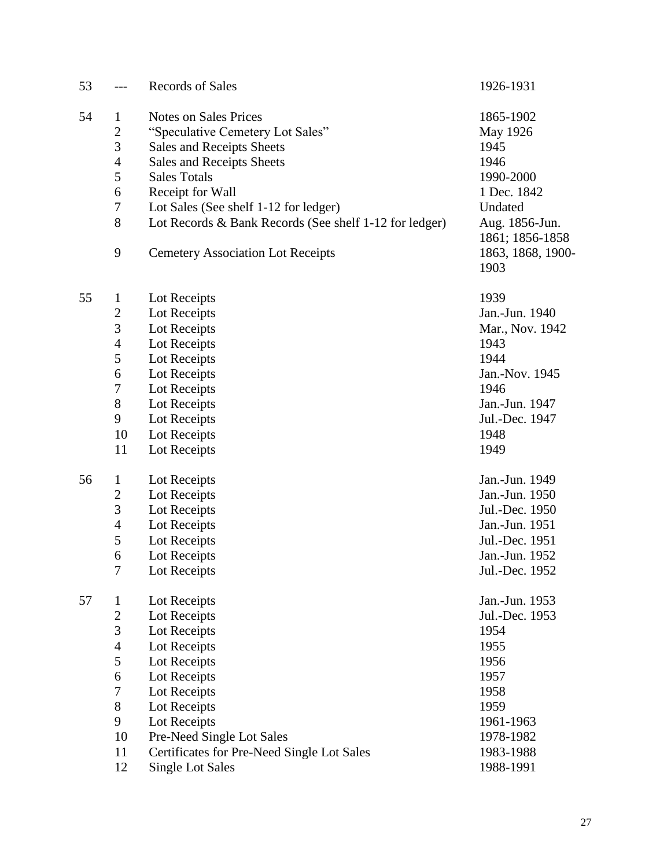| 53 |                  | <b>Records of Sales</b>                                | 1926-1931         |
|----|------------------|--------------------------------------------------------|-------------------|
| 54 | $\mathbf 1$      | <b>Notes on Sales Prices</b>                           | 1865-1902         |
|    | $\overline{2}$   | "Speculative Cemetery Lot Sales"                       | May 1926          |
|    | 3                | Sales and Receipts Sheets                              | 1945              |
|    | $\overline{4}$   | Sales and Receipts Sheets                              | 1946              |
|    | 5                | <b>Sales Totals</b>                                    | 1990-2000         |
|    | 6                | Receipt for Wall                                       | 1 Dec. 1842       |
|    | $\boldsymbol{7}$ | Lot Sales (See shelf 1-12 for ledger)                  | Undated           |
|    | $8\,$            | Lot Records & Bank Records (See shelf 1-12 for ledger) | Aug. 1856-Jun.    |
|    |                  |                                                        | 1861; 1856-1858   |
|    | 9                | <b>Cemetery Association Lot Receipts</b>               | 1863, 1868, 1900- |
|    |                  |                                                        | 1903              |
| 55 | 1                | Lot Receipts                                           | 1939              |
|    | $\overline{2}$   | Lot Receipts                                           | Jan.-Jun. 1940    |
|    | 3                | Lot Receipts                                           | Mar., Nov. 1942   |
|    | $\overline{4}$   | Lot Receipts                                           | 1943              |
|    | 5                | Lot Receipts                                           | 1944              |
|    | 6                | Lot Receipts                                           | Jan.-Nov. 1945    |
|    | 7                | Lot Receipts                                           | 1946              |
|    | $8\,$            | Lot Receipts                                           | Jan.-Jun. 1947    |
|    | 9                | Lot Receipts                                           | Jul.-Dec. 1947    |
|    | 10               | Lot Receipts                                           | 1948              |
|    | 11               | Lot Receipts                                           | 1949              |
| 56 | $\mathbf{1}$     | Lot Receipts                                           | Jan.-Jun. 1949    |
|    | $\overline{c}$   | Lot Receipts                                           | Jan.-Jun. 1950    |
|    | 3                | Lot Receipts                                           | Jul.-Dec. 1950    |
|    | 4                | Lot Receipts                                           | Jan.-Jun. 1951    |
|    | 5                | Lot Receipts                                           | Jul.-Dec. 1951    |
|    | 6                | Lot Receipts                                           | Jan.-Jun. 1952    |
|    | 7                | Lot Receipts                                           | Jul.-Dec. 1952    |
| 57 | $\mathbf 1$      | Lot Receipts                                           | Jan.-Jun. 1953    |
|    | $\sqrt{2}$       | Lot Receipts                                           | Jul.-Dec. 1953    |
|    | 3                | Lot Receipts                                           | 1954              |
|    | $\overline{4}$   | Lot Receipts                                           | 1955              |
|    | 5                | Lot Receipts                                           | 1956              |
|    | 6                | Lot Receipts                                           | 1957              |
|    | $\boldsymbol{7}$ | Lot Receipts                                           | 1958              |
|    | $8\,$            | Lot Receipts                                           | 1959              |
|    | 9                | Lot Receipts                                           | 1961-1963         |
|    | 10               | Pre-Need Single Lot Sales                              | 1978-1982         |
|    | 11               | Certificates for Pre-Need Single Lot Sales             | 1983-1988         |
|    | 12               | <b>Single Lot Sales</b>                                | 1988-1991         |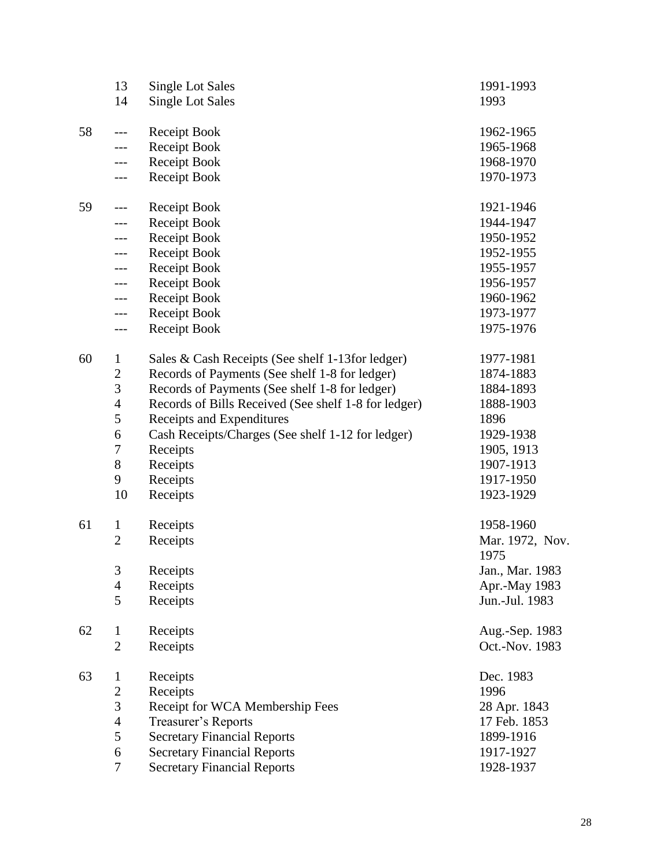|    | 13                      | <b>Single Lot Sales</b>                              | 1991-1993       |
|----|-------------------------|------------------------------------------------------|-----------------|
|    | 14                      | <b>Single Lot Sales</b>                              | 1993            |
|    |                         |                                                      |                 |
| 58 | $---$                   | <b>Receipt Book</b>                                  | 1962-1965       |
|    |                         | Receipt Book                                         | 1965-1968       |
|    | ---                     | Receipt Book                                         | 1968-1970       |
|    | $---$                   | Receipt Book                                         | 1970-1973       |
|    |                         |                                                      |                 |
| 59 | ---                     | <b>Receipt Book</b>                                  | 1921-1946       |
|    | ---                     | Receipt Book                                         | 1944-1947       |
|    | ---                     | Receipt Book                                         | 1950-1952       |
|    | $---$                   | <b>Receipt Book</b>                                  | 1952-1955       |
|    | $---$                   | Receipt Book                                         | 1955-1957       |
|    | ---                     | Receipt Book                                         | 1956-1957       |
|    | ---                     | Receipt Book                                         | 1960-1962       |
|    | ---                     | Receipt Book                                         | 1973-1977       |
|    | $---$                   | Receipt Book                                         | 1975-1976       |
|    |                         |                                                      |                 |
| 60 | $\mathbf{1}$            | Sales & Cash Receipts (See shelf 1-13 for ledger)    | 1977-1981       |
|    | $\overline{\mathbf{c}}$ | Records of Payments (See shelf 1-8 for ledger)       | 1874-1883       |
|    | 3                       | Records of Payments (See shelf 1-8 for ledger)       | 1884-1893       |
|    | $\overline{4}$          | Records of Bills Received (See shelf 1-8 for ledger) | 1888-1903       |
|    | 5                       | Receipts and Expenditures                            | 1896            |
|    | 6                       | Cash Receipts/Charges (See shelf 1-12 for ledger)    | 1929-1938       |
|    | $\sqrt{ }$              |                                                      | 1905, 1913      |
|    |                         | Receipts                                             | 1907-1913       |
|    | 8                       | Receipts                                             |                 |
|    | 9                       | Receipts                                             | 1917-1950       |
|    | 10                      | Receipts                                             | 1923-1929       |
| 61 | $\mathbf{1}$            | Receipts                                             | 1958-1960       |
|    | $\overline{2}$          | Receipts                                             | Mar. 1972, Nov. |
|    |                         |                                                      | 1975            |
|    | 3                       |                                                      | Jan., Mar. 1983 |
|    |                         | Receipts                                             |                 |
|    | 4                       | Receipts                                             | Apr.-May 1983   |
|    | 5                       | Receipts                                             | Jun.-Jul. 1983  |
| 62 | $\mathbf{1}$            | Receipts                                             | Aug.-Sep. 1983  |
|    | $\overline{c}$          |                                                      | Oct.-Nov. 1983  |
|    |                         | Receipts                                             |                 |
| 63 | $\mathbf 1$             | Receipts                                             | Dec. 1983       |
|    | $\overline{c}$          | Receipts                                             | 1996            |
|    | 3                       | Receipt for WCA Membership Fees                      | 28 Apr. 1843    |
|    | $\overline{4}$          | Treasurer's Reports                                  | 17 Feb. 1853    |
|    | 5                       | <b>Secretary Financial Reports</b>                   | 1899-1916       |
|    | 6                       |                                                      | 1917-1927       |
|    |                         | <b>Secretary Financial Reports</b>                   |                 |
|    | 7                       | <b>Secretary Financial Reports</b>                   | 1928-1937       |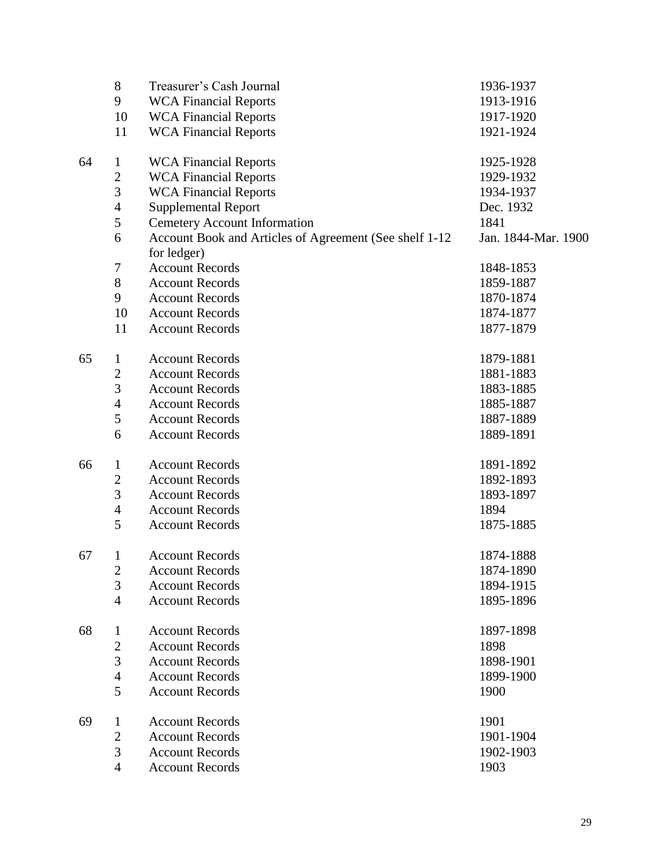|    | $8\,$                   | Treasurer's Cash Journal                               | 1936-1937           |
|----|-------------------------|--------------------------------------------------------|---------------------|
|    | 9                       | <b>WCA Financial Reports</b>                           | 1913-1916           |
|    | 10                      | <b>WCA Financial Reports</b>                           | 1917-1920           |
|    | 11                      | <b>WCA Financial Reports</b>                           | 1921-1924           |
| 64 | $\mathbf{1}$            | <b>WCA Financial Reports</b>                           | 1925-1928           |
|    | $\overline{c}$          | <b>WCA Financial Reports</b>                           | 1929-1932           |
|    | $\overline{3}$          | <b>WCA Financial Reports</b>                           | 1934-1937           |
|    | $\overline{4}$          | <b>Supplemental Report</b>                             | Dec. 1932           |
|    | 5                       | <b>Cemetery Account Information</b>                    | 1841                |
|    | 6                       | Account Book and Articles of Agreement (See shelf 1-12 | Jan. 1844-Mar. 1900 |
|    |                         | for ledger)                                            |                     |
|    | 7                       | <b>Account Records</b>                                 | 1848-1853           |
|    | $8\,$                   | <b>Account Records</b>                                 | 1859-1887           |
|    | 9                       | <b>Account Records</b>                                 | 1870-1874           |
|    | 10                      | <b>Account Records</b>                                 | 1874-1877           |
|    | 11                      | <b>Account Records</b>                                 | 1877-1879           |
| 65 | $\mathbf{1}$            | <b>Account Records</b>                                 | 1879-1881           |
|    | $\overline{2}$          | <b>Account Records</b>                                 | 1881-1883           |
|    | 3                       | <b>Account Records</b>                                 | 1883-1885           |
|    | $\overline{4}$          | <b>Account Records</b>                                 | 1885-1887           |
|    | 5                       | <b>Account Records</b>                                 | 1887-1889           |
|    | 6                       | <b>Account Records</b>                                 | 1889-1891           |
| 66 | $\mathbf{1}$            | <b>Account Records</b>                                 | 1891-1892           |
|    | $\overline{c}$          | <b>Account Records</b>                                 | 1892-1893           |
|    | 3                       | <b>Account Records</b>                                 | 1893-1897           |
|    | $\overline{4}$          | <b>Account Records</b>                                 | 1894                |
|    | 5                       | <b>Account Records</b>                                 | 1875-1885           |
| 67 | 1                       | <b>Account Records</b>                                 | 1874-1888           |
|    | $\overline{\mathbf{c}}$ | <b>Account Records</b>                                 | 1874-1890           |
|    | 3                       | <b>Account Records</b>                                 | 1894-1915           |
|    | $\overline{4}$          | <b>Account Records</b>                                 | 1895-1896           |
| 68 | $\mathbf 1$             | <b>Account Records</b>                                 | 1897-1898           |
|    | $\overline{c}$          | <b>Account Records</b>                                 | 1898                |
|    | 3                       | <b>Account Records</b>                                 | 1898-1901           |
|    | $\overline{4}$          | <b>Account Records</b>                                 | 1899-1900           |
|    | 5                       | <b>Account Records</b>                                 | 1900                |
| 69 | $\mathbf{1}$            | <b>Account Records</b>                                 | 1901                |
|    | $\overline{2}$          | <b>Account Records</b>                                 | 1901-1904           |
|    | 3                       | <b>Account Records</b>                                 | 1902-1903           |
|    | $\overline{4}$          | <b>Account Records</b>                                 | 1903                |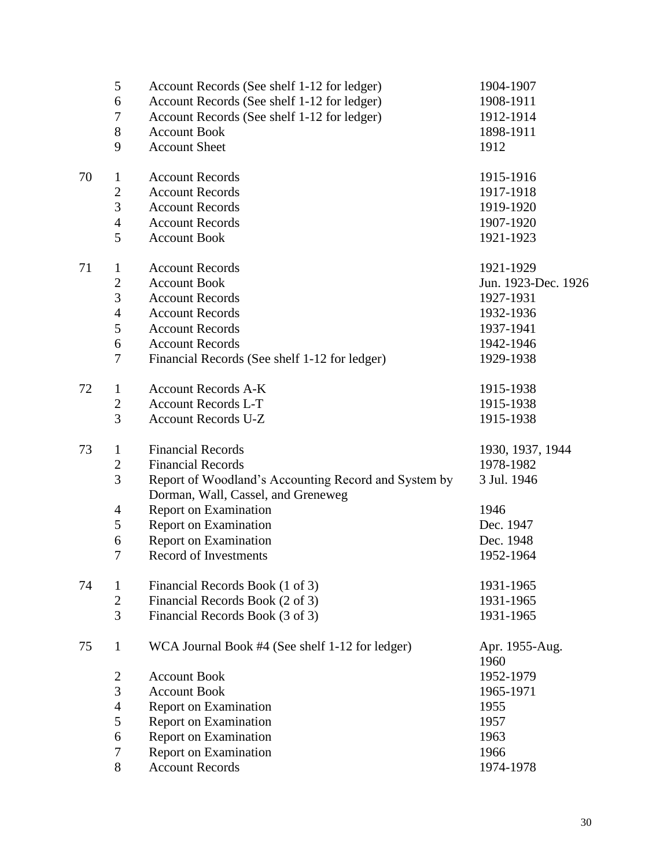| Account Records (See shelf 1-12 for ledger)<br>Account Records (See shelf 1-12 for ledger)<br>1908-1911<br>Account Records (See shelf 1-12 for ledger)<br>1912-1914<br>1898-1911<br>1912<br>1915-1916<br>1917-1918<br>1919-1920<br>1907-1920<br>1921-1923<br>1921-1929<br>Jun. 1923-Dec. 1926<br>1927-1931<br>1932-1936<br>1937-1941<br>1942-1946<br>Financial Records (See shelf 1-12 for ledger)<br>1929-1938<br>1915-1938 |
|------------------------------------------------------------------------------------------------------------------------------------------------------------------------------------------------------------------------------------------------------------------------------------------------------------------------------------------------------------------------------------------------------------------------------|
|                                                                                                                                                                                                                                                                                                                                                                                                                              |
|                                                                                                                                                                                                                                                                                                                                                                                                                              |
|                                                                                                                                                                                                                                                                                                                                                                                                                              |
|                                                                                                                                                                                                                                                                                                                                                                                                                              |
|                                                                                                                                                                                                                                                                                                                                                                                                                              |
|                                                                                                                                                                                                                                                                                                                                                                                                                              |
|                                                                                                                                                                                                                                                                                                                                                                                                                              |
|                                                                                                                                                                                                                                                                                                                                                                                                                              |
|                                                                                                                                                                                                                                                                                                                                                                                                                              |
|                                                                                                                                                                                                                                                                                                                                                                                                                              |
|                                                                                                                                                                                                                                                                                                                                                                                                                              |
|                                                                                                                                                                                                                                                                                                                                                                                                                              |
|                                                                                                                                                                                                                                                                                                                                                                                                                              |
|                                                                                                                                                                                                                                                                                                                                                                                                                              |
|                                                                                                                                                                                                                                                                                                                                                                                                                              |
|                                                                                                                                                                                                                                                                                                                                                                                                                              |
|                                                                                                                                                                                                                                                                                                                                                                                                                              |
| 1915-1938                                                                                                                                                                                                                                                                                                                                                                                                                    |
| 1915-1938                                                                                                                                                                                                                                                                                                                                                                                                                    |
| 1930, 1937, 1944                                                                                                                                                                                                                                                                                                                                                                                                             |
| 1978-1982                                                                                                                                                                                                                                                                                                                                                                                                                    |
| 3 Jul. 1946<br>Report of Woodland's Accounting Record and System by                                                                                                                                                                                                                                                                                                                                                          |
| 1946                                                                                                                                                                                                                                                                                                                                                                                                                         |
| Dec. 1947                                                                                                                                                                                                                                                                                                                                                                                                                    |
| Dec. 1948                                                                                                                                                                                                                                                                                                                                                                                                                    |
| 1952-1964                                                                                                                                                                                                                                                                                                                                                                                                                    |
| 1931-1965                                                                                                                                                                                                                                                                                                                                                                                                                    |
| 1931-1965                                                                                                                                                                                                                                                                                                                                                                                                                    |
| 1931-1965                                                                                                                                                                                                                                                                                                                                                                                                                    |
| WCA Journal Book #4 (See shelf 1-12 for ledger)<br>Apr. 1955-Aug.<br>1960                                                                                                                                                                                                                                                                                                                                                    |
| 1952-1979                                                                                                                                                                                                                                                                                                                                                                                                                    |
| 1965-1971                                                                                                                                                                                                                                                                                                                                                                                                                    |
|                                                                                                                                                                                                                                                                                                                                                                                                                              |
| 1955                                                                                                                                                                                                                                                                                                                                                                                                                         |
| 1957                                                                                                                                                                                                                                                                                                                                                                                                                         |
| 1963                                                                                                                                                                                                                                                                                                                                                                                                                         |
| 1966                                                                                                                                                                                                                                                                                                                                                                                                                         |
|                                                                                                                                                                                                                                                                                                                                                                                                                              |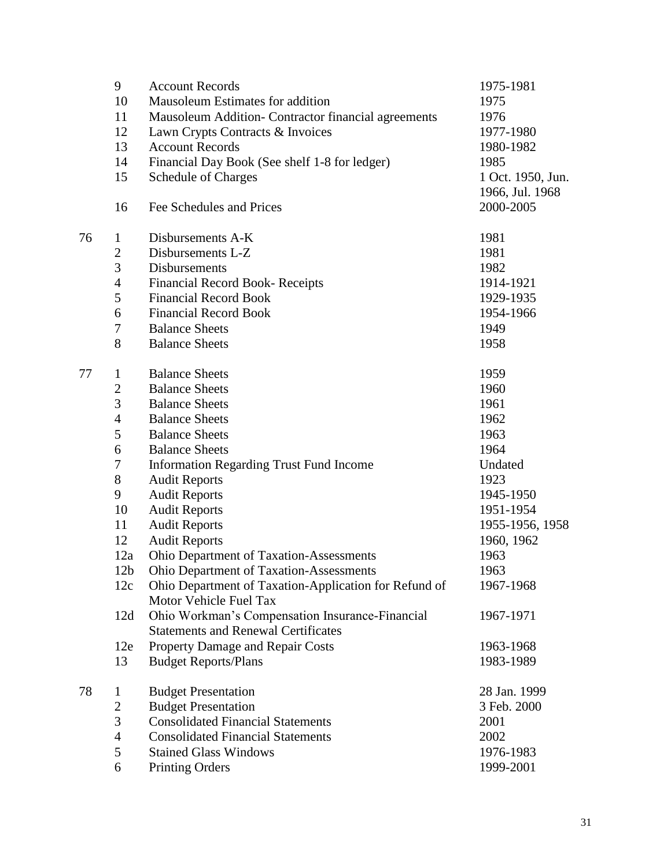|    | 9               | <b>Account Records</b>                                | 1975-1981         |
|----|-----------------|-------------------------------------------------------|-------------------|
|    | 10              | Mausoleum Estimates for addition                      | 1975              |
|    | 11              | Mausoleum Addition- Contractor financial agreements   | 1976              |
|    | 12              | Lawn Crypts Contracts & Invoices                      | 1977-1980         |
|    | 13              | <b>Account Records</b>                                | 1980-1982         |
|    | 14              | Financial Day Book (See shelf 1-8 for ledger)         | 1985              |
|    | 15              | <b>Schedule of Charges</b>                            | 1 Oct. 1950, Jun. |
|    |                 |                                                       | 1966, Jul. 1968   |
|    | 16              | Fee Schedules and Prices                              | 2000-2005         |
| 76 | 1               | Disbursements A-K                                     | 1981              |
|    | $\overline{c}$  | Disbursements L-Z                                     | 1981              |
|    | 3               | Disbursements                                         | 1982              |
|    | $\overline{4}$  | <b>Financial Record Book- Receipts</b>                | 1914-1921         |
|    | 5               | <b>Financial Record Book</b>                          | 1929-1935         |
|    | 6               | <b>Financial Record Book</b>                          | 1954-1966         |
|    | 7               | <b>Balance Sheets</b>                                 | 1949              |
|    | 8               | <b>Balance Sheets</b>                                 | 1958              |
| 77 | $\mathbf{1}$    | <b>Balance Sheets</b>                                 | 1959              |
|    | $\overline{c}$  | <b>Balance Sheets</b>                                 | 1960              |
|    | 3               | <b>Balance Sheets</b>                                 | 1961              |
|    | 4               | <b>Balance Sheets</b>                                 | 1962              |
|    | 5               | <b>Balance Sheets</b>                                 | 1963              |
|    | 6               | <b>Balance Sheets</b>                                 | 1964              |
|    | 7               | <b>Information Regarding Trust Fund Income</b>        | Undated           |
|    | $8\,$           | <b>Audit Reports</b>                                  | 1923              |
|    | 9               | <b>Audit Reports</b>                                  | 1945-1950         |
|    | 10              | <b>Audit Reports</b>                                  | 1951-1954         |
|    | 11              | <b>Audit Reports</b>                                  | 1955-1956, 1958   |
|    | 12              | <b>Audit Reports</b>                                  | 1960, 1962        |
|    | 12a             | Ohio Department of Taxation-Assessments               | 1963              |
|    | 12 <sub>b</sub> | <b>Ohio Department of Taxation-Assessments</b>        | 1963              |
|    | 12c             | Ohio Department of Taxation-Application for Refund of | 1967-1968         |
|    |                 | Motor Vehicle Fuel Tax                                |                   |
|    | 12d             | Ohio Workman's Compensation Insurance-Financial       | 1967-1971         |
|    |                 | <b>Statements and Renewal Certificates</b>            |                   |
|    | 12e             | Property Damage and Repair Costs                      | 1963-1968         |
|    | 13              | <b>Budget Reports/Plans</b>                           | 1983-1989         |
| 78 | $\mathbf{1}$    | <b>Budget Presentation</b>                            | 28 Jan. 1999      |
|    | $\mathbf{2}$    | <b>Budget Presentation</b>                            | 3 Feb. 2000       |
|    | 3               | <b>Consolidated Financial Statements</b>              | 2001              |
|    | $\overline{4}$  | <b>Consolidated Financial Statements</b>              | 2002              |
|    | 5               | <b>Stained Glass Windows</b>                          | 1976-1983         |
|    | 6               | <b>Printing Orders</b>                                | 1999-2001         |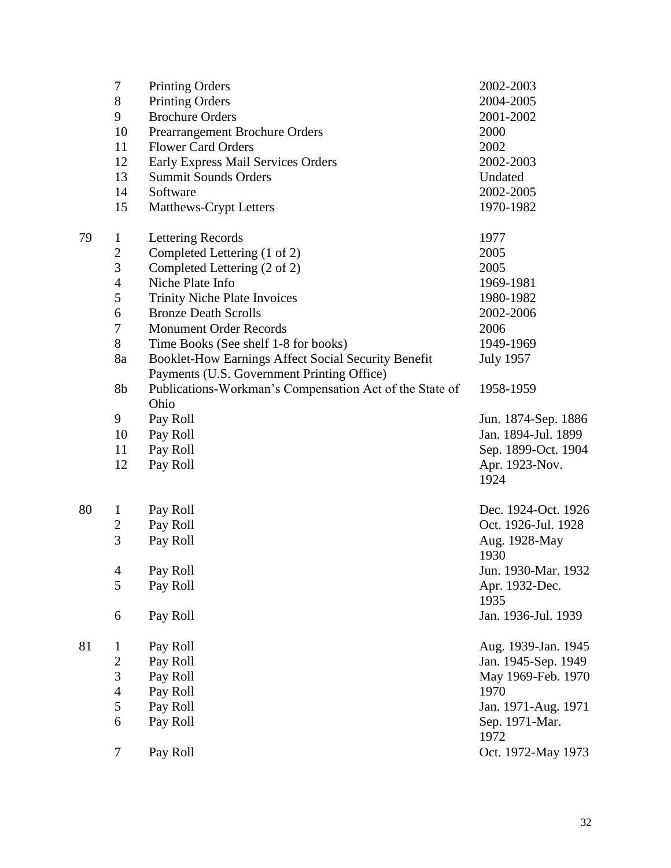|    | $\tau$         | <b>Printing Orders</b>                                  | 2002-2003              |
|----|----------------|---------------------------------------------------------|------------------------|
|    | $8\,$          | <b>Printing Orders</b>                                  | 2004-2005              |
|    | 9              | <b>Brochure Orders</b>                                  | 2001-2002              |
|    | 10             | Prearrangement Brochure Orders                          | 2000                   |
|    | 11             | <b>Flower Card Orders</b>                               | 2002                   |
|    | 12             | Early Express Mail Services Orders                      | 2002-2003              |
|    | 13             | <b>Summit Sounds Orders</b>                             | Undated                |
|    | 14             | Software                                                | 2002-2005              |
|    | 15             | Matthews-Crypt Letters                                  | 1970-1982              |
| 79 | $\mathbf{1}$   | Lettering Records                                       | 1977                   |
|    | $\mathbf{2}$   | Completed Lettering (1 of 2)                            | 2005                   |
|    | 3              | Completed Lettering (2 of 2)                            | 2005                   |
|    | $\overline{4}$ | Niche Plate Info                                        | 1969-1981              |
|    | 5              | <b>Trinity Niche Plate Invoices</b>                     | 1980-1982              |
|    | 6              | <b>Bronze Death Scrolls</b>                             | 2002-2006              |
|    | $\tau$         | <b>Monument Order Records</b>                           | 2006                   |
|    | $8\,$          | Time Books (See shelf 1-8 for books)                    | 1949-1969              |
|    | 8a             | Booklet-How Earnings Affect Social Security Benefit     | <b>July 1957</b>       |
|    |                | Payments (U.S. Government Printing Office)              |                        |
|    | 8b             | Publications-Workman's Compensation Act of the State of | 1958-1959              |
|    |                | Ohio                                                    |                        |
|    | 9              | Pay Roll                                                | Jun. 1874-Sep. 1886    |
|    | 10             | Pay Roll                                                | Jan. 1894-Jul. 1899    |
|    | 11             | Pay Roll                                                | Sep. 1899-Oct. 1904    |
|    | 12             | Pay Roll                                                | Apr. 1923-Nov.         |
|    |                |                                                         | 1924                   |
| 80 | $\mathbf{1}$   | Pay Roll                                                | Dec. 1924-Oct. 1926    |
|    | $\overline{2}$ | Pay Roll                                                | Oct. 1926-Jul. 1928    |
|    | $\overline{3}$ | Pay Roll                                                | Aug. 1928-May          |
|    |                |                                                         | 1930                   |
|    | 4              | Pay Roll                                                | Jun. 1930-Mar. 1932    |
|    | 5              | Pay Roll                                                | Apr. 1932-Dec.         |
|    |                |                                                         | 1935                   |
|    | 6              | Pay Roll                                                | Jan. 1936-Jul. 1939    |
| 81 | $\bf{l}$       | Pay Roll                                                | Aug. 1939-Jan. 1945    |
|    | $\sqrt{2}$     | Pay Roll                                                | Jan. 1945-Sep. 1949    |
|    | 3              | Pay Roll                                                | May 1969-Feb. 1970     |
|    | $\overline{4}$ | Pay Roll                                                | 1970                   |
|    | 5              | Pay Roll                                                | Jan. 1971-Aug. 1971    |
|    | 6              | Pay Roll                                                | Sep. 1971-Mar.<br>1972 |
|    | 7              | Pay Roll                                                | Oct. 1972-May 1973     |
|    |                |                                                         |                        |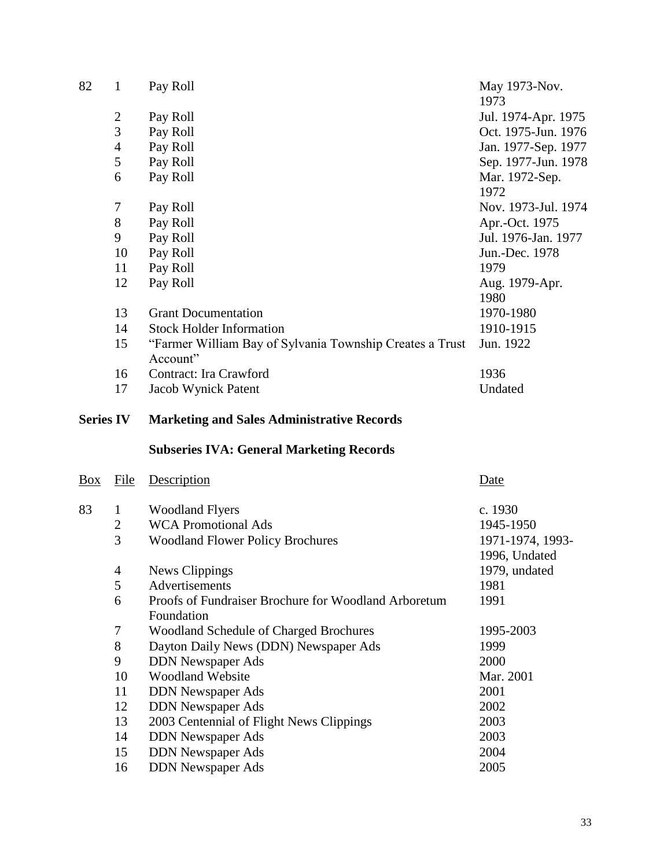| 82               | $\mathbf{1}$   | Pay Roll                                                 | May 1973-Nov.<br>1973 |
|------------------|----------------|----------------------------------------------------------|-----------------------|
|                  | $\overline{c}$ | Pay Roll                                                 | Jul. 1974-Apr. 1975   |
|                  | $\overline{3}$ | Pay Roll                                                 | Oct. 1975-Jun. 1976   |
|                  | $\overline{4}$ | Pay Roll                                                 | Jan. 1977-Sep. 1977   |
|                  | 5              | Pay Roll                                                 | Sep. 1977-Jun. 1978   |
|                  | 6              | Pay Roll                                                 | Mar. 1972-Sep.        |
|                  |                |                                                          | 1972                  |
|                  | $\tau$         | Pay Roll                                                 | Nov. 1973-Jul. 1974   |
|                  | 8              | Pay Roll                                                 | Apr.-Oct. 1975        |
|                  | 9              | Pay Roll                                                 | Jul. 1976-Jan. 1977   |
|                  | 10             | Pay Roll                                                 | Jun.-Dec. 1978        |
|                  | 11             | Pay Roll                                                 | 1979                  |
|                  | 12             | Pay Roll                                                 | Aug. 1979-Apr.        |
|                  |                |                                                          | 1980                  |
|                  | 13             | <b>Grant Documentation</b>                               | 1970-1980             |
|                  | 14             | <b>Stock Holder Information</b>                          | 1910-1915             |
|                  | 15             | "Farmer William Bay of Sylvania Township Creates a Trust | Jun. 1922             |
|                  |                | Account"                                                 |                       |
|                  | 16             | Contract: Ira Crawford                                   | 1936                  |
|                  | 17             | Jacob Wynick Patent                                      | Undated               |
| <b>Series IV</b> |                | <b>Marketing and Sales Administrative Records</b>        |                       |
|                  |                | <b>Subseries IVA: General Marketing Records</b>          |                       |
| <b>Box</b>       | <b>File</b>    | Description                                              | Date                  |
| 83               | $\mathbf{1}$   | <b>Woodland Flyers</b>                                   | c. 1930               |
|                  | $\overline{c}$ | <b>WCA Promotional Ads</b>                               | 1945-1950             |
|                  | $\overline{3}$ | <b>Woodland Flower Policy Brochures</b>                  | 1971-1974, 1993-      |
|                  |                |                                                          | 1996, Undated         |
|                  | 4              | News Clippings                                           | 1979, undated         |
|                  | 5              | Advertisements                                           | 1981                  |
|                  | 6              | Proofs of Fundraiser Brochure for Woodland Arboretum     | 1991                  |
|                  |                | Foundation                                               |                       |
|                  | 7              | <b>Woodland Schedule of Charged Brochures</b>            | 1995-2003             |
|                  | $8\,$          | Dayton Daily News (DDN) Newspaper Ads                    | 1999                  |
|                  |                |                                                          |                       |
|                  | 9              | <b>DDN</b> Newspaper Ads                                 | 2000                  |
|                  | 10             | <b>Woodland Website</b>                                  | Mar. 2001             |
|                  | 11             | <b>DDN</b> Newspaper Ads                                 | 2001                  |
|                  | 12             | <b>DDN</b> Newspaper Ads                                 | 2002                  |
|                  | 13             | 2003 Centennial of Flight News Clippings                 | 2003                  |
|                  | 14             | <b>DDN</b> Newspaper Ads                                 | 2003                  |
|                  | 15             | <b>DDN</b> Newspaper Ads                                 | 2004                  |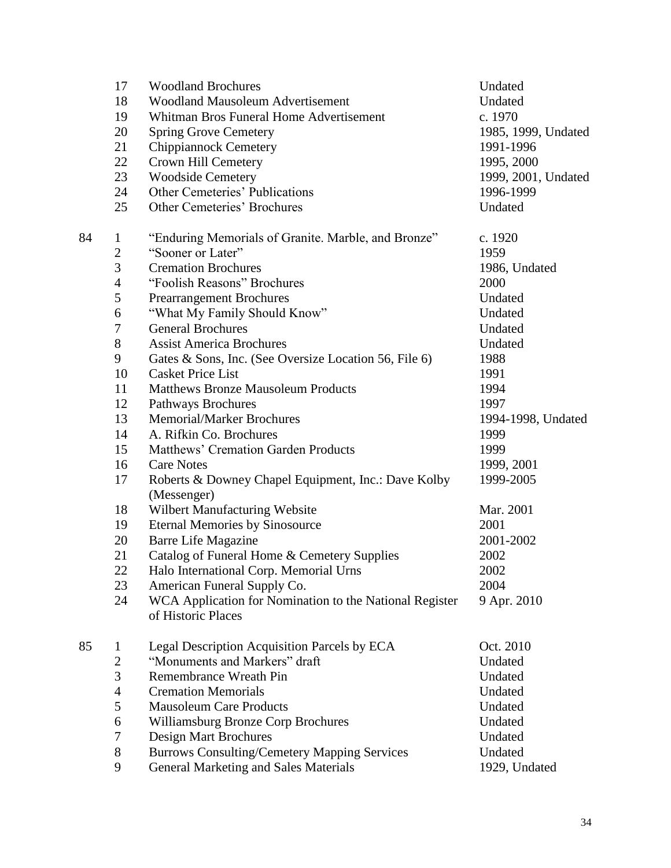|    | 17             | <b>Woodland Brochures</b>                               | Undated             |
|----|----------------|---------------------------------------------------------|---------------------|
|    | 18             | <b>Woodland Mausoleum Advertisement</b>                 | Undated             |
|    | 19             | Whitman Bros Funeral Home Advertisement                 | c. 1970             |
|    | 20             | <b>Spring Grove Cemetery</b>                            | 1985, 1999, Undated |
|    | 21             | <b>Chippiannock Cemetery</b>                            | 1991-1996           |
|    | 22             | Crown Hill Cemetery                                     | 1995, 2000          |
|    | 23             | <b>Woodside Cemetery</b>                                | 1999, 2001, Undated |
|    | 24             | <b>Other Cemeteries' Publications</b>                   | 1996-1999           |
|    | 25             | Other Cemeteries' Brochures                             | Undated             |
| 84 | $\mathbf{1}$   | "Enduring Memorials of Granite. Marble, and Bronze"     | c. 1920             |
|    | $\sqrt{2}$     | "Sooner or Later"                                       | 1959                |
|    | 3              | <b>Cremation Brochures</b>                              | 1986, Undated       |
|    | $\overline{4}$ | "Foolish Reasons" Brochures                             | 2000                |
|    | 5              | <b>Prearrangement Brochures</b>                         | Undated             |
|    | 6              | "What My Family Should Know"                            | Undated             |
|    | $\tau$         | <b>General Brochures</b>                                | Undated             |
|    | $8\,$          | <b>Assist America Brochures</b>                         | Undated             |
|    | 9              | Gates & Sons, Inc. (See Oversize Location 56, File 6)   | 1988                |
|    | 10             | <b>Casket Price List</b>                                | 1991                |
|    | 11             | <b>Matthews Bronze Mausoleum Products</b>               | 1994                |
|    | 12             | Pathways Brochures                                      | 1997                |
|    | 13             | <b>Memorial/Marker Brochures</b>                        | 1994-1998, Undated  |
|    | 14             | A. Rifkin Co. Brochures                                 | 1999                |
|    | 15             | Matthews' Cremation Garden Products                     | 1999                |
|    | 16             | <b>Care Notes</b>                                       | 1999, 2001          |
|    | 17             | Roberts & Downey Chapel Equipment, Inc.: Dave Kolby     | 1999-2005           |
|    |                | (Messenger)                                             |                     |
|    | 18             | Wilbert Manufacturing Website                           | Mar. 2001           |
|    | 19             | <b>Eternal Memories by Sinosource</b>                   | 2001                |
|    | 20             | <b>Barre Life Magazine</b>                              | 2001-2002           |
|    | 21             | Catalog of Funeral Home & Cemetery Supplies             | 2002                |
|    | 22             | Halo International Corp. Memorial Urns                  | 2002                |
|    | 23             | American Funeral Supply Co.                             | 2004                |
|    | 24             | WCA Application for Nomination to the National Register | 9 Apr. 2010         |
|    |                | of Historic Places                                      |                     |
| 85 | $\bf{l}$       | Legal Description Acquisition Parcels by ECA            | Oct. 2010           |
|    | $\sqrt{2}$     | "Monuments and Markers" draft                           | Undated             |
|    | 3              | Remembrance Wreath Pin                                  | Undated             |
|    | $\overline{4}$ | <b>Cremation Memorials</b>                              | Undated             |
|    | 5              | <b>Mausoleum Care Products</b>                          | Undated             |
|    | 6              | Williamsburg Bronze Corp Brochures                      | Undated             |
|    | $\tau$         | <b>Design Mart Brochures</b>                            | Undated             |
|    | $8\,$          | <b>Burrows Consulting/Cemetery Mapping Services</b>     | Undated             |
|    | 9              | <b>General Marketing and Sales Materials</b>            | 1929, Undated       |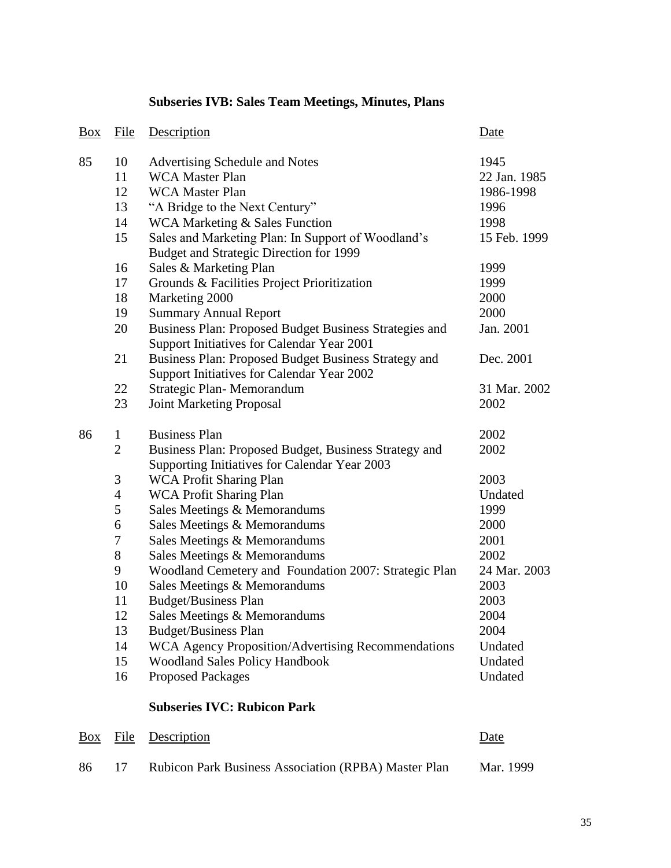# Box File Description Date 85 10 Advertising Schedule and Notes 1945 WCA Master Plan 22 Jan. 1985 12 WCA Master Plan 1986-1998 "A Bridge to the Next Century" 1996 14 WCA Marketing & Sales Function 1998 Sales and Marketing Plan: In Support of Woodland's Budget and Strategic Direction for 1999 15 Feb. 1999 Sales & Marketing Plan 1999 Grounds & Facilities Project Prioritization 1999 18 Marketing 2000 2000 Summary Annual Report 2000 Business Plan: Proposed Budget Business Strategies and Support Initiatives for Calendar Year 2001 Jan. 2001 Business Plan: Proposed Budget Business Strategy and Support Initiatives for Calendar Year 2002 Dec. 2001 Strategic Plan- Memorandum 31 Mar. 2002 Joint Marketing Proposal 2002 1 Business Plan 2002 Business Plan: Proposed Budget, Business Strategy and Supporting Initiatives for Calendar Year 2003 WCA Profit Sharing Plan 2003 4 WCA Profit Sharing Plan Undated Sales Meetings & Memorandums 1999 Sales Meetings & Memorandums 2000 Sales Meetings & Memorandums 2001 Sales Meetings & Memorandums 2002 Woodland Cemetery and Foundation 2007: Strategic Plan 24 Mar. 2003 Sales Meetings & Memorandums 2003 Budget/Business Plan 2003 Sales Meetings & Memorandums 2004 Budget/Business Plan 2004 WCA Agency Proposition/Advertising Recommendations Undated Woodland Sales Policy Handbook Undated Proposed Packages Undated **Subseries IVC: Rubicon Park** Box File Description Date

**Subseries IVB: Sales Team Meetings, Minutes, Plans**

# 86 17 Rubicon Park Business Association (RPBA) Master Plan Mar. 1999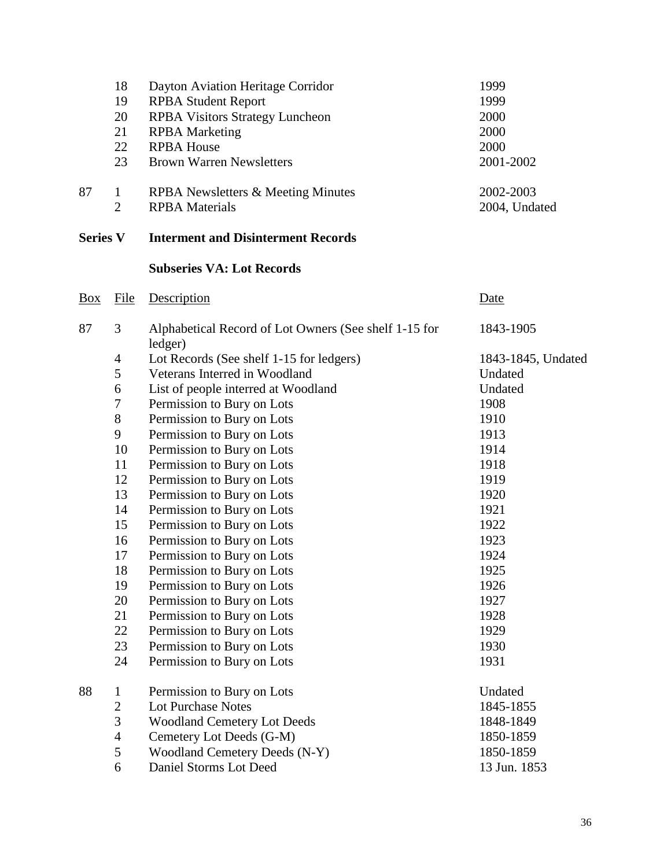|                 | 18             | Dayton Aviation Heritage Corridor                                | 1999               |
|-----------------|----------------|------------------------------------------------------------------|--------------------|
|                 | 19             | <b>RPBA Student Report</b>                                       | 1999               |
|                 | 20             | <b>RPBA Visitors Strategy Luncheon</b>                           | 2000               |
|                 | 21             | <b>RPBA</b> Marketing                                            | 2000               |
|                 | 22             | <b>RPBA House</b>                                                | 2000               |
|                 | 23             | <b>Brown Warren Newsletters</b>                                  | 2001-2002          |
| 87              | $\mathbf{1}$   | RPBA Newsletters & Meeting Minutes                               | 2002-2003          |
|                 | $\overline{2}$ | <b>RPBA</b> Materials                                            | 2004, Undated      |
| <b>Series V</b> |                | <b>Interment and Disinterment Records</b>                        |                    |
|                 |                | <b>Subseries VA: Lot Records</b>                                 |                    |
| Box             | File           | Description                                                      | Date               |
| 87              | 3              | Alphabetical Record of Lot Owners (See shelf 1-15 for<br>ledger) | 1843-1905          |
|                 | $\overline{4}$ | Lot Records (See shelf 1-15 for ledgers)                         | 1843-1845, Undated |
|                 | 5              | Veterans Interred in Woodland                                    | Undated            |
|                 | 6              | List of people interred at Woodland                              | Undated            |
|                 | 7              | Permission to Bury on Lots                                       | 1908               |
|                 | $8\,$          | Permission to Bury on Lots                                       | 1910               |
|                 | 9              | Permission to Bury on Lots                                       | 1913               |
|                 | 10             | Permission to Bury on Lots                                       | 1914               |
|                 | 11             | Permission to Bury on Lots                                       | 1918               |
|                 | 12             | Permission to Bury on Lots                                       | 1919               |
|                 | 13             | Permission to Bury on Lots                                       | 1920               |
|                 | 14             | Permission to Bury on Lots                                       | 1921               |
|                 | 15             | Permission to Bury on Lots                                       | 1922               |
|                 | 16             | Permission to Bury on Lots                                       | 1923               |
|                 | 17             | Permission to Bury on Lots                                       | 1924               |
|                 | 18             | Permission to Bury on Lots                                       | 1925               |
|                 | 19             | Permission to Bury on Lots                                       | 1926               |
|                 | 20             | Permission to Bury on Lots                                       | 1927               |
|                 | 21             | Permission to Bury on Lots                                       | 1928               |
|                 | 22             | Permission to Bury on Lots                                       | 1929               |
|                 | 23             | Permission to Bury on Lots                                       | 1930               |
|                 | 24             | Permission to Bury on Lots                                       | 1931               |
| 88              | $\mathbf{1}$   | Permission to Bury on Lots                                       | Undated            |
|                 | $\sqrt{2}$     | <b>Lot Purchase Notes</b>                                        | 1845-1855          |
|                 | $\overline{3}$ | <b>Woodland Cemetery Lot Deeds</b>                               | 1848-1849          |
|                 | $\overline{4}$ | Cemetery Lot Deeds (G-M)                                         | 1850-1859          |
|                 | 5              | Woodland Cemetery Deeds (N-Y)                                    | 1850-1859          |
|                 | 6              | Daniel Storms Lot Deed                                           | 13 Jun. 1853       |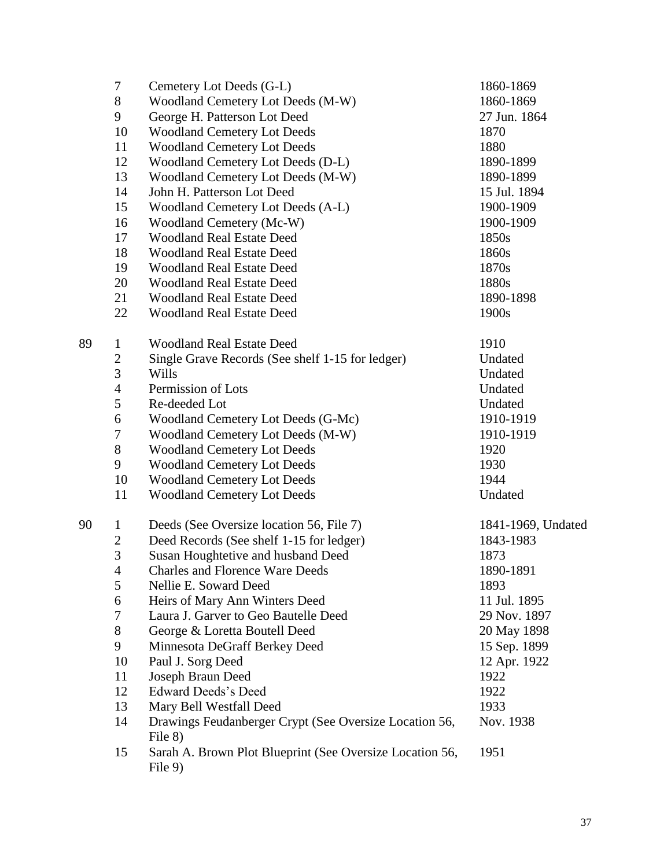|    | $\boldsymbol{7}$ | Cemetery Lot Deeds (G-L)                                            | 1860-1869          |
|----|------------------|---------------------------------------------------------------------|--------------------|
|    | 8                | Woodland Cemetery Lot Deeds (M-W)                                   | 1860-1869          |
|    | 9                | George H. Patterson Lot Deed                                        | 27 Jun. 1864       |
|    | 10               | <b>Woodland Cemetery Lot Deeds</b>                                  | 1870               |
|    | 11               | <b>Woodland Cemetery Lot Deeds</b>                                  | 1880               |
|    | 12               | Woodland Cemetery Lot Deeds (D-L)                                   | 1890-1899          |
|    | 13               | Woodland Cemetery Lot Deeds (M-W)                                   | 1890-1899          |
|    | 14               | John H. Patterson Lot Deed                                          | 15 Jul. 1894       |
|    | 15               | Woodland Cemetery Lot Deeds (A-L)                                   | 1900-1909          |
|    | 16               | Woodland Cemetery (Mc-W)                                            | 1900-1909          |
|    | 17               | <b>Woodland Real Estate Deed</b>                                    | 1850s              |
|    | 18               | <b>Woodland Real Estate Deed</b>                                    | 1860s              |
|    | 19               | <b>Woodland Real Estate Deed</b>                                    | 1870s              |
|    | 20               | <b>Woodland Real Estate Deed</b>                                    | 1880s              |
|    | 21               | <b>Woodland Real Estate Deed</b>                                    | 1890-1898          |
|    | 22               | <b>Woodland Real Estate Deed</b>                                    | 1900s              |
| 89 | $\mathbf{1}$     | <b>Woodland Real Estate Deed</b>                                    | 1910               |
|    | $\mathbf{2}$     | Single Grave Records (See shelf 1-15 for ledger)                    | Undated            |
|    | $\overline{3}$   | Wills                                                               | Undated            |
|    | $\overline{4}$   | Permission of Lots                                                  | Undated            |
|    | 5                | Re-deeded Lot                                                       | Undated            |
|    | 6                | Woodland Cemetery Lot Deeds (G-Mc)                                  | 1910-1919          |
|    | $\boldsymbol{7}$ | Woodland Cemetery Lot Deeds (M-W)                                   | 1910-1919          |
|    | $8\,$            | <b>Woodland Cemetery Lot Deeds</b>                                  | 1920               |
|    | 9                | <b>Woodland Cemetery Lot Deeds</b>                                  | 1930               |
|    | 10               | <b>Woodland Cemetery Lot Deeds</b>                                  | 1944               |
|    | 11               | <b>Woodland Cemetery Lot Deeds</b>                                  | Undated            |
| 90 | $\mathbf{1}$     | Deeds (See Oversize location 56, File 7)                            | 1841-1969, Undated |
|    | $\mathbf{2}$     | Deed Records (See shelf 1-15 for ledger)                            | 1843-1983          |
|    | $\overline{3}$   | Susan Houghtetive and husband Deed                                  | 1873               |
|    | 4                | <b>Charles and Florence Ware Deeds</b>                              | 1890-1891          |
|    | 5                | Nellie E. Soward Deed                                               | 1893               |
|    | 6                | Heirs of Mary Ann Winters Deed                                      | 11 Jul. 1895       |
|    | 7                | Laura J. Garver to Geo Bautelle Deed                                | 29 Nov. 1897       |
|    | 8                | George & Loretta Boutell Deed                                       | 20 May 1898        |
|    | 9                | Minnesota DeGraff Berkey Deed                                       | 15 Sep. 1899       |
|    | 10               | Paul J. Sorg Deed                                                   | 12 Apr. 1922       |
|    | 11               | Joseph Braun Deed                                                   | 1922               |
|    | 12               | <b>Edward Deeds's Deed</b>                                          | 1922               |
|    | 13               | Mary Bell Westfall Deed                                             | 1933               |
|    | 14               | Drawings Feudanberger Crypt (See Oversize Location 56,<br>File 8)   | Nov. 1938          |
|    | 15               | Sarah A. Brown Plot Blueprint (See Oversize Location 56,<br>File 9) | 1951               |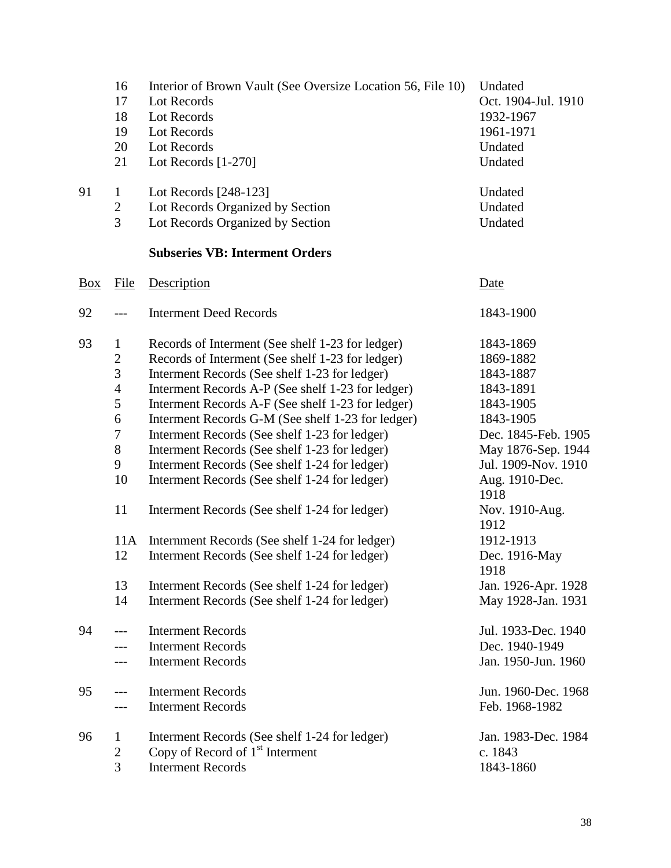|                | 16<br>17<br>18<br>19<br>20<br>21                                                                                                      | Interior of Brown Vault (See Oversize Location 56, File 10)<br>Lot Records<br>Lot Records<br>Lot Records<br>Lot Records<br>Lot Records $[1-270]$                                                                                                                                                                                                                                                                                                                                                                                                                                                                                                                                                                                                                               | Undated<br>Oct. 1904-Jul. 1910<br>1932-1967<br>1961-1971<br>Undated<br>Undated                                                                                                                                                                                                        |
|----------------|---------------------------------------------------------------------------------------------------------------------------------------|--------------------------------------------------------------------------------------------------------------------------------------------------------------------------------------------------------------------------------------------------------------------------------------------------------------------------------------------------------------------------------------------------------------------------------------------------------------------------------------------------------------------------------------------------------------------------------------------------------------------------------------------------------------------------------------------------------------------------------------------------------------------------------|---------------------------------------------------------------------------------------------------------------------------------------------------------------------------------------------------------------------------------------------------------------------------------------|
| 91             | $\mathbf{1}$<br>$\overline{c}$<br>$\overline{3}$                                                                                      | Lot Records [248-123]<br>Lot Records Organized by Section<br>Lot Records Organized by Section                                                                                                                                                                                                                                                                                                                                                                                                                                                                                                                                                                                                                                                                                  | Undated<br>Undated<br>Undated                                                                                                                                                                                                                                                         |
|                |                                                                                                                                       | <b>Subseries VB: Interment Orders</b>                                                                                                                                                                                                                                                                                                                                                                                                                                                                                                                                                                                                                                                                                                                                          |                                                                                                                                                                                                                                                                                       |
| $\frac{Box}{}$ | File                                                                                                                                  | Description                                                                                                                                                                                                                                                                                                                                                                                                                                                                                                                                                                                                                                                                                                                                                                    | Date                                                                                                                                                                                                                                                                                  |
| 92             | $---$                                                                                                                                 | <b>Interment Deed Records</b>                                                                                                                                                                                                                                                                                                                                                                                                                                                                                                                                                                                                                                                                                                                                                  | 1843-1900                                                                                                                                                                                                                                                                             |
| 93             | $\mathbf 1$<br>$\overline{c}$<br>3<br>$\overline{4}$<br>5<br>6<br>$\boldsymbol{7}$<br>$8\,$<br>9<br>10<br>11<br>11A<br>12<br>13<br>14 | Records of Interment (See shelf 1-23 for ledger)<br>Records of Interment (See shelf 1-23 for ledger)<br>Interment Records (See shelf 1-23 for ledger)<br>Interment Records A-P (See shelf 1-23 for ledger)<br>Interment Records A-F (See shelf 1-23 for ledger)<br>Interment Records G-M (See shelf 1-23 for ledger)<br>Interment Records (See shelf 1-23 for ledger)<br>Interment Records (See shelf 1-23 for ledger)<br>Interment Records (See shelf 1-24 for ledger)<br>Interment Records (See shelf 1-24 for ledger)<br>Interment Records (See shelf 1-24 for ledger)<br>Internment Records (See shelf 1-24 for ledger)<br>Interment Records (See shelf 1-24 for ledger)<br>Interment Records (See shelf 1-24 for ledger)<br>Interment Records (See shelf 1-24 for ledger) | 1843-1869<br>1869-1882<br>1843-1887<br>1843-1891<br>1843-1905<br>1843-1905<br>Dec. 1845-Feb. 1905<br>May 1876-Sep. 1944<br>Jul. 1909-Nov. 1910<br>Aug. 1910-Dec.<br>1918<br>Nov. 1910-Aug.<br>1912<br>1912-1913<br>Dec. 1916-May<br>1918<br>Jan. 1926-Apr. 1928<br>May 1928-Jan. 1931 |
| 94             |                                                                                                                                       | <b>Interment Records</b><br><b>Interment Records</b><br><b>Interment Records</b>                                                                                                                                                                                                                                                                                                                                                                                                                                                                                                                                                                                                                                                                                               | Jul. 1933-Dec. 1940<br>Dec. 1940-1949<br>Jan. 1950-Jun. 1960                                                                                                                                                                                                                          |
| 95             |                                                                                                                                       | <b>Interment Records</b><br><b>Interment Records</b>                                                                                                                                                                                                                                                                                                                                                                                                                                                                                                                                                                                                                                                                                                                           | Jun. 1960-Dec. 1968<br>Feb. 1968-1982                                                                                                                                                                                                                                                 |
| 96             | $\bf{l}$<br>$\overline{c}$<br>3                                                                                                       | Interment Records (See shelf 1-24 for ledger)<br>Copy of Record of $1st$ Interment<br><b>Interment Records</b>                                                                                                                                                                                                                                                                                                                                                                                                                                                                                                                                                                                                                                                                 | Jan. 1983-Dec. 1984<br>c. 1843<br>1843-1860                                                                                                                                                                                                                                           |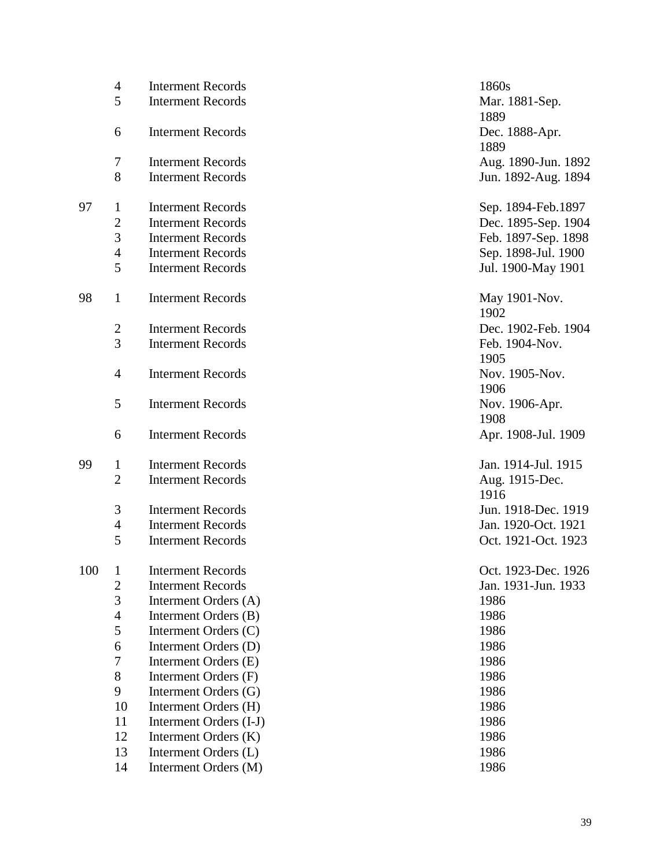|     | $\overline{4}$ | <b>Interment Records</b> | 1860s               |
|-----|----------------|--------------------------|---------------------|
|     | 5              | <b>Interment Records</b> | Mar. 1881-Sep.      |
|     |                |                          | 1889                |
|     | 6              | <b>Interment Records</b> | Dec. 1888-Apr.      |
|     |                |                          | 1889                |
|     | $\overline{7}$ | <b>Interment Records</b> | Aug. 1890-Jun. 1892 |
|     | 8              | <b>Interment Records</b> | Jun. 1892-Aug. 1894 |
| 97  | $\mathbf{1}$   | <b>Interment Records</b> | Sep. 1894-Feb.1897  |
|     | $\mathbf{2}$   | <b>Interment Records</b> | Dec. 1895-Sep. 1904 |
|     | 3              | <b>Interment Records</b> | Feb. 1897-Sep. 1898 |
|     | $\overline{4}$ | <b>Interment Records</b> | Sep. 1898-Jul. 1900 |
|     | 5              | <b>Interment Records</b> | Jul. 1900-May 1901  |
| 98  | $\mathbf{1}$   | <b>Interment Records</b> | May 1901-Nov.       |
|     |                |                          | 1902                |
|     | $\overline{2}$ | <b>Interment Records</b> | Dec. 1902-Feb. 1904 |
|     | 3              | <b>Interment Records</b> | Feb. 1904-Nov.      |
|     |                |                          | 1905                |
|     | $\overline{4}$ | <b>Interment Records</b> | Nov. 1905-Nov.      |
|     |                |                          | 1906                |
|     | 5              | <b>Interment Records</b> | Nov. 1906-Apr.      |
|     |                |                          | 1908                |
|     | 6              | <b>Interment Records</b> | Apr. 1908-Jul. 1909 |
| 99  | $\mathbf{1}$   | <b>Interment Records</b> | Jan. 1914-Jul. 1915 |
|     | $\overline{2}$ | <b>Interment Records</b> | Aug. 1915-Dec.      |
|     |                |                          | 1916                |
|     | $\mathfrak{Z}$ | <b>Interment Records</b> | Jun. 1918-Dec. 1919 |
|     | $\overline{4}$ | <b>Interment Records</b> | Jan. 1920-Oct. 1921 |
|     | 5              | <b>Interment Records</b> | Oct. 1921-Oct. 1923 |
| 100 | $\mathbf{1}$   | <b>Interment Records</b> | Oct. 1923-Dec. 1926 |
|     | $\overline{2}$ | <b>Interment Records</b> | Jan. 1931-Jun. 1933 |
|     | $\mathfrak{Z}$ | Interment Orders (A)     | 1986                |
|     | $\overline{4}$ | Interment Orders (B)     | 1986                |
|     | 5              | Interment Orders (C)     | 1986                |
|     | 6              | Interment Orders (D)     | 1986                |
|     | 7              | Interment Orders (E)     | 1986                |
|     | $8\,$          | Interment Orders (F)     | 1986                |
|     | 9              | Interment Orders (G)     | 1986                |
|     | 10             | Interment Orders (H)     | 1986                |
|     | 11             | Interment Orders (I-J)   | 1986                |
|     | 12             | Interment Orders (K)     | 1986                |
|     | 13             | Interment Orders (L)     | 1986                |
|     | 14             | Interment Orders (M)     | 1986                |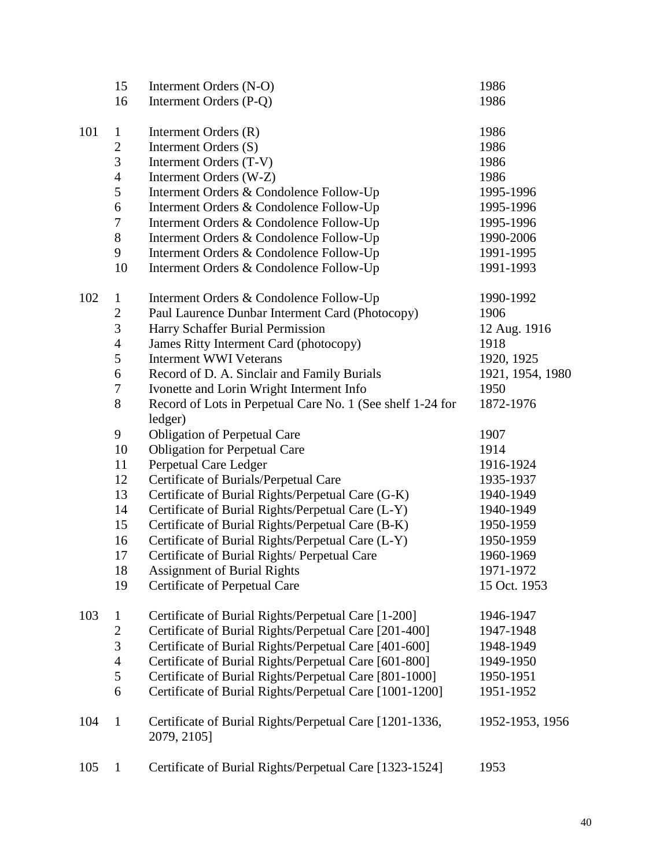|     | 15                  | Interment Orders (N-O)                                                 | 1986             |
|-----|---------------------|------------------------------------------------------------------------|------------------|
|     | 16                  | Interment Orders (P-Q)                                                 | 1986             |
| 101 | $\mathbf{1}$        | Interment Orders (R)                                                   | 1986             |
|     | $\mathbf{2}$        | Interment Orders (S)                                                   | 1986             |
|     | 3                   | Interment Orders (T-V)                                                 | 1986             |
|     | $\overline{4}$      | Interment Orders (W-Z)                                                 | 1986             |
|     | 5                   | Interment Orders & Condolence Follow-Up                                | 1995-1996        |
|     | 6                   | Interment Orders & Condolence Follow-Up                                | 1995-1996        |
|     | $\boldsymbol{7}$    | Interment Orders & Condolence Follow-Up                                | 1995-1996        |
|     | $8\,$               | Interment Orders & Condolence Follow-Up                                | 1990-2006        |
|     | 9                   | Interment Orders & Condolence Follow-Up                                | 1991-1995        |
|     | 10                  | Interment Orders & Condolence Follow-Up                                | 1991-1993        |
|     |                     |                                                                        | 1990-1992        |
| 102 | $\mathbf{1}$        | Interment Orders & Condolence Follow-Up                                | 1906             |
|     | $\overline{c}$<br>3 | Paul Laurence Dunbar Interment Card (Photocopy)                        |                  |
|     |                     | Harry Schaffer Burial Permission                                       | 12 Aug. 1916     |
|     | $\overline{4}$      | James Ritty Interment Card (photocopy)                                 | 1918             |
|     | 5                   | <b>Interment WWI Veterans</b>                                          | 1920, 1925       |
|     | 6                   | Record of D. A. Sinclair and Family Burials                            | 1921, 1954, 1980 |
|     | $\tau$              | Ivonette and Lorin Wright Interment Info                               | 1950             |
|     | $8\,$               | Record of Lots in Perpetual Care No. 1 (See shelf 1-24 for<br>ledger)  | 1872-1976        |
|     | 9                   | <b>Obligation of Perpetual Care</b>                                    | 1907             |
|     | 10                  | <b>Obligation for Perpetual Care</b>                                   | 1914             |
|     | 11                  | Perpetual Care Ledger                                                  | 1916-1924        |
|     | 12                  | Certificate of Burials/Perpetual Care                                  | 1935-1937        |
|     | 13                  | Certificate of Burial Rights/Perpetual Care (G-K)                      | 1940-1949        |
|     | 14                  | Certificate of Burial Rights/Perpetual Care (L-Y)                      | 1940-1949        |
|     | 15                  | Certificate of Burial Rights/Perpetual Care (B-K)                      | 1950-1959        |
|     | 16                  | Certificate of Burial Rights/Perpetual Care (L-Y)                      | 1950-1959        |
|     | 17                  | Certificate of Burial Rights/ Perpetual Care                           | 1960-1969        |
|     | 18                  | <b>Assignment of Burial Rights</b>                                     | 1971-1972        |
|     | 19                  | Certificate of Perpetual Care                                          | 15 Oct. 1953     |
| 103 | $\mathbf{1}$        | Certificate of Burial Rights/Perpetual Care [1-200]                    | 1946-1947        |
|     | $\overline{c}$      | Certificate of Burial Rights/Perpetual Care [201-400]                  | 1947-1948        |
|     | $\overline{3}$      | Certificate of Burial Rights/Perpetual Care [401-600]                  | 1948-1949        |
|     | $\overline{4}$      | Certificate of Burial Rights/Perpetual Care [601-800]                  | 1949-1950        |
|     | $\mathfrak s$       | Certificate of Burial Rights/Perpetual Care [801-1000]                 | 1950-1951        |
|     | 6                   | Certificate of Burial Rights/Perpetual Care [1001-1200]                | 1951-1952        |
| 104 | $\mathbf{1}$        | Certificate of Burial Rights/Perpetual Care [1201-1336,<br>2079, 2105] | 1952-1953, 1956  |
| 105 | $\mathbf{1}$        | Certificate of Burial Rights/Perpetual Care [1323-1524]                | 1953             |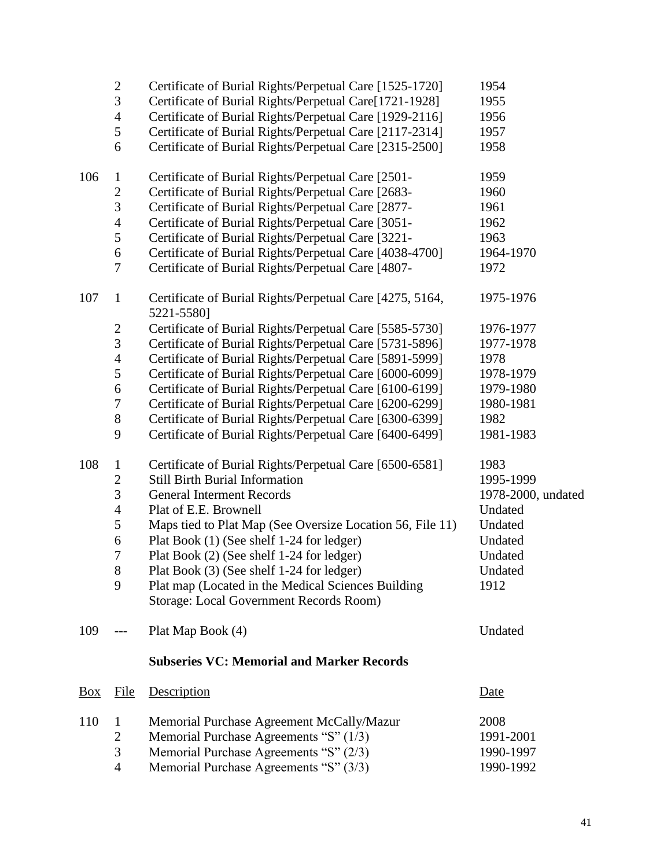|                | $\boldsymbol{2}$ | Certificate of Burial Rights/Perpetual Care [1525-1720]                                       | 1954               |
|----------------|------------------|-----------------------------------------------------------------------------------------------|--------------------|
|                | 3                | Certificate of Burial Rights/Perpetual Care[1721-1928]                                        | 1955               |
|                | $\overline{4}$   | Certificate of Burial Rights/Perpetual Care [1929-2116]                                       | 1956               |
|                | $\mathfrak s$    | Certificate of Burial Rights/Perpetual Care [2117-2314]                                       | 1957               |
|                | 6                | Certificate of Burial Rights/Perpetual Care [2315-2500]                                       | 1958               |
| 106            | $\mathbf{1}$     | Certificate of Burial Rights/Perpetual Care [2501-                                            | 1959               |
|                | $\overline{c}$   | Certificate of Burial Rights/Perpetual Care [2683-                                            | 1960               |
|                | 3                | Certificate of Burial Rights/Perpetual Care [2877-                                            | 1961               |
|                | $\overline{4}$   | Certificate of Burial Rights/Perpetual Care [3051-                                            | 1962               |
|                | $\mathfrak s$    | Certificate of Burial Rights/Perpetual Care [3221-                                            | 1963               |
|                | 6                | Certificate of Burial Rights/Perpetual Care [4038-4700]                                       | 1964-1970          |
|                | 7                | Certificate of Burial Rights/Perpetual Care [4807-                                            | 1972               |
| 107            | $\mathbf{1}$     | Certificate of Burial Rights/Perpetual Care [4275, 5164,<br>5221-5580]                        | 1975-1976          |
|                | $\overline{c}$   | Certificate of Burial Rights/Perpetual Care [5585-5730]                                       | 1976-1977          |
|                | 3                | Certificate of Burial Rights/Perpetual Care [5731-5896]                                       | 1977-1978          |
|                | $\overline{4}$   | Certificate of Burial Rights/Perpetual Care [5891-5999]                                       | 1978               |
|                | 5                | Certificate of Burial Rights/Perpetual Care [6000-6099]                                       | 1978-1979          |
|                | 6                | Certificate of Burial Rights/Perpetual Care [6100-6199]                                       | 1979-1980          |
|                | $\overline{7}$   | Certificate of Burial Rights/Perpetual Care [6200-6299]                                       | 1980-1981          |
|                | $8\,$            | Certificate of Burial Rights/Perpetual Care [6300-6399]                                       | 1982               |
|                | 9                | Certificate of Burial Rights/Perpetual Care [6400-6499]                                       | 1981-1983          |
| 108            | $\mathbf{1}$     | Certificate of Burial Rights/Perpetual Care [6500-6581]                                       | 1983               |
|                | 2                | <b>Still Birth Burial Information</b>                                                         | 1995-1999          |
|                | 3                | <b>General Interment Records</b>                                                              | 1978-2000, undated |
|                | $\overline{4}$   | Plat of E.E. Brownell                                                                         | Undated            |
|                | $\mathfrak s$    | Maps tied to Plat Map (See Oversize Location 56, File 11)                                     | Undated            |
|                | 6                | Plat Book (1) (See shelf 1-24 for ledger)                                                     | Undated            |
|                | $\overline{7}$   | Plat Book (2) (See shelf 1-24 for ledger)                                                     | Undated            |
|                | 8                | Plat Book (3) (See shelf 1-24 for ledger)                                                     | Undated            |
|                | 9                | Plat map (Located in the Medical Sciences Building<br>Storage: Local Government Records Room) | 1912               |
| 109            |                  | Plat Map Book (4)                                                                             | Undated            |
|                |                  | <b>Subseries VC: Memorial and Marker Records</b>                                              |                    |
| $\frac{Box}{}$ | <u>File</u>      | Description                                                                                   | <u>Date</u>        |
| 110            | $\mathbf{1}$     | Memorial Purchase Agreement McCally/Mazur                                                     | 2008               |
|                | $\overline{c}$   | Memorial Purchase Agreements "S" (1/3)                                                        | 1991-2001          |
|                | 3                | Memorial Purchase Agreements "S" (2/3)                                                        | 1990-1997          |
|                | $\overline{4}$   | Memorial Purchase Agreements "S" (3/3)                                                        | 1990-1992          |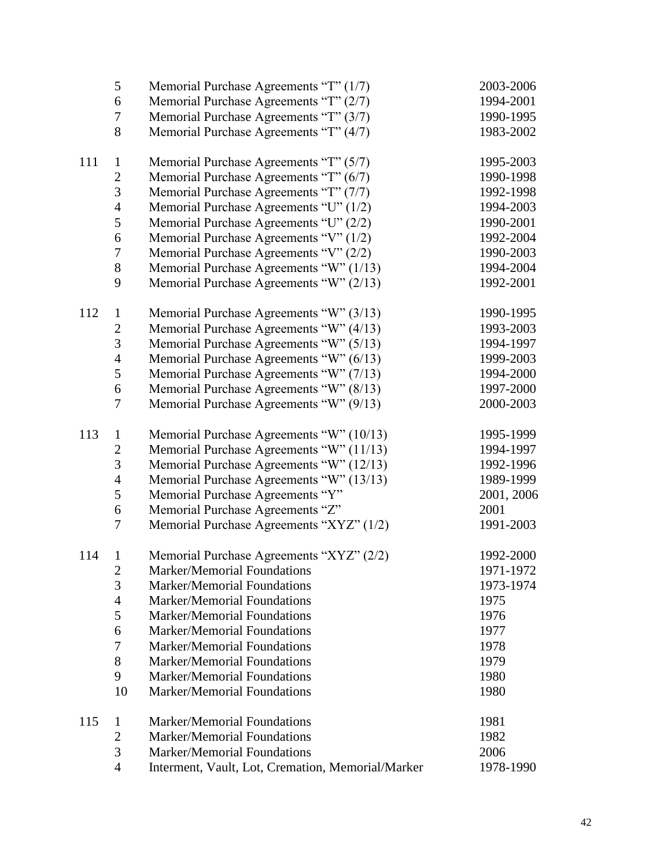|     | 5              | Memorial Purchase Agreements "T" (1/7)            | 2003-2006  |
|-----|----------------|---------------------------------------------------|------------|
|     | 6              | Memorial Purchase Agreements "T" (2/7)            | 1994-2001  |
|     | 7              | Memorial Purchase Agreements "T" (3/7)            | 1990-1995  |
|     | 8              | Memorial Purchase Agreements "T" (4/7)            | 1983-2002  |
|     |                |                                                   |            |
| 111 | $\mathbf{1}$   | Memorial Purchase Agreements "T" (5/7)            | 1995-2003  |
|     | $\overline{c}$ | Memorial Purchase Agreements "T" (6/7)            | 1990-1998  |
|     | 3              | Memorial Purchase Agreements "T" (7/7)            | 1992-1998  |
|     | 4              | Memorial Purchase Agreements "U" (1/2)            | 1994-2003  |
|     | 5              | Memorial Purchase Agreements "U" (2/2)            | 1990-2001  |
|     | 6              | Memorial Purchase Agreements "V" (1/2)            | 1992-2004  |
|     | 7              | Memorial Purchase Agreements "V" (2/2)            | 1990-2003  |
|     | 8              | Memorial Purchase Agreements "W" (1/13)           | 1994-2004  |
|     | 9              | Memorial Purchase Agreements "W" (2/13)           | 1992-2001  |
|     |                |                                                   |            |
| 112 | $\mathbf{1}$   | Memorial Purchase Agreements "W" (3/13)           | 1990-1995  |
|     | $\overline{c}$ | Memorial Purchase Agreements "W" (4/13)           | 1993-2003  |
|     | 3              | Memorial Purchase Agreements "W" (5/13)           | 1994-1997  |
|     | 4              | Memorial Purchase Agreements "W" (6/13)           | 1999-2003  |
|     | 5              | Memorial Purchase Agreements "W" (7/13)           | 1994-2000  |
|     | 6              | Memorial Purchase Agreements "W" (8/13)           | 1997-2000  |
|     | 7              | Memorial Purchase Agreements "W" (9/13)           | 2000-2003  |
| 113 | $\mathbf{1}$   | Memorial Purchase Agreements "W" (10/13)          | 1995-1999  |
|     | $\overline{c}$ | Memorial Purchase Agreements "W" (11/13)          | 1994-1997  |
|     | $\mathfrak{Z}$ | Memorial Purchase Agreements "W" (12/13)          | 1992-1996  |
|     | $\overline{4}$ | Memorial Purchase Agreements "W" (13/13)          | 1989-1999  |
|     | 5              | Memorial Purchase Agreements "Y"                  | 2001, 2006 |
|     | 6              | Memorial Purchase Agreements "Z"                  | 2001       |
|     | $\tau$         | Memorial Purchase Agreements "XYZ" (1/2)          | 1991-2003  |
|     |                |                                                   |            |
| 114 | $\mathbf{1}$   | Memorial Purchase Agreements "XYZ" (2/2)          | 1992-2000  |
|     | $\overline{c}$ | <b>Marker/Memorial Foundations</b>                | 1971-1972  |
|     | 3              | <b>Marker/Memorial Foundations</b>                | 1973-1974  |
|     | $\overline{4}$ | <b>Marker/Memorial Foundations</b>                | 1975       |
|     | 5              | <b>Marker/Memorial Foundations</b>                | 1976       |
|     | 6              | Marker/Memorial Foundations                       | 1977       |
|     | 7              | <b>Marker/Memorial Foundations</b>                | 1978       |
|     | 8              | <b>Marker/Memorial Foundations</b>                | 1979       |
|     | 9              | <b>Marker/Memorial Foundations</b>                | 1980       |
|     | 10             | <b>Marker/Memorial Foundations</b>                | 1980       |
|     |                |                                                   |            |
| 115 | $\mathbf{1}$   | <b>Marker/Memorial Foundations</b>                | 1981       |
|     | $\overline{2}$ | <b>Marker/Memorial Foundations</b>                | 1982       |
|     | 3              | <b>Marker/Memorial Foundations</b>                | 2006       |
|     | 4              | Interment, Vault, Lot, Cremation, Memorial/Marker | 1978-1990  |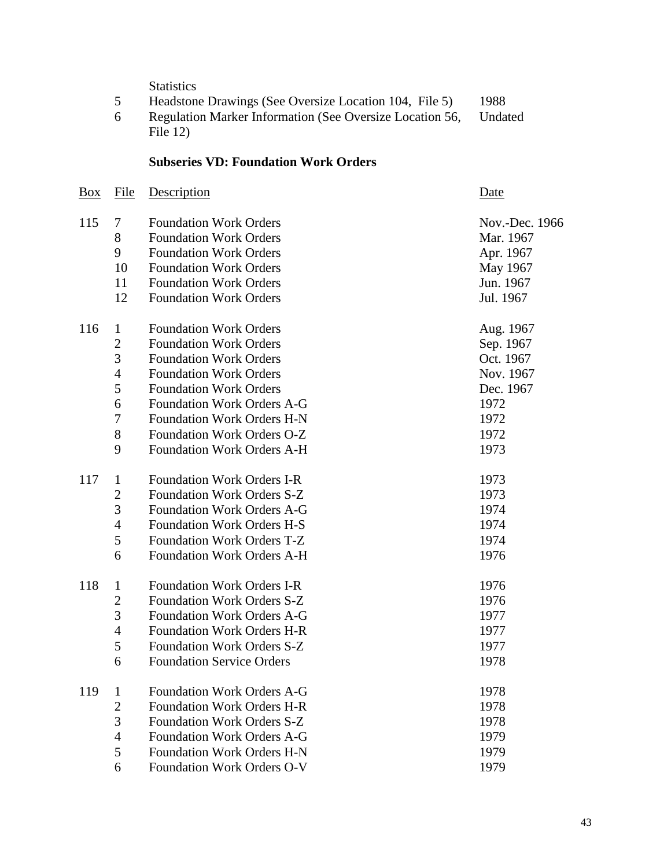**Statistics** 

- 5 Headstone Drawings (See Oversize Location 104, File 5) 1988
- Regulation Marker Information (See Oversize Location 56, File 12) Undated

# **Subseries VD: Foundation Work Orders**

| <b>Box</b> | File           | Description                       | Date           |
|------------|----------------|-----------------------------------|----------------|
| 115        | 7              | <b>Foundation Work Orders</b>     | Nov.-Dec. 1966 |
|            | 8              | <b>Foundation Work Orders</b>     | Mar. 1967      |
|            | 9              | <b>Foundation Work Orders</b>     | Apr. 1967      |
|            | 10             | <b>Foundation Work Orders</b>     | May 1967       |
|            | 11             | <b>Foundation Work Orders</b>     | Jun. 1967      |
|            | 12             | <b>Foundation Work Orders</b>     | Jul. 1967      |
| 116        | $\mathbf{1}$   | <b>Foundation Work Orders</b>     | Aug. 1967      |
|            | $\overline{c}$ | <b>Foundation Work Orders</b>     | Sep. 1967      |
|            | 3              | <b>Foundation Work Orders</b>     | Oct. 1967      |
|            | 4              | <b>Foundation Work Orders</b>     | Nov. 1967      |
|            | 5              | <b>Foundation Work Orders</b>     | Dec. 1967      |
|            | 6              | <b>Foundation Work Orders A-G</b> | 1972           |
|            | 7              | <b>Foundation Work Orders H-N</b> | 1972           |
|            | 8              | Foundation Work Orders O-Z        | 1972           |
|            | 9              | <b>Foundation Work Orders A-H</b> | 1973           |
| 117        | $\mathbf{1}$   | <b>Foundation Work Orders I-R</b> | 1973           |
|            | $\overline{c}$ | Foundation Work Orders S-Z        | 1973           |
|            | 3              | <b>Foundation Work Orders A-G</b> | 1974           |
|            | 4              | <b>Foundation Work Orders H-S</b> | 1974           |
|            | 5              | Foundation Work Orders T-Z        | 1974           |
|            | 6              | <b>Foundation Work Orders A-H</b> | 1976           |
| 118        | $\mathbf{1}$   | <b>Foundation Work Orders I-R</b> | 1976           |
|            | $\overline{c}$ | Foundation Work Orders S-Z        | 1976           |
|            | 3              | <b>Foundation Work Orders A-G</b> | 1977           |
|            | 4              | <b>Foundation Work Orders H-R</b> | 1977           |
|            | 5              | Foundation Work Orders S-Z        | 1977           |
|            | 6              | <b>Foundation Service Orders</b>  | 1978           |
| 119        | $\mathbf{1}$   | <b>Foundation Work Orders A-G</b> | 1978           |
|            | $\mathbf{2}$   | <b>Foundation Work Orders H-R</b> | 1978           |
|            | 3              | Foundation Work Orders S-Z        | 1978           |
|            | 4              | <b>Foundation Work Orders A-G</b> | 1979           |
|            | 5              | <b>Foundation Work Orders H-N</b> | 1979           |
|            | 6              | <b>Foundation Work Orders O-V</b> | 1979           |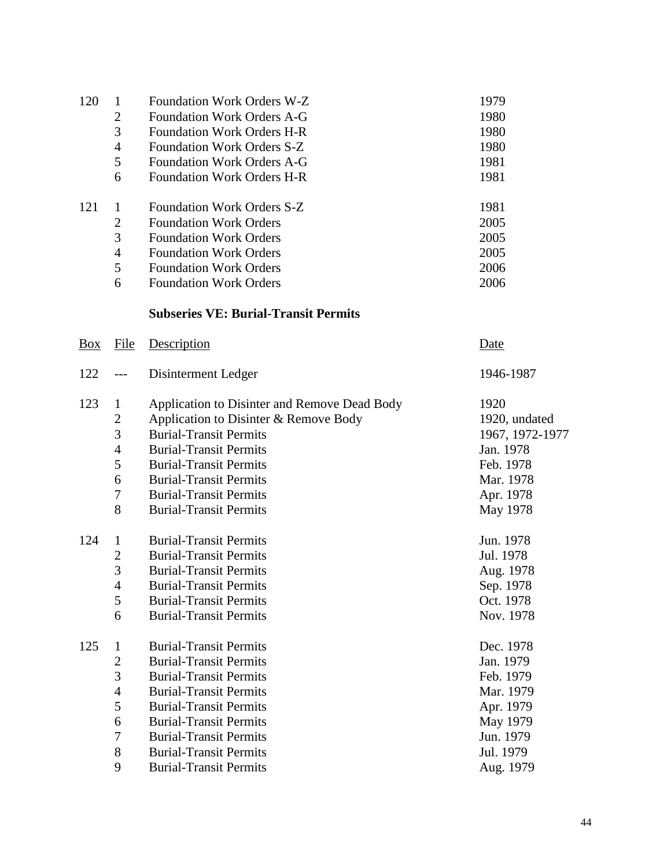| 120            | $\mathbf{1}$   | <b>Foundation Work Orders W-Z</b>            | 1979            |
|----------------|----------------|----------------------------------------------|-----------------|
|                | $\overline{c}$ | <b>Foundation Work Orders A-G</b>            | 1980            |
|                | 3              | Foundation Work Orders H-R                   | 1980            |
|                | $\overline{4}$ | Foundation Work Orders S-Z                   | 1980            |
|                | 5              | <b>Foundation Work Orders A-G</b>            | 1981            |
|                | 6              | <b>Foundation Work Orders H-R</b>            | 1981            |
| 121            | $\mathbf 1$    | <b>Foundation Work Orders S-Z</b>            | 1981            |
|                | $\overline{2}$ | <b>Foundation Work Orders</b>                | 2005            |
|                | 3              | <b>Foundation Work Orders</b>                | 2005            |
|                | 4              | <b>Foundation Work Orders</b>                | 2005            |
|                | 5              | <b>Foundation Work Orders</b>                | 2006            |
|                | 6              | <b>Foundation Work Orders</b>                | 2006            |
|                |                | <b>Subseries VE: Burial-Transit Permits</b>  |                 |
| $\frac{Box}{}$ | File           | Description                                  | <u>Date</u>     |
| 122            |                | Disinterment Ledger                          | 1946-1987       |
| 123            | $\mathbf{1}$   | Application to Disinter and Remove Dead Body | 1920            |
|                | $\mathbf{2}$   | Application to Disinter & Remove Body        | 1920, undated   |
|                | 3              | <b>Burial-Transit Permits</b>                | 1967, 1972-1977 |
|                | $\overline{4}$ | <b>Burial-Transit Permits</b>                | Jan. 1978       |
|                | 5              | <b>Burial-Transit Permits</b>                | Feb. 1978       |
|                | 6              | <b>Rurial-Transit Permits</b>                | Mar 1978        |

|     | 6              | <b>Burial-Transit Permits</b> | Mar. 1978 |
|-----|----------------|-------------------------------|-----------|
|     | $\overline{7}$ | <b>Burial-Transit Permits</b> | Apr. 1978 |
|     | 8              | <b>Burial-Transit Permits</b> | May 1978  |
|     |                |                               |           |
| 124 | 1              | <b>Burial-Transit Permits</b> | Jun. 1978 |
|     | $\overline{2}$ | <b>Burial-Transit Permits</b> | Jul. 1978 |
|     | 3              | <b>Burial-Transit Permits</b> | Aug. 1978 |
|     | $\overline{4}$ | <b>Burial-Transit Permits</b> | Sep. 1978 |
|     | 5              | <b>Burial-Transit Permits</b> | Oct. 1978 |
|     | 6              | <b>Burial-Transit Permits</b> | Nov. 1978 |
|     |                |                               |           |
|     |                |                               |           |
| 125 | 1              | <b>Burial-Transit Permits</b> | Dec. 1978 |
|     | $\overline{2}$ | <b>Burial-Transit Permits</b> | Jan. 1979 |
|     | 3              | <b>Burial-Transit Permits</b> | Feb. 1979 |
|     | $\overline{4}$ | <b>Burial-Transit Permits</b> | Mar. 1979 |
|     | 5              | <b>Burial-Transit Permits</b> | Apr. 1979 |
|     | 6              | <b>Burial-Transit Permits</b> | May 1979  |
|     | $\tau$         | <b>Burial-Transit Permits</b> | Jun. 1979 |
|     | 8              | <b>Burial-Transit Permits</b> | Jul. 1979 |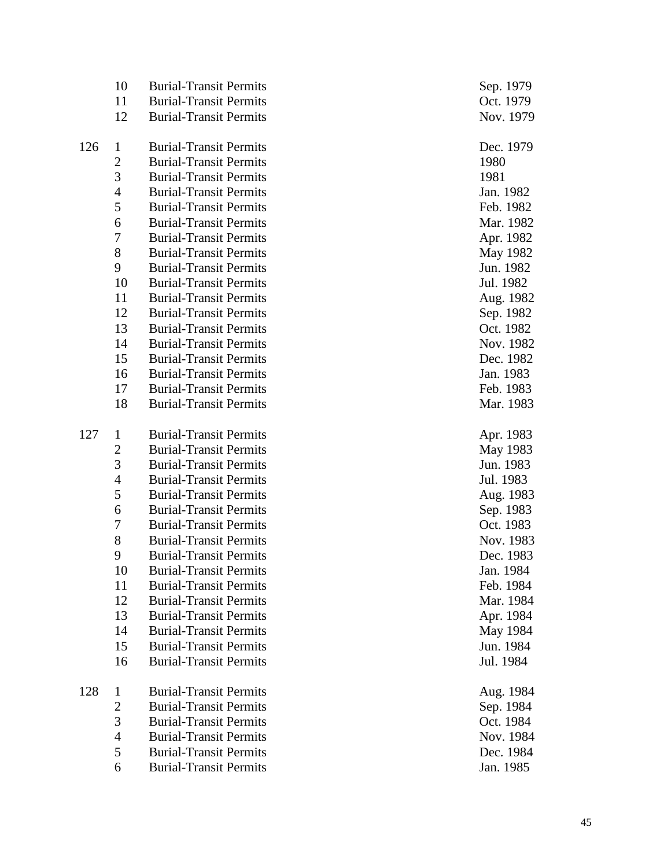|     | 10             | <b>Burial-Transit Permits</b> | Sep. 1979 |
|-----|----------------|-------------------------------|-----------|
|     | 11             | <b>Burial-Transit Permits</b> | Oct. 1979 |
|     | 12             | <b>Burial-Transit Permits</b> | Nov. 1979 |
|     |                |                               |           |
| 126 | $\mathbf{1}$   | <b>Burial-Transit Permits</b> | Dec. 1979 |
|     | $\overline{c}$ | <b>Burial-Transit Permits</b> | 1980      |
|     | $\mathfrak{Z}$ | <b>Burial-Transit Permits</b> | 1981      |
|     | $\overline{4}$ | <b>Burial-Transit Permits</b> | Jan. 1982 |
|     | 5              | <b>Burial-Transit Permits</b> | Feb. 1982 |
|     | 6              | <b>Burial-Transit Permits</b> | Mar. 1982 |
|     | $\tau$         | <b>Burial-Transit Permits</b> | Apr. 1982 |
|     | 8              | <b>Burial-Transit Permits</b> | May 1982  |
|     | 9              | <b>Burial-Transit Permits</b> | Jun. 1982 |
|     | 10             | <b>Burial-Transit Permits</b> | Jul. 1982 |
|     | 11             | <b>Burial-Transit Permits</b> | Aug. 1982 |
|     | 12             | <b>Burial-Transit Permits</b> | Sep. 1982 |
|     | 13             | <b>Burial-Transit Permits</b> | Oct. 1982 |
|     | 14             | <b>Burial-Transit Permits</b> | Nov. 1982 |
|     | 15             | <b>Burial-Transit Permits</b> | Dec. 1982 |
|     | 16             | <b>Burial-Transit Permits</b> | Jan. 1983 |
|     | 17             | <b>Burial-Transit Permits</b> | Feb. 1983 |
|     | 18             | <b>Burial-Transit Permits</b> | Mar. 1983 |
|     |                |                               |           |
| 127 | $\mathbf{1}$   | <b>Burial-Transit Permits</b> | Apr. 1983 |
|     | $\overline{2}$ | <b>Burial-Transit Permits</b> | May 1983  |
|     | 3              | <b>Burial-Transit Permits</b> | Jun. 1983 |
|     | $\overline{4}$ | <b>Burial-Transit Permits</b> | Jul. 1983 |
|     | 5              | <b>Burial-Transit Permits</b> | Aug. 1983 |
|     | 6              | <b>Burial-Transit Permits</b> | Sep. 1983 |
|     | 7              | <b>Burial-Transit Permits</b> | Oct. 1983 |
|     | 8              | <b>Burial-Transit Permits</b> | Nov. 1983 |
|     | 9              | <b>Burial-Transit Permits</b> | Dec. 1983 |
|     | 10             | <b>Burial-Transit Permits</b> | Jan. 1984 |
|     | 11             | <b>Burial-Transit Permits</b> | Feb. 1984 |
|     | 12             | <b>Burial-Transit Permits</b> | Mar. 1984 |
|     | 13             | <b>Burial-Transit Permits</b> | Apr. 1984 |
|     | 14             | <b>Burial-Transit Permits</b> | May 1984  |
|     | 15             | <b>Burial-Transit Permits</b> | Jun. 1984 |
|     | 16             | <b>Burial-Transit Permits</b> | Jul. 1984 |
|     |                |                               |           |
| 128 | $\mathbf{1}$   | <b>Burial-Transit Permits</b> | Aug. 1984 |
|     | $\mathbf{2}$   | <b>Burial-Transit Permits</b> | Sep. 1984 |
|     | 3              | <b>Burial-Transit Permits</b> | Oct. 1984 |
|     | $\overline{4}$ | <b>Burial-Transit Permits</b> | Nov. 1984 |
|     | 5              | <b>Burial-Transit Permits</b> | Dec. 1984 |
|     | 6              | <b>Burial-Transit Permits</b> | Jan. 1985 |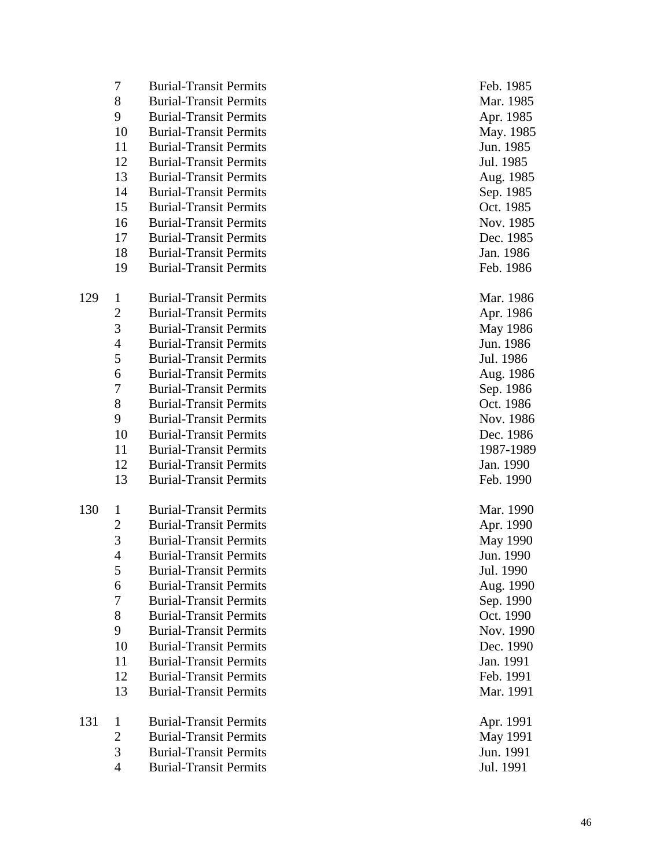|     | 7              | <b>Burial-Transit Permits</b> | Feb. 1985 |
|-----|----------------|-------------------------------|-----------|
|     | 8              | <b>Burial-Transit Permits</b> | Mar. 1985 |
|     | 9              | <b>Burial-Transit Permits</b> | Apr. 1985 |
|     | 10             | <b>Burial-Transit Permits</b> | May. 1985 |
|     | 11             | <b>Burial-Transit Permits</b> | Jun. 1985 |
|     | 12             | <b>Burial-Transit Permits</b> | Jul. 1985 |
|     | 13             | <b>Burial-Transit Permits</b> | Aug. 1985 |
|     | 14             | <b>Burial-Transit Permits</b> | Sep. 1985 |
|     | 15             | <b>Burial-Transit Permits</b> | Oct. 1985 |
|     | 16             | <b>Burial-Transit Permits</b> | Nov. 1985 |
|     | 17             | <b>Burial-Transit Permits</b> | Dec. 1985 |
|     | 18             | <b>Burial-Transit Permits</b> | Jan. 1986 |
|     | 19             | <b>Burial-Transit Permits</b> | Feb. 1986 |
|     |                |                               |           |
| 129 | $\mathbf{1}$   | <b>Burial-Transit Permits</b> | Mar. 1986 |
|     | 2              | <b>Burial-Transit Permits</b> | Apr. 1986 |
|     | 3              | <b>Burial-Transit Permits</b> | May 1986  |
|     | $\overline{4}$ | <b>Burial-Transit Permits</b> | Jun. 1986 |
|     | 5              | <b>Burial-Transit Permits</b> | Jul. 1986 |
|     | 6              | <b>Burial-Transit Permits</b> | Aug. 1986 |
|     | 7              | <b>Burial-Transit Permits</b> | Sep. 1986 |
|     | 8              | <b>Burial-Transit Permits</b> | Oct. 1986 |
|     | 9              | <b>Burial-Transit Permits</b> | Nov. 1986 |
|     | 10             | <b>Burial-Transit Permits</b> | Dec. 1986 |
|     | 11             | <b>Burial-Transit Permits</b> | 1987-1989 |
|     | 12             | <b>Burial-Transit Permits</b> | Jan. 1990 |
|     | 13             | <b>Burial-Transit Permits</b> | Feb. 1990 |
| 130 | $\mathbf{1}$   | <b>Burial-Transit Permits</b> | Mar. 1990 |
|     | 2              | <b>Burial-Transit Permits</b> | Apr. 1990 |
|     | 3              | <b>Burial-Transit Permits</b> | May 1990  |
|     | 4              | <b>Burial-Transit Permits</b> | Jun. 1990 |
|     | 5              | <b>Burial-Transit Permits</b> | Jul. 1990 |
|     | 6              | <b>Burial-Transit Permits</b> | Aug. 1990 |
|     | $\overline{7}$ | <b>Burial-Transit Permits</b> | Sep. 1990 |
|     | 8              | <b>Burial-Transit Permits</b> | Oct. 1990 |
|     | 9              | <b>Burial-Transit Permits</b> | Nov. 1990 |
|     | 10             | <b>Burial-Transit Permits</b> | Dec. 1990 |
|     | 11             | <b>Burial-Transit Permits</b> | Jan. 1991 |
|     | 12             | <b>Burial-Transit Permits</b> | Feb. 1991 |
|     | 13             | <b>Burial-Transit Permits</b> | Mar. 1991 |
| 131 | $\mathbf{1}$   | <b>Burial-Transit Permits</b> | Apr. 1991 |
|     | 2              | <b>Burial-Transit Permits</b> | May 1991  |
|     | 3              | <b>Burial-Transit Permits</b> | Jun. 1991 |
|     | 4              | <b>Burial-Transit Permits</b> | Jul. 1991 |
|     |                |                               |           |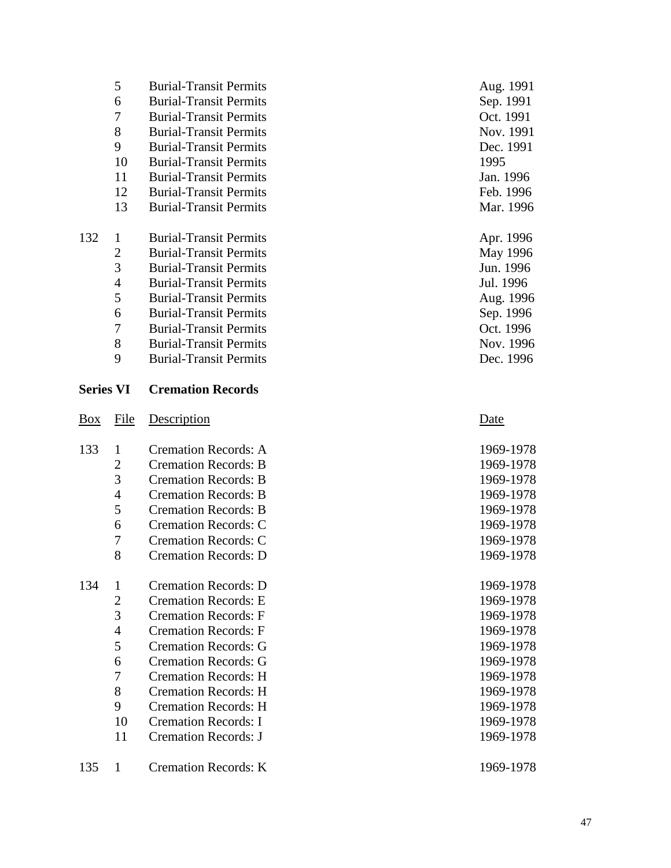|                  | 5              | <b>Burial-Transit Permits</b> | Aug. 1991 |
|------------------|----------------|-------------------------------|-----------|
|                  | 6              | <b>Burial-Transit Permits</b> | Sep. 1991 |
|                  | 7              | <b>Burial-Transit Permits</b> | Oct. 1991 |
|                  | 8              | <b>Burial-Transit Permits</b> | Nov. 1991 |
|                  | 9              | <b>Burial-Transit Permits</b> | Dec. 1991 |
|                  | 10             | <b>Burial-Transit Permits</b> | 1995      |
|                  | 11             | <b>Burial-Transit Permits</b> | Jan. 1996 |
|                  | 12             | <b>Burial-Transit Permits</b> | Feb. 1996 |
|                  | 13             | <b>Burial-Transit Permits</b> | Mar. 1996 |
| 132              | $\mathbf{1}$   | <b>Burial-Transit Permits</b> | Apr. 1996 |
|                  | $\mathfrak{2}$ | <b>Burial-Transit Permits</b> | May 1996  |
|                  | 3              | <b>Burial-Transit Permits</b> | Jun. 1996 |
|                  | $\overline{4}$ | <b>Burial-Transit Permits</b> | Jul. 1996 |
|                  | 5              | <b>Burial-Transit Permits</b> | Aug. 1996 |
|                  | 6              | <b>Burial-Transit Permits</b> | Sep. 1996 |
|                  | $\tau$         | <b>Burial-Transit Permits</b> | Oct. 1996 |
|                  | 8              | <b>Burial-Transit Permits</b> | Nov. 1996 |
|                  | 9              | <b>Burial-Transit Permits</b> | Dec. 1996 |
| <b>Series VI</b> |                | <b>Cremation Records</b>      |           |
| <b>Box</b>       | File           | Description                   | Date      |
| 133              | 1              | <b>Cremation Records: A</b>   | 1969-1978 |
|                  | $\overline{c}$ | <b>Cremation Records: B</b>   | 1969-1978 |
|                  | 3              | <b>Cremation Records: B</b>   | 1969-1978 |
|                  | $\overline{4}$ | <b>Cremation Records: B</b>   | 1969-1978 |
|                  | 5              | <b>Cremation Records: B</b>   | 1969-1978 |
|                  | 6              | <b>Cremation Records: C</b>   | 1969-1978 |
|                  | $\tau$         | <b>Cremation Records: C</b>   | 1969-1978 |

| 134 |    | <b>Cremation Records: D</b> | 1969 |
|-----|----|-----------------------------|------|
|     | 2  | <b>Cremation Records: E</b> | 1969 |
|     | 3  | <b>Cremation Records: F</b> | 1969 |
|     | 4  | <b>Cremation Records: F</b> | 1969 |
|     | 5  | Cremation Records: G        | 1969 |
|     | 6  | Cremation Records: G        | 1969 |
|     |    | Cremation Records: H        | 1969 |
|     | 8  | Cremation Records: H        | 1969 |
|     | 9  | Cremation Records: H        | 1969 |
|     | 10 | <b>Cremation Records: I</b> | 1969 |
|     | 11 | Cremation Records: J        | 1969 |
|     |    |                             |      |

8 Cremation Records: D

| 135 | <b>Cremation Records: K</b> | 1969 |
|-----|-----------------------------|------|
|     |                             |      |

1969-1978

1969-1978

1969-1978

1969-1978

1969-1978

1969-1978

1969-1978

1969-1978

1969-1978

1969-1978

1969-1978

1969-1978

1969-1978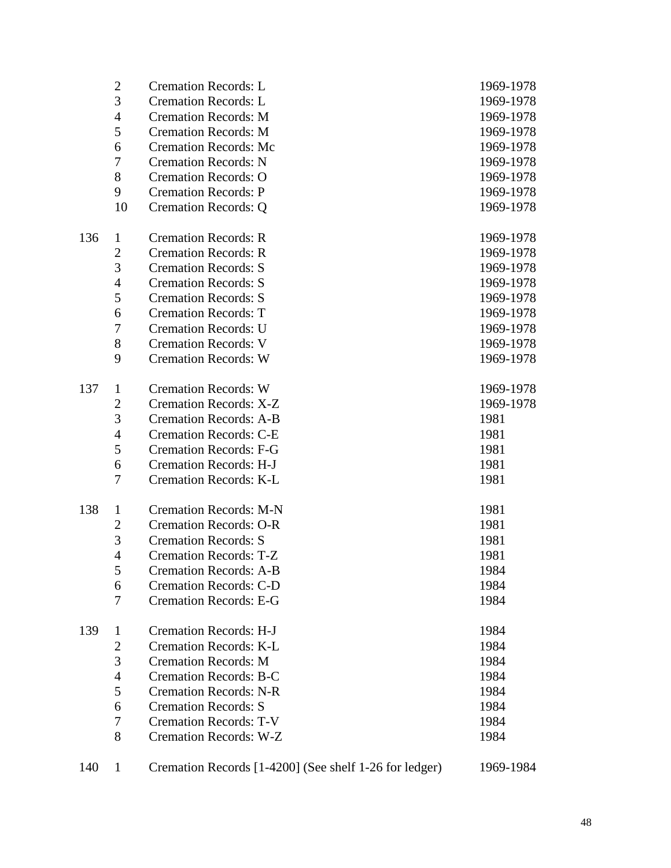|     | $\mathbf{2}$     | <b>Cremation Records: L</b>   | 1969-1978 |
|-----|------------------|-------------------------------|-----------|
|     | 3                | <b>Cremation Records: L</b>   | 1969-1978 |
|     | $\overline{4}$   | <b>Cremation Records: M</b>   | 1969-1978 |
|     | 5                | <b>Cremation Records: M</b>   | 1969-1978 |
|     | 6                | <b>Cremation Records: Mc</b>  | 1969-1978 |
|     | $\boldsymbol{7}$ | <b>Cremation Records: N</b>   | 1969-1978 |
|     | 8                | <b>Cremation Records: O</b>   | 1969-1978 |
|     | 9                | <b>Cremation Records: P</b>   | 1969-1978 |
|     | 10               | <b>Cremation Records: Q</b>   | 1969-1978 |
| 136 | $\mathbf{1}$     | <b>Cremation Records: R</b>   | 1969-1978 |
|     | $\overline{c}$   | <b>Cremation Records: R</b>   | 1969-1978 |
|     | 3                | <b>Cremation Records: S</b>   | 1969-1978 |
|     | 4                | <b>Cremation Records: S</b>   | 1969-1978 |
|     | 5                | <b>Cremation Records: S</b>   | 1969-1978 |
|     | 6                | <b>Cremation Records: T</b>   | 1969-1978 |
|     | 7                | <b>Cremation Records: U</b>   | 1969-1978 |
|     | $8\,$            | <b>Cremation Records: V</b>   | 1969-1978 |
|     | 9                | <b>Cremation Records: W</b>   | 1969-1978 |
| 137 | $\mathbf{1}$     | <b>Cremation Records: W</b>   | 1969-1978 |
|     | $\overline{c}$   | <b>Cremation Records: X-Z</b> | 1969-1978 |
|     | 3                | <b>Cremation Records: A-B</b> | 1981      |
|     | 4                | <b>Cremation Records: C-E</b> | 1981      |
|     | 5                | <b>Cremation Records: F-G</b> | 1981      |
|     | 6                | <b>Cremation Records: H-J</b> | 1981      |
|     | 7                | <b>Cremation Records: K-L</b> | 1981      |
| 138 | $\mathbf{1}$     | <b>Cremation Records: M-N</b> | 1981      |
|     | $\mathbf{2}$     | <b>Cremation Records: O-R</b> | 1981      |
|     | 3                | <b>Cremation Records: S</b>   | 1981      |
|     | $\overline{4}$   | <b>Cremation Records: T-Z</b> | 1981      |
|     | 5                | <b>Cremation Records: A-B</b> | 1984      |
|     | 6                | <b>Cremation Records: C-D</b> | 1984      |
|     | $\overline{7}$   | <b>Cremation Records: E-G</b> | 1984      |
| 139 | $\mathbf{1}$     | <b>Cremation Records: H-J</b> | 1984      |
|     | $\mathbf{2}$     | <b>Cremation Records: K-L</b> | 1984      |
|     | 3                | <b>Cremation Records: M</b>   | 1984      |
|     | $\overline{4}$   | <b>Cremation Records: B-C</b> | 1984      |
|     | 5                | <b>Cremation Records: N-R</b> | 1984      |
|     | 6                | <b>Cremation Records: S</b>   | 1984      |
|     | 7                | <b>Cremation Records: T-V</b> | 1984      |
|     | 8                | <b>Cremation Records: W-Z</b> | 1984      |
|     |                  |                               |           |

| 140 |  | Cremation Records [1-4200] (See shelf 1-26 for ledger) | 1969-1984 |
|-----|--|--------------------------------------------------------|-----------|
|-----|--|--------------------------------------------------------|-----------|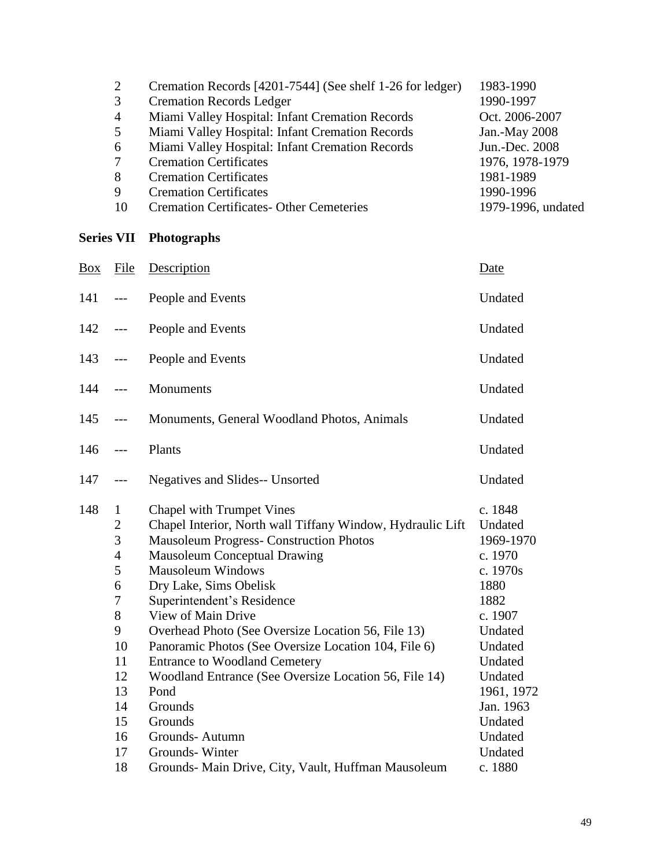| 2              | Cremation Records [4201-7544] (See shelf 1-26 for ledger) | 1983-1990          |
|----------------|-----------------------------------------------------------|--------------------|
| 3              | <b>Cremation Records Ledger</b>                           | 1990-1997          |
| $\overline{4}$ | Miami Valley Hospital: Infant Cremation Records           | Oct. 2006-2007     |
| 5              | Miami Valley Hospital: Infant Cremation Records           | Jan.-May 2008      |
| 6              | Miami Valley Hospital: Infant Cremation Records           | Jun.-Dec. 2008     |
|                | <b>Cremation Certificates</b>                             | 1976, 1978-1979    |
| 8              | <b>Cremation Certificates</b>                             | 1981-1989          |
| 9              | <b>Cremation Certificates</b>                             | 1990-1996          |
| 10             | <b>Cremation Certificates- Other Cemeteries</b>           | 1979-1996, undated |

# **Series VII Photographs**

| Description                                                                                                                                                                                                                                                                                                                                                                                                                                                                                                                                                                                                                        | Date                                                                                                                                                                                                 |
|------------------------------------------------------------------------------------------------------------------------------------------------------------------------------------------------------------------------------------------------------------------------------------------------------------------------------------------------------------------------------------------------------------------------------------------------------------------------------------------------------------------------------------------------------------------------------------------------------------------------------------|------------------------------------------------------------------------------------------------------------------------------------------------------------------------------------------------------|
| People and Events                                                                                                                                                                                                                                                                                                                                                                                                                                                                                                                                                                                                                  | Undated                                                                                                                                                                                              |
| People and Events                                                                                                                                                                                                                                                                                                                                                                                                                                                                                                                                                                                                                  | Undated                                                                                                                                                                                              |
| People and Events                                                                                                                                                                                                                                                                                                                                                                                                                                                                                                                                                                                                                  | Undated                                                                                                                                                                                              |
| Monuments                                                                                                                                                                                                                                                                                                                                                                                                                                                                                                                                                                                                                          | Undated                                                                                                                                                                                              |
| Monuments, General Woodland Photos, Animals                                                                                                                                                                                                                                                                                                                                                                                                                                                                                                                                                                                        | Undated                                                                                                                                                                                              |
| Plants                                                                                                                                                                                                                                                                                                                                                                                                                                                                                                                                                                                                                             | Undated                                                                                                                                                                                              |
| Negatives and Slides-- Unsorted                                                                                                                                                                                                                                                                                                                                                                                                                                                                                                                                                                                                    | Undated                                                                                                                                                                                              |
| Chapel with Trumpet Vines<br>Chapel Interior, North wall Tiffany Window, Hydraulic Lift<br><b>Mausoleum Progress- Construction Photos</b><br><b>Mausoleum Conceptual Drawing</b><br><b>Mausoleum Windows</b><br>Dry Lake, Sims Obelisk<br>Superintendent's Residence<br>View of Main Drive<br>Overhead Photo (See Oversize Location 56, File 13)<br>Panoramic Photos (See Oversize Location 104, File 6)<br><b>Entrance to Woodland Cemetery</b><br>Woodland Entrance (See Oversize Location 56, File 14)<br>Pond<br>Grounds<br>Grounds<br>Grounds-Autumn<br>Grounds-Winter<br>Grounds- Main Drive, City, Vault, Huffman Mausoleum | c. 1848<br>Undated<br>1969-1970<br>c. 1970<br>c. 1970s<br>1880<br>1882<br>c. 1907<br>Undated<br>Undated<br>Undated<br>Undated<br>1961, 1972<br>Jan. 1963<br>Undated<br>Undated<br>Undated<br>c. 1880 |
| File                                                                                                                                                                                                                                                                                                                                                                                                                                                                                                                                                                                                                               |                                                                                                                                                                                                      |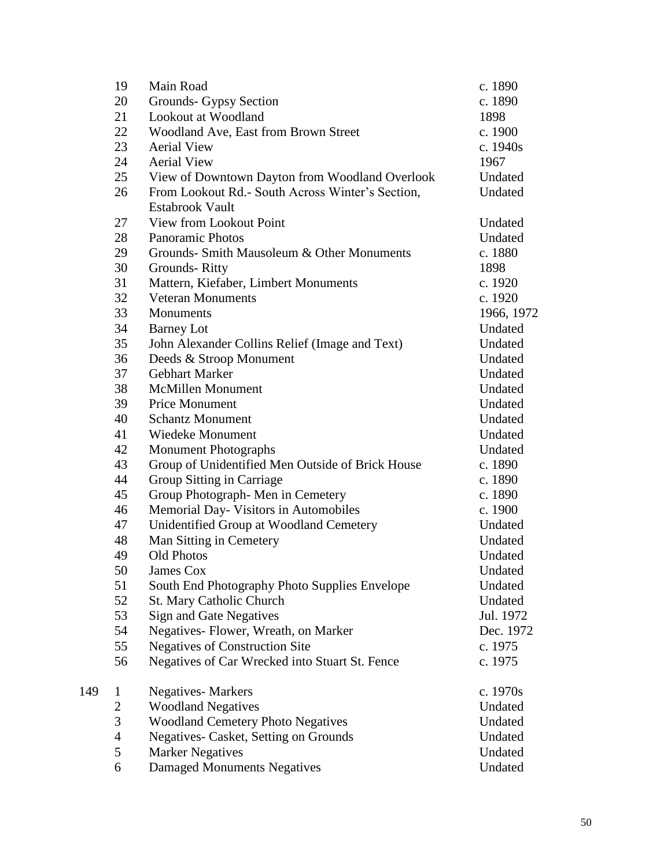|     | 19               | Main Road                                        | c. 1890    |
|-----|------------------|--------------------------------------------------|------------|
|     | 20               | Grounds- Gypsy Section                           | c. 1890    |
|     | 21               | Lookout at Woodland                              | 1898       |
|     | 22               | Woodland Ave, East from Brown Street             | c. 1900    |
|     | 23               | <b>Aerial View</b>                               | c. 1940s   |
|     | 24               | <b>Aerial View</b>                               | 1967       |
|     | 25               | View of Downtown Dayton from Woodland Overlook   | Undated    |
|     | 26               | From Lookout Rd.- South Across Winter's Section, | Undated    |
|     |                  | <b>Estabrook Vault</b>                           |            |
|     | 27               | View from Lookout Point                          | Undated    |
|     | 28               | <b>Panoramic Photos</b>                          | Undated    |
|     | 29               | Grounds- Smith Mausoleum & Other Monuments       | c. 1880    |
|     | 30               | Grounds-Ritty                                    | 1898       |
|     | 31               | Mattern, Kiefaber, Limbert Monuments             | c. 1920    |
|     | 32               | <b>Veteran Monuments</b>                         | c. 1920    |
|     | 33               | Monuments                                        | 1966, 1972 |
|     | 34               | <b>Barney Lot</b>                                | Undated    |
|     | 35               | John Alexander Collins Relief (Image and Text)   | Undated    |
|     | 36               | Deeds & Stroop Monument                          | Undated    |
|     | 37               | Gebhart Marker                                   | Undated    |
|     | 38               | <b>McMillen Monument</b>                         | Undated    |
|     | 39               | <b>Price Monument</b>                            | Undated    |
|     | 40               | <b>Schantz Monument</b>                          | Undated    |
|     | 41               | Wiedeke Monument                                 | Undated    |
|     | 42               | <b>Monument Photographs</b>                      | Undated    |
|     | 43               | Group of Unidentified Men Outside of Brick House | c. 1890    |
|     | 44               | Group Sitting in Carriage                        | c. 1890    |
|     | 45               | Group Photograph-Men in Cemetery                 | c. 1890    |
|     | 46               | Memorial Day- Visitors in Automobiles            | c. 1900    |
|     | 47               | Unidentified Group at Woodland Cemetery          | Undated    |
|     | 48               | Man Sitting in Cemetery                          | Undated    |
|     | 49               | <b>Old Photos</b>                                | Undated    |
|     | 50               | <b>James Cox</b>                                 | Undated    |
|     | 51               | South End Photography Photo Supplies Envelope    | Undated    |
|     | 52               | St. Mary Catholic Church                         | Undated    |
|     | 53               |                                                  | Jul. 1972  |
|     | 54               | <b>Sign and Gate Negatives</b>                   |            |
|     |                  | Negatives- Flower, Wreath, on Marker             | Dec. 1972  |
|     | 55               | <b>Negatives of Construction Site</b>            | c. 1975    |
|     | 56               | Negatives of Car Wrecked into Stuart St. Fence   | c. 1975    |
| 149 | 1                | <b>Negatives-Markers</b>                         | c. 1970s   |
|     | $\boldsymbol{2}$ | <b>Woodland Negatives</b>                        | Undated    |
|     | 3                | <b>Woodland Cemetery Photo Negatives</b>         | Undated    |
|     | $\overline{4}$   | Negatives- Casket, Setting on Grounds            | Undated    |
|     | 5                | <b>Marker Negatives</b>                          | Undated    |
|     | 6                | <b>Damaged Monuments Negatives</b>               | Undated    |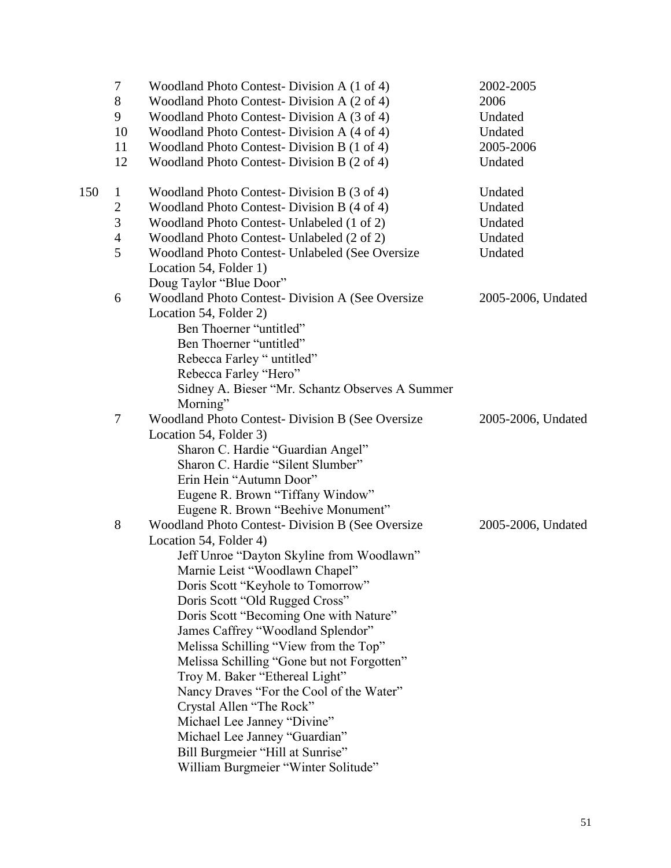|     | 7              | Woodland Photo Contest-Division A (1 of 4)                                          | 2002-2005          |
|-----|----------------|-------------------------------------------------------------------------------------|--------------------|
|     | 8              | Woodland Photo Contest-Division A (2 of 4)                                          | 2006               |
|     | 9              | Woodland Photo Contest-Division A (3 of 4)                                          | Undated            |
|     | 10             | Woodland Photo Contest-Division A (4 of 4)                                          | Undated            |
|     | 11             | Woodland Photo Contest-Division B (1 of 4)                                          | 2005-2006          |
|     | 12             | Woodland Photo Contest-Division B (2 of 4)                                          | Undated            |
| 150 | $\mathbf{1}$   | Woodland Photo Contest-Division B (3 of 4)                                          | Undated            |
|     | 2              | Woodland Photo Contest-Division B (4 of 4)                                          | Undated            |
|     | 3              | Woodland Photo Contest- Unlabeled (1 of 2)                                          | Undated            |
|     | $\overline{4}$ | Woodland Photo Contest- Unlabeled (2 of 2)                                          | Undated            |
|     | 5              | Woodland Photo Contest- Unlabeled (See Oversize                                     | Undated            |
|     |                | Location 54, Folder 1)                                                              |                    |
|     |                | Doug Taylor "Blue Door"                                                             |                    |
|     | 6              | Woodland Photo Contest- Division A (See Oversize                                    | 2005-2006, Undated |
|     |                | Location 54, Folder 2)                                                              |                    |
|     |                | Ben Thoerner "untitled"                                                             |                    |
|     |                | Ben Thoerner "untitled"                                                             |                    |
|     |                | Rebecca Farley "untitled"                                                           |                    |
|     |                | Rebecca Farley "Hero"                                                               |                    |
|     |                | Sidney A. Bieser "Mr. Schantz Observes A Summer                                     |                    |
|     |                | Morning"                                                                            |                    |
|     | $\overline{7}$ | Woodland Photo Contest- Division B (See Oversize                                    | 2005-2006, Undated |
|     |                | Location 54, Folder 3)                                                              |                    |
|     |                | Sharon C. Hardie "Guardian Angel"                                                   |                    |
|     |                | Sharon C. Hardie "Silent Slumber"                                                   |                    |
|     |                | Erin Hein "Autumn Door"                                                             |                    |
|     |                | Eugene R. Brown "Tiffany Window"                                                    |                    |
|     |                | Eugene R. Brown "Beehive Monument"                                                  |                    |
|     | 8              | Woodland Photo Contest- Division B (See Oversize                                    | 2005-2006, Undated |
|     |                | Location 54, Folder 4)                                                              |                    |
|     |                | Jeff Unroe "Dayton Skyline from Woodlawn"                                           |                    |
|     |                | Marnie Leist "Woodlawn Chapel"                                                      |                    |
|     |                | Doris Scott "Keyhole to Tomorrow"                                                   |                    |
|     |                | Doris Scott "Old Rugged Cross"                                                      |                    |
|     |                | Doris Scott "Becoming One with Nature"                                              |                    |
|     |                | James Caffrey "Woodland Splendor"                                                   |                    |
|     |                | Melissa Schilling "View from the Top"<br>Melissa Schilling "Gone but not Forgotten" |                    |
|     |                | Troy M. Baker "Ethereal Light"                                                      |                    |
|     |                | Nancy Draves "For the Cool of the Water"                                            |                    |
|     |                | Crystal Allen "The Rock"                                                            |                    |
|     |                | Michael Lee Janney "Divine"                                                         |                    |
|     |                | Michael Lee Janney "Guardian"                                                       |                    |
|     |                | Bill Burgmeier "Hill at Sunrise"                                                    |                    |
|     |                | William Burgmeier "Winter Solitude"                                                 |                    |
|     |                |                                                                                     |                    |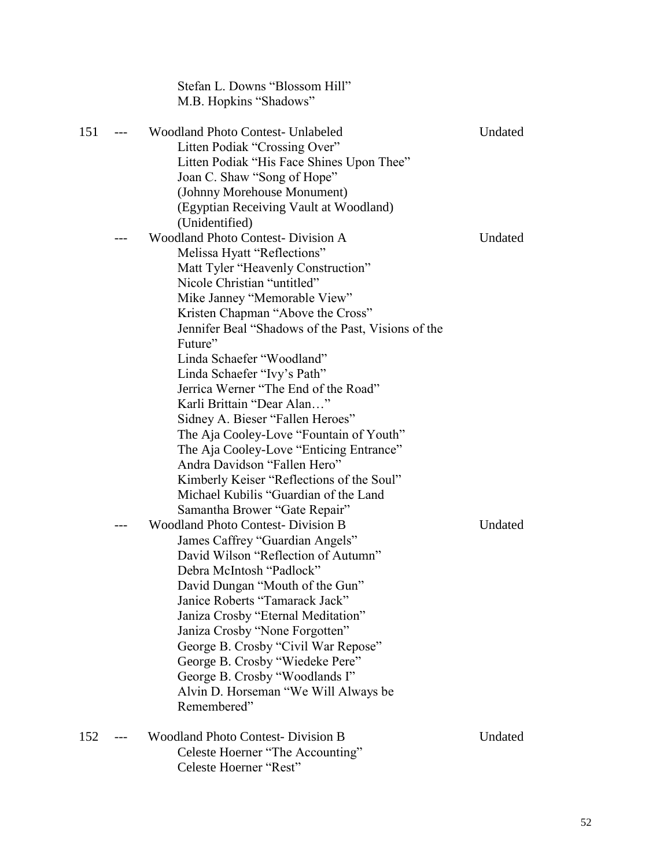|     |       | Stefan L. Downs "Blossom Hill"<br>M.B. Hopkins "Shadows"                                                                                                                                                                                                                                                                                                                                                                                                        |         |
|-----|-------|-----------------------------------------------------------------------------------------------------------------------------------------------------------------------------------------------------------------------------------------------------------------------------------------------------------------------------------------------------------------------------------------------------------------------------------------------------------------|---------|
| 151 | $---$ | <b>Woodland Photo Contest- Unlabeled</b><br>Litten Podiak "Crossing Over"<br>Litten Podiak "His Face Shines Upon Thee"<br>Joan C. Shaw "Song of Hope"<br>(Johnny Morehouse Monument)<br>(Egyptian Receiving Vault at Woodland)<br>(Unidentified)                                                                                                                                                                                                                | Undated |
|     |       | <b>Woodland Photo Contest- Division A</b><br>Melissa Hyatt "Reflections"<br>Matt Tyler "Heavenly Construction"<br>Nicole Christian "untitled"<br>Mike Janney "Memorable View"<br>Kristen Chapman "Above the Cross"<br>Jennifer Beal "Shadows of the Past, Visions of the<br>Future"<br>Linda Schaefer "Woodland"                                                                                                                                                | Undated |
|     |       | Linda Schaefer "Ivy's Path"<br>Jerrica Werner "The End of the Road"<br>Karli Brittain "Dear Alan"<br>Sidney A. Bieser "Fallen Heroes"<br>The Aja Cooley-Love "Fountain of Youth"<br>The Aja Cooley-Love "Enticing Entrance"<br>Andra Davidson "Fallen Hero"<br>Kimberly Keiser "Reflections of the Soul"<br>Michael Kubilis "Guardian of the Land<br>Samantha Brower "Gate Repair"                                                                              |         |
|     |       | <b>Woodland Photo Contest- Division B</b><br>James Caffrey "Guardian Angels"<br>David Wilson "Reflection of Autumn"<br>Debra McIntosh "Padlock"<br>David Dungan "Mouth of the Gun"<br>Janice Roberts "Tamarack Jack"<br>Janiza Crosby "Eternal Meditation"<br>Janiza Crosby "None Forgotten"<br>George B. Crosby "Civil War Repose"<br>George B. Crosby "Wiedeke Pere"<br>George B. Crosby "Woodlands I"<br>Alvin D. Horseman "We Will Always be<br>Remembered" | Undated |
| 152 |       | <b>Woodland Photo Contest- Division B</b><br>Celeste Hoerner "The Accounting"<br>Celeste Hoerner "Rest"                                                                                                                                                                                                                                                                                                                                                         | Undated |